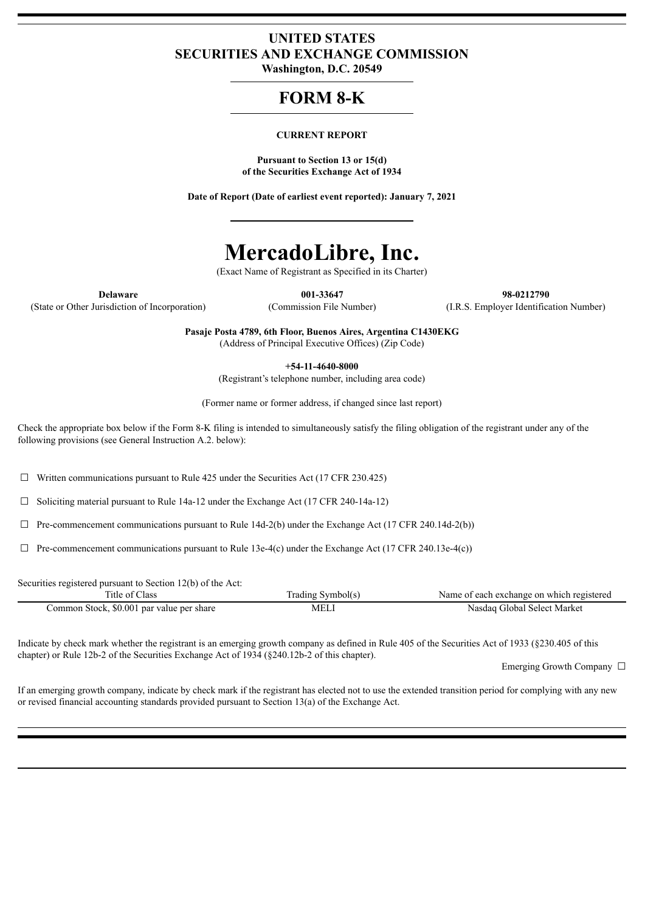# **UNITED STATES SECURITIES AND EXCHANGE COMMISSION**

**Washington, D.C. 20549**

# **FORM 8-K**

#### **CURRENT REPORT**

**Pursuant to Section 13 or 15(d) of the Securities Exchange Act of 1934**

**Date of Report (Date of earliest event reported): January 7, 2021**

# **MercadoLibre, Inc.**

(Exact Name of Registrant as Specified in its Charter)

(State or Other Jurisdiction of Incorporation) (Commission File Number) (I.R.S. Employer Identification Number)

**Delaware 001-33647 98-0212790**

**Pasaje Posta 4789, 6th Floor, Buenos Aires, Argentina C1430EKG** (Address of Principal Executive Offices) (Zip Code)

**+54-11-4640-8000**

(Registrant's telephone number, including area code)

(Former name or former address, if changed since last report)

Check the appropriate box below if the Form 8-K filing is intended to simultaneously satisfy the filing obligation of the registrant under any of the following provisions (see General Instruction A.2. below):

 $\Box$  Written communications pursuant to Rule 425 under the Securities Act (17 CFR 230.425)

 $\Box$  Soliciting material pursuant to Rule 14a-12 under the Exchange Act (17 CFR 240-14a-12)

 $\Box$  Pre-commencement communications pursuant to Rule 14d-2(b) under the Exchange Act (17 CFR 240.14d-2(b))

 $\Box$  Pre-commencement communications pursuant to Rule 13e-4(c) under the Exchange Act (17 CFR 240.13e-4(c))

Securities registered pursuant to Section 12(b) of the Act:

| l'itle of Class                           | Frading Symbol(s) | Name of each exchange on which registered |
|-------------------------------------------|-------------------|-------------------------------------------|
| Common Stock, \$0.001 par value per share | <b>MEL</b>        | Nasdaq Global Select Market               |

Indicate by check mark whether the registrant is an emerging growth company as defined in Rule 405 of the Securities Act of 1933 (§230.405 of this chapter) or Rule 12b-2 of the Securities Exchange Act of 1934 (§240.12b-2 of this chapter).

Emerging Growth Company  $\Box$ 

If an emerging growth company, indicate by check mark if the registrant has elected not to use the extended transition period for complying with any new or revised financial accounting standards provided pursuant to Section 13(a) of the Exchange Act.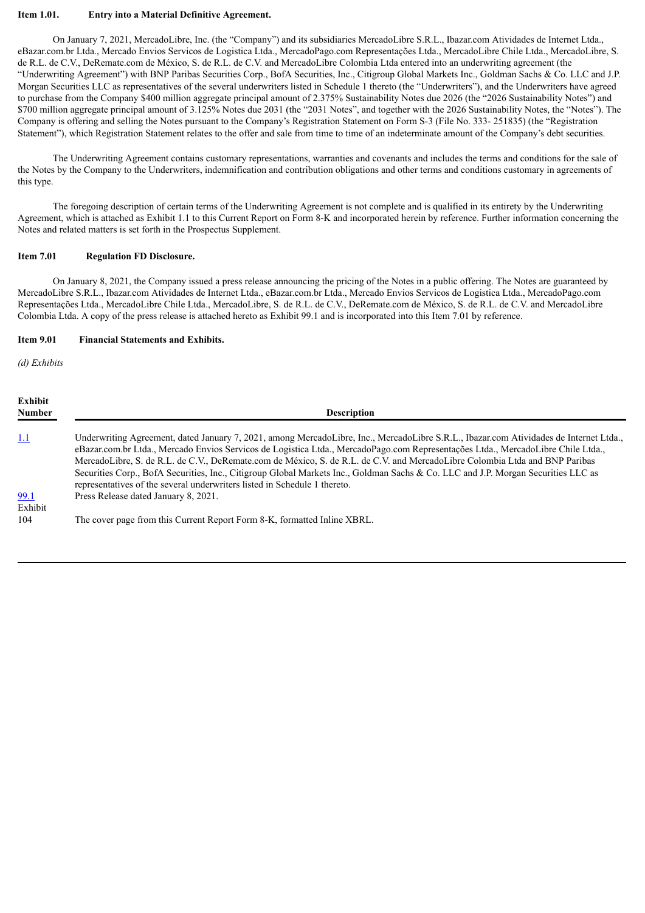#### **Item 1.01. Entry into a Material Definitive Agreement.**

On January 7, 2021, MercadoLibre, Inc. (the "Company") and its subsidiaries MercadoLibre S.R.L., Ibazar.com Atividades de Internet Ltda., eBazar.com.br Ltda., Mercado Envios Servicos de Logistica Ltda., MercadoPago.com Representações Ltda., MercadoLibre Chile Ltda., MercadoLibre, S. de R.L. de C.V., DeRemate.com de México, S. de R.L. de C.V. and MercadoLibre Colombia Ltda entered into an underwriting agreement (the "Underwriting Agreement") with BNP Paribas Securities Corp., BofA Securities, Inc., Citigroup Global Markets Inc., Goldman Sachs & Co. LLC and J.P. Morgan Securities LLC as representatives of the several underwriters listed in Schedule 1 thereto (the "Underwriters"), and the Underwriters have agreed to purchase from the Company \$400 million aggregate principal amount of 2.375% Sustainability Notes due 2026 (the "2026 Sustainability Notes") and \$700 million aggregate principal amount of 3.125% Notes due 2031 (the "2031 Notes", and together with the 2026 Sustainability Notes, the "Notes"). The Company is offering and selling the Notes pursuant to the Company's Registration Statement on Form S-3 (File No. 333- 251835) (the "Registration Statement"), which Registration Statement relates to the offer and sale from time to time of an indeterminate amount of the Company's debt securities.

The Underwriting Agreement contains customary representations, warranties and covenants and includes the terms and conditions for the sale of the Notes by the Company to the Underwriters, indemnification and contribution obligations and other terms and conditions customary in agreements of this type.

The foregoing description of certain terms of the Underwriting Agreement is not complete and is qualified in its entirety by the Underwriting Agreement, which is attached as Exhibit 1.1 to this Current Report on Form 8-K and incorporated herein by reference. Further information concerning the Notes and related matters is set forth in the Prospectus Supplement.

# **Item 7.01 Regulation FD Disclosure.**

On January 8, 2021, the Company issued a press release announcing the pricing of the Notes in a public offering. The Notes are guaranteed by MercadoLibre S.R.L., Ibazar.com Atividades de Internet Ltda., eBazar.com.br Ltda., Mercado Envios Servicos de Logistica Ltda., MercadoPago.com Representações Ltda., MercadoLibre Chile Ltda., MercadoLibre, S. de R.L. de C.V., DeRemate.com de México, S. de R.L. de C.V. and MercadoLibre Colombia Ltda. A copy of the press release is attached hereto as Exhibit 99.1 and is incorporated into this Item 7.01 by reference.

### **Item 9.01 Financial Statements and Exhibits.**

*(d) Exhibits*

| Exhibit<br><b>Number</b> | <b>Description</b>                                                                                                                                                                                                                                                                                                                                                                                                                                                                                                                                                                                                          |
|--------------------------|-----------------------------------------------------------------------------------------------------------------------------------------------------------------------------------------------------------------------------------------------------------------------------------------------------------------------------------------------------------------------------------------------------------------------------------------------------------------------------------------------------------------------------------------------------------------------------------------------------------------------------|
| <u>1.1</u>               | Underwriting Agreement, dated January 7, 2021, among MercadoLibre, Inc., MercadoLibre S.R.L., Ibazar.com Atividades de Internet Ltda.,<br>eBazar.com.br Ltda., Mercado Envios Servicos de Logistica Ltda., MercadoPago.com Representações Ltda., MercadoLibre Chile Ltda.,<br>MercadoLibre, S. de R.L. de C.V., DeRemate.com de México, S. de R.L. de C.V. and MercadoLibre Colombia Ltda and BNP Paribas<br>Securities Corp., BofA Securities, Inc., Citigroup Global Markets Inc., Goldman Sachs & Co. LLC and J.P. Morgan Securities LLC as<br>representatives of the several underwriters listed in Schedule 1 thereto. |
| 99.1<br>Exhibit          | Press Release dated January 8, 2021.                                                                                                                                                                                                                                                                                                                                                                                                                                                                                                                                                                                        |
| 104                      | The cover page from this Current Report Form 8-K, formatted Inline XBRL.                                                                                                                                                                                                                                                                                                                                                                                                                                                                                                                                                    |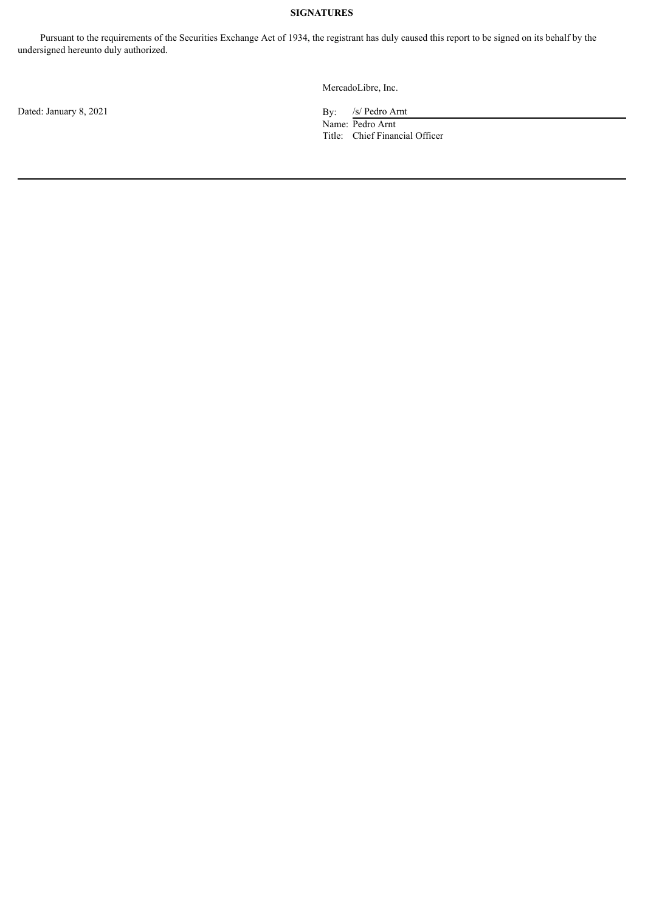# **SIGNATURES**

Pursuant to the requirements of the Securities Exchange Act of 1934, the registrant has duly caused this report to be signed on its behalf by the undersigned hereunto duly authorized.

MercadoLibre, Inc.

Name: Pedro Arnt Title: Chief Financial Officer

Dated: January 8, 2021 By: /s/ Pedro Arnt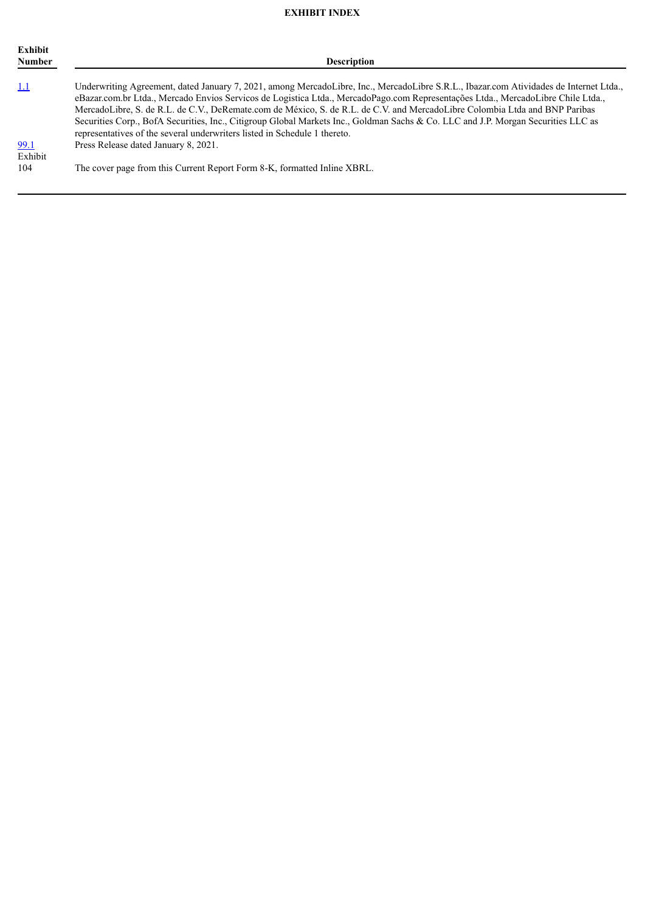# **EXHIBIT INDEX**

| Exhibit<br><b>Number</b> | <b>Description</b>                                                                                                                                                                                                                                                                                                                            |
|--------------------------|-----------------------------------------------------------------------------------------------------------------------------------------------------------------------------------------------------------------------------------------------------------------------------------------------------------------------------------------------|
| <u>1.1</u>               | Underwriting Agreement, dated January 7, 2021, among MercadoLibre, Inc., MercadoLibre S.R.L., Ibazar.com Atividades de Internet Ltda.,<br>eBazar.com.br Ltda., Mercado Envios Servicos de Logistica Ltda., MercadoPago.com Representações Ltda., MercadoLibre Chile Ltda.,                                                                    |
|                          | MercadoLibre, S. de R.L. de C.V., DeRemate.com de México, S. de R.L. de C.V. and MercadoLibre Colombia Ltda and BNP Paribas<br>Securities Corp., BofA Securities, Inc., Citigroup Global Markets Inc., Goldman Sachs & Co. LLC and J.P. Morgan Securities LLC as<br>representatives of the several underwriters listed in Schedule 1 thereto. |
| 99.1<br>Exhibit          | Press Release dated January 8, 2021.                                                                                                                                                                                                                                                                                                          |
| 104                      | The cover page from this Current Report Form 8-K, formatted Inline XBRL.                                                                                                                                                                                                                                                                      |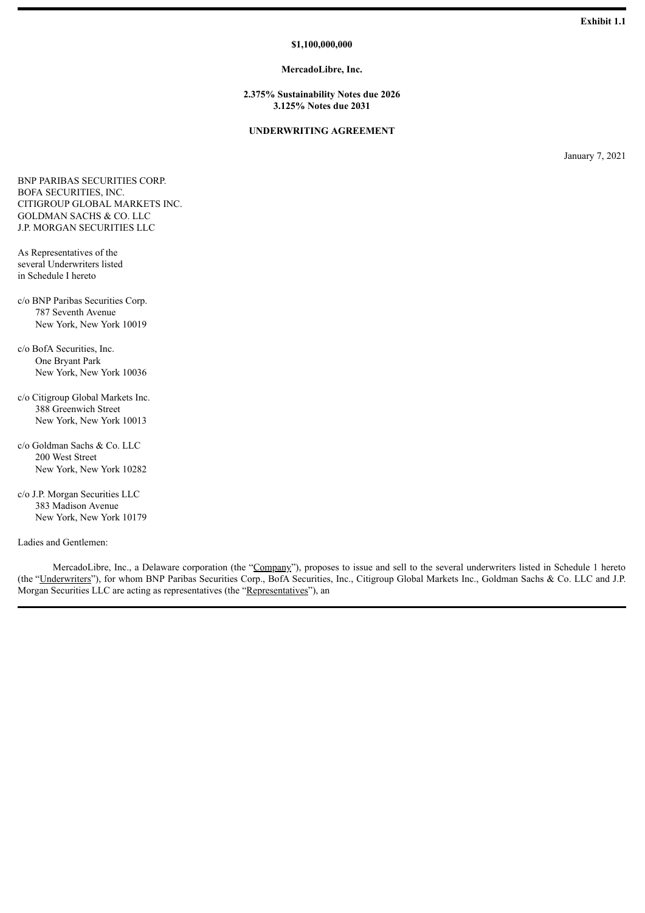#### **\$1,100,000,000**

#### **MercadoLibre, Inc.**

**2.375% Sustainability Notes due 2026 3.125% Notes due 2031**

### **UNDERWRITING AGREEMENT**

January 7, 2021

<span id="page-4-0"></span>BNP PARIBAS SECURITIES CORP. BOFA SECURITIES, INC. CITIGROUP GLOBAL MARKETS INC. GOLDMAN SACHS & CO. LLC J.P. MORGAN SECURITIES LLC

As Representatives of the several Underwriters listed in Schedule I hereto

- c/o BNP Paribas Securities Corp. 787 Seventh Avenue New York, New York 10019
- c/o BofA Securities, Inc. One Bryant Park New York, New York 10036
- c/o Citigroup Global Markets Inc. 388 Greenwich Street New York, New York 10013
- c/o Goldman Sachs & Co. LLC 200 West Street New York, New York 10282
- c/o J.P. Morgan Securities LLC 383 Madison Avenue New York, New York 10179

Ladies and Gentlemen:

MercadoLibre, Inc., a Delaware corporation (the "Company"), proposes to issue and sell to the several underwriters listed in Schedule 1 hereto (the "Underwriters"), for whom BNP Paribas Securities Corp., BofA Securities, Inc., Citigroup Global Markets Inc., Goldman Sachs & Co. LLC and J.P. Morgan Securities LLC are acting as representatives (the "Representatives"), an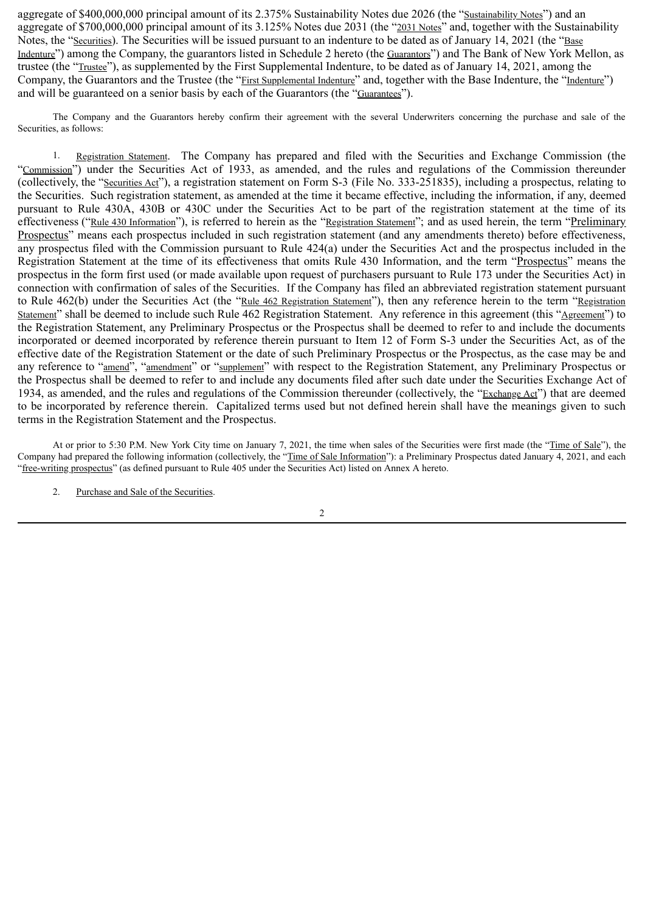aggregate of \$400,000,000 principal amount of its 2.375% Sustainability Notes due 2026 (the "Sustainability Notes") and an aggregate of \$700,000,000 principal amount of its 3.125% Notes due 2031 (the "2031 Notes" and, together with the Sustainability Notes, the "Securities). The Securities will be issued pursuant to an indenture to be dated as of January 14, 2021 (the "Base Indenture") among the Company, the guarantors listed in Schedule 2 hereto (the Guarantors") and The Bank of New York Mellon, as trustee (the "Trustee"), as supplemented by the First Supplemental Indenture, to be dated as of January 14, 2021, among the Company, the Guarantors and the Trustee (the "First Supplemental Indenture" and, together with the Base Indenture, the "Indenture") and will be guaranteed on a senior basis by each of the Guarantors (the "Guarantees").

The Company and the Guarantors hereby confirm their agreement with the several Underwriters concerning the purchase and sale of the Securities, as follows:

1. Registration Statement. The Company has prepared and filed with the Securities and Exchange Commission (the "Commission") under the Securities Act of 1933, as amended, and the rules and regulations of the Commission thereunder (collectively, the "Securities Act"), a registration statement on Form S-3 (File No. 333-251835), including a prospectus, relating to the Securities. Such registration statement, as amended at the time it became effective, including the information, if any, deemed pursuant to Rule 430A, 430B or 430C under the Securities Act to be part of the registration statement at the time of its effectiveness ("Rule 430 Information"), is referred to herein as the "Registration Statement"; and as used herein, the term "Preliminary Prospectus" means each prospectus included in such registration statement (and any amendments thereto) before effectiveness, any prospectus filed with the Commission pursuant to Rule 424(a) under the Securities Act and the prospectus included in the Registration Statement at the time of its effectiveness that omits Rule 430 Information, and the term "Prospectus" means the prospectus in the form first used (or made available upon request of purchasers pursuant to Rule 173 under the Securities Act) in connection with confirmation of sales of the Securities. If the Company has filed an abbreviated registration statement pursuant to Rule 462(b) under the Securities Act (the "Rule 462 Registration Statement"), then any reference herein to the term "Registration Statement" shall be deemed to include such Rule 462 Registration Statement. Any reference in this agreement (this "Agreement") to the Registration Statement, any Preliminary Prospectus or the Prospectus shall be deemed to refer to and include the documents incorporated or deemed incorporated by reference therein pursuant to Item 12 of Form S-3 under the Securities Act, as of the effective date of the Registration Statement or the date of such Preliminary Prospectus or the Prospectus, as the case may be and any reference to "amend", "amendment" or "supplement" with respect to the Registration Statement, any Preliminary Prospectus or the Prospectus shall be deemed to refer to and include any documents filed after such date under the Securities Exchange Act of 1934, as amended, and the rules and regulations of the Commission thereunder (collectively, the "Exchange Act") that are deemed to be incorporated by reference therein. Capitalized terms used but not defined herein shall have the meanings given to such terms in the Registration Statement and the Prospectus.

At or prior to 5:30 P.M. New York City time on January 7, 2021, the time when sales of the Securities were first made (the "Time of Sale"), the Company had prepared the following information (collectively, the "Time of Sale Information"): a Preliminary Prospectus dated January 4, 2021, and each "free-writing prospectus" (as defined pursuant to Rule 405 under the Securities Act) listed on Annex A hereto.

2. Purchase and Sale of the Securities.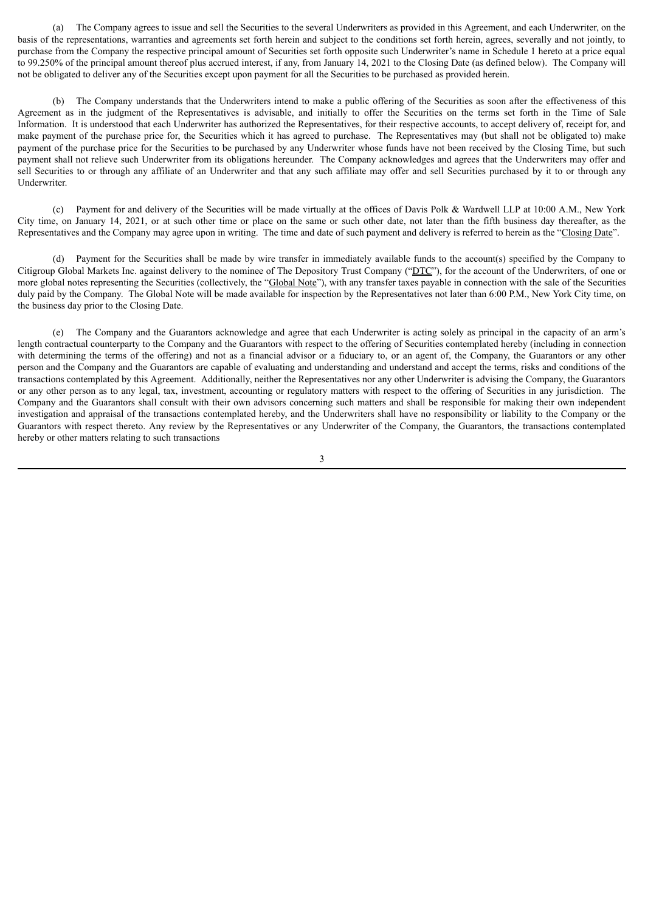(a) The Company agrees to issue and sell the Securities to the several Underwriters as provided in this Agreement, and each Underwriter, on the basis of the representations, warranties and agreements set forth herein and subject to the conditions set forth herein, agrees, severally and not jointly, to purchase from the Company the respective principal amount of Securities set forth opposite such Underwriter's name in Schedule 1 hereto at a price equal to 99.250% of the principal amount thereof plus accrued interest, if any, from January 14, 2021 to the Closing Date (as defined below). The Company will not be obligated to deliver any of the Securities except upon payment for all the Securities to be purchased as provided herein.

(b) The Company understands that the Underwriters intend to make a public offering of the Securities as soon after the effectiveness of this Agreement as in the judgment of the Representatives is advisable, and initially to offer the Securities on the terms set forth in the Time of Sale Information. It is understood that each Underwriter has authorized the Representatives, for their respective accounts, to accept delivery of, receipt for, and make payment of the purchase price for, the Securities which it has agreed to purchase. The Representatives may (but shall not be obligated to) make payment of the purchase price for the Securities to be purchased by any Underwriter whose funds have not been received by the Closing Time, but such payment shall not relieve such Underwriter from its obligations hereunder. The Company acknowledges and agrees that the Underwriters may offer and sell Securities to or through any affiliate of an Underwriter and that any such affiliate may offer and sell Securities purchased by it to or through any Underwriter.

(c) Payment for and delivery of the Securities will be made virtually at the offices of Davis Polk & Wardwell LLP at 10:00 A.M., New York City time, on January 14, 2021, or at such other time or place on the same or such other date, not later than the fifth business day thereafter, as the Representatives and the Company may agree upon in writing. The time and date of such payment and delivery is referred to herein as the "Closing Date".

(d) Payment for the Securities shall be made by wire transfer in immediately available funds to the account(s) specified by the Company to Citigroup Global Markets Inc. against delivery to the nominee of The Depository Trust Company ("DTC"), for the account of the Underwriters, of one or more global notes representing the Securities (collectively, the "Global Note"), with any transfer taxes payable in connection with the sale of the Securities duly paid by the Company. The Global Note will be made available for inspection by the Representatives not later than 6:00 P.M., New York City time, on the business day prior to the Closing Date.

(e) The Company and the Guarantors acknowledge and agree that each Underwriter is acting solely as principal in the capacity of an arm's length contractual counterparty to the Company and the Guarantors with respect to the offering of Securities contemplated hereby (including in connection with determining the terms of the offering) and not as a financial advisor or a fiduciary to, or an agent of, the Company, the Guarantors or any other person and the Company and the Guarantors are capable of evaluating and understanding and understand and accept the terms, risks and conditions of the transactions contemplated by this Agreement. Additionally, neither the Representatives nor any other Underwriter is advising the Company, the Guarantors or any other person as to any legal, tax, investment, accounting or regulatory matters with respect to the offering of Securities in any jurisdiction. The Company and the Guarantors shall consult with their own advisors concerning such matters and shall be responsible for making their own independent investigation and appraisal of the transactions contemplated hereby, and the Underwriters shall have no responsibility or liability to the Company or the Guarantors with respect thereto. Any review by the Representatives or any Underwriter of the Company, the Guarantors, the transactions contemplated hereby or other matters relating to such transactions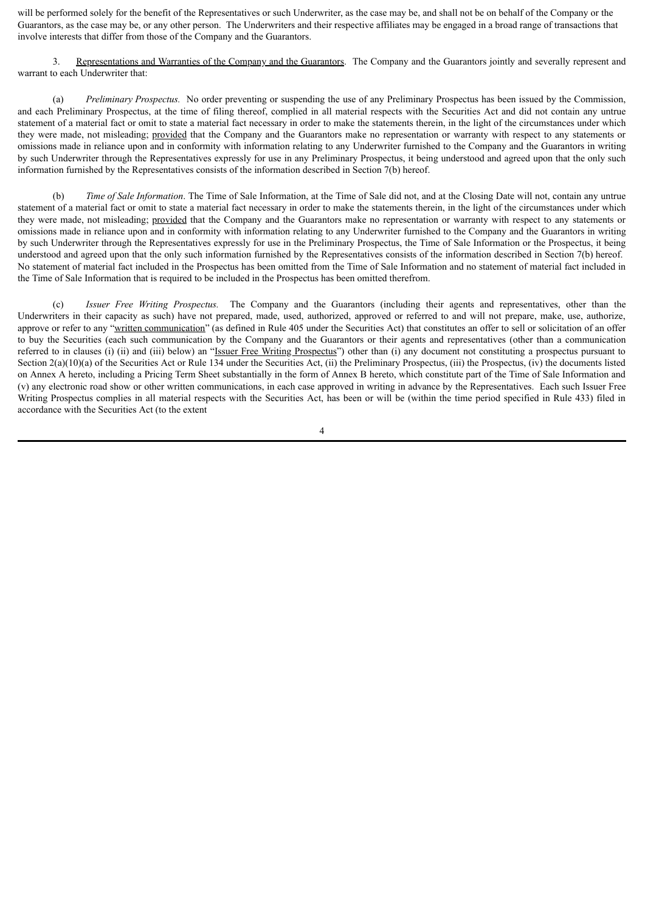will be performed solely for the benefit of the Representatives or such Underwriter, as the case may be, and shall not be on behalf of the Company or the Guarantors, as the case may be, or any other person. The Underwriters and their respective affiliates may be engaged in a broad range of transactions that involve interests that differ from those of the Company and the Guarantors.

3. Representations and Warranties of the Company and the Guarantors. The Company and the Guarantors jointly and severally represent and warrant to each Underwriter that:

(a) *Preliminary Prospectus.* No order preventing or suspending the use of any Preliminary Prospectus has been issued by the Commission, and each Preliminary Prospectus, at the time of filing thereof, complied in all material respects with the Securities Act and did not contain any untrue statement of a material fact or omit to state a material fact necessary in order to make the statements therein, in the light of the circumstances under which they were made, not misleading; provided that the Company and the Guarantors make no representation or warranty with respect to any statements or omissions made in reliance upon and in conformity with information relating to any Underwriter furnished to the Company and the Guarantors in writing by such Underwriter through the Representatives expressly for use in any Preliminary Prospectus, it being understood and agreed upon that the only such information furnished by the Representatives consists of the information described in Section 7(b) hereof.

(b) *Time of Sale Information*. The Time of Sale Information, at the Time of Sale did not, and at the Closing Date will not, contain any untrue statement of a material fact or omit to state a material fact necessary in order to make the statements therein, in the light of the circumstances under which they were made, not misleading; provided that the Company and the Guarantors make no representation or warranty with respect to any statements or omissions made in reliance upon and in conformity with information relating to any Underwriter furnished to the Company and the Guarantors in writing by such Underwriter through the Representatives expressly for use in the Preliminary Prospectus, the Time of Sale Information or the Prospectus, it being understood and agreed upon that the only such information furnished by the Representatives consists of the information described in Section 7(b) hereof. No statement of material fact included in the Prospectus has been omitted from the Time of Sale Information and no statement of material fact included in the Time of Sale Information that is required to be included in the Prospectus has been omitted therefrom.

(c) *Issuer Free Writing Prospectus.* The Company and the Guarantors (including their agents and representatives, other than the Underwriters in their capacity as such) have not prepared, made, used, authorized, approved or referred to and will not prepare, make, use, authorize, approve or refer to any "written communication" (as defined in Rule 405 under the Securities Act) that constitutes an offer to sell or solicitation of an offer to buy the Securities (each such communication by the Company and the Guarantors or their agents and representatives (other than a communication referred to in clauses (i) (ii) and (iii) below) an "Issuer Free Writing Prospectus") other than (i) any document not constituting a prospectus pursuant to Section  $2(a)(10)(a)$  of the Securities Act or Rule 134 under the Securities Act, (ii) the Preliminary Prospectus, (iii) the Prospectus, (iv) the documents listed on Annex A hereto, including a Pricing Term Sheet substantially in the form of Annex B hereto, which constitute part of the Time of Sale Information and (v) any electronic road show or other written communications, in each case approved in writing in advance by the Representatives. Each such Issuer Free Writing Prospectus complies in all material respects with the Securities Act, has been or will be (within the time period specified in Rule 433) filed in accordance with the Securities Act (to the extent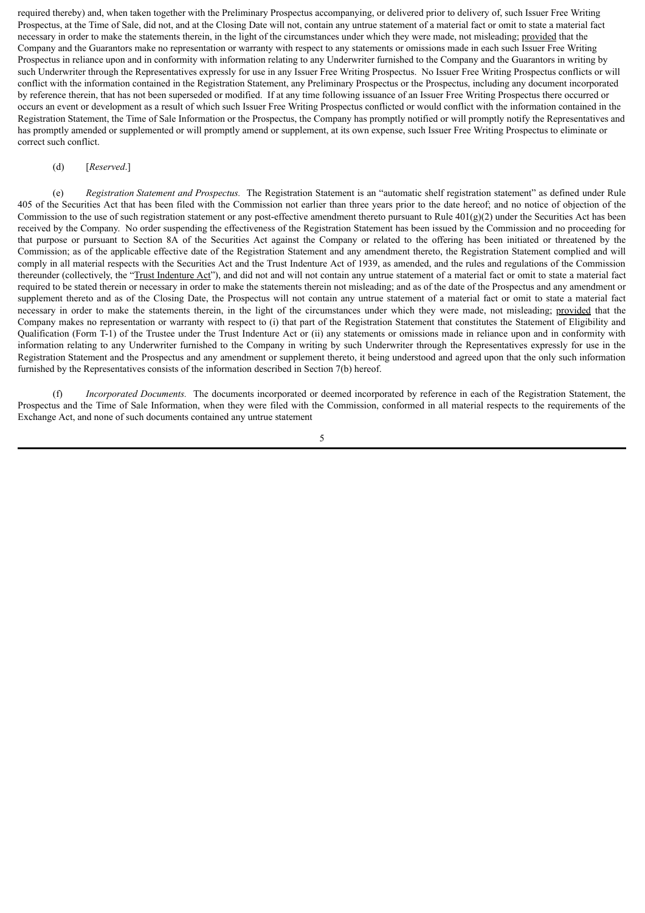required thereby) and, when taken together with the Preliminary Prospectus accompanying, or delivered prior to delivery of, such Issuer Free Writing Prospectus, at the Time of Sale, did not, and at the Closing Date will not, contain any untrue statement of a material fact or omit to state a material fact necessary in order to make the statements therein, in the light of the circumstances under which they were made, not misleading; provided that the Company and the Guarantors make no representation or warranty with respect to any statements or omissions made in each such Issuer Free Writing Prospectus in reliance upon and in conformity with information relating to any Underwriter furnished to the Company and the Guarantors in writing by such Underwriter through the Representatives expressly for use in any Issuer Free Writing Prospectus. No Issuer Free Writing Prospectus conflicts or will conflict with the information contained in the Registration Statement, any Preliminary Prospectus or the Prospectus, including any document incorporated by reference therein, that has not been superseded or modified. If at any time following issuance of an Issuer Free Writing Prospectus there occurred or occurs an event or development as a result of which such Issuer Free Writing Prospectus conflicted or would conflict with the information contained in the Registration Statement, the Time of Sale Information or the Prospectus, the Company has promptly notified or will promptly notify the Representatives and has promptly amended or supplemented or will promptly amend or supplement, at its own expense, such Issuer Free Writing Prospectus to eliminate or correct such conflict.

#### (d) [*Reserved*.]

(e) *Registration Statement and Prospectus.* The Registration Statement is an "automatic shelf registration statement" as defined under Rule 405 of the Securities Act that has been filed with the Commission not earlier than three years prior to the date hereof; and no notice of objection of the Commission to the use of such registration statement or any post-effective amendment thereto pursuant to Rule  $401(g)(2)$  under the Securities Act has been received by the Company. No order suspending the effectiveness of the Registration Statement has been issued by the Commission and no proceeding for that purpose or pursuant to Section 8A of the Securities Act against the Company or related to the offering has been initiated or threatened by the Commission; as of the applicable effective date of the Registration Statement and any amendment thereto, the Registration Statement complied and will comply in all material respects with the Securities Act and the Trust Indenture Act of 1939, as amended, and the rules and regulations of the Commission thereunder (collectively, the "Trust Indenture Act"), and did not and will not contain any untrue statement of a material fact or omit to state a material fact required to be stated therein or necessary in order to make the statements therein not misleading; and as of the date of the Prospectus and any amendment or supplement thereto and as of the Closing Date, the Prospectus will not contain any untrue statement of a material fact or omit to state a material fact necessary in order to make the statements therein, in the light of the circumstances under which they were made, not misleading; provided that the Company makes no representation or warranty with respect to (i) that part of the Registration Statement that constitutes the Statement of Eligibility and Qualification (Form T-1) of the Trustee under the Trust Indenture Act or (ii) any statements or omissions made in reliance upon and in conformity with information relating to any Underwriter furnished to the Company in writing by such Underwriter through the Representatives expressly for use in the Registration Statement and the Prospectus and any amendment or supplement thereto, it being understood and agreed upon that the only such information furnished by the Representatives consists of the information described in Section 7(b) hereof.

(f) *Incorporated Documents.* The documents incorporated or deemed incorporated by reference in each of the Registration Statement, the Prospectus and the Time of Sale Information, when they were filed with the Commission, conformed in all material respects to the requirements of the Exchange Act, and none of such documents contained any untrue statement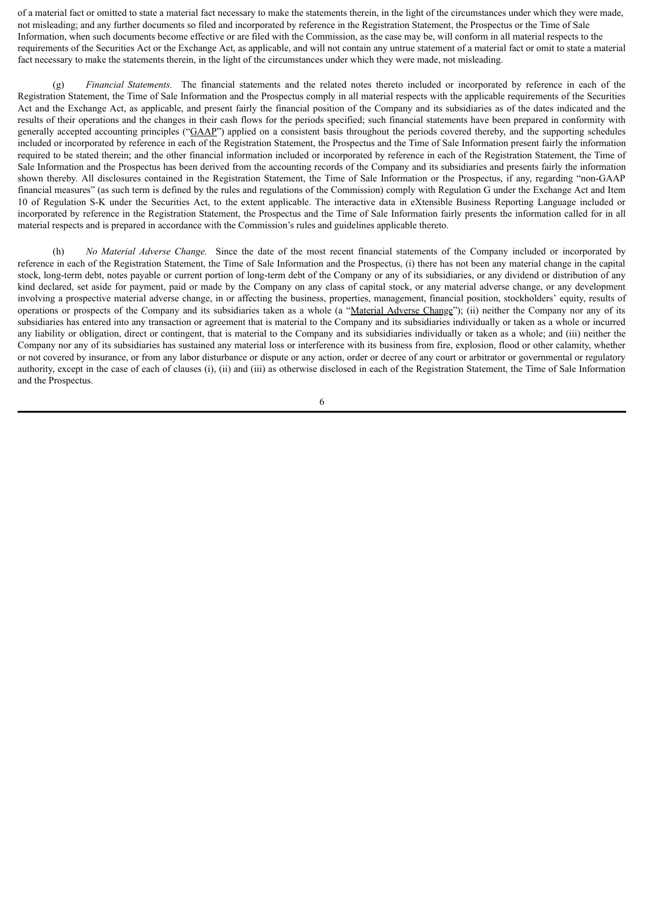of a material fact or omitted to state a material fact necessary to make the statements therein, in the light of the circumstances under which they were made, not misleading; and any further documents so filed and incorporated by reference in the Registration Statement, the Prospectus or the Time of Sale Information, when such documents become effective or are filed with the Commission, as the case may be, will conform in all material respects to the requirements of the Securities Act or the Exchange Act, as applicable, and will not contain any untrue statement of a material fact or omit to state a material fact necessary to make the statements therein, in the light of the circumstances under which they were made, not misleading.

(g) *Financial Statements.* The financial statements and the related notes thereto included or incorporated by reference in each of the Registration Statement, the Time of Sale Information and the Prospectus comply in all material respects with the applicable requirements of the Securities Act and the Exchange Act, as applicable, and present fairly the financial position of the Company and its subsidiaries as of the dates indicated and the results of their operations and the changes in their cash flows for the periods specified; such financial statements have been prepared in conformity with generally accepted accounting principles ("GAAP") applied on a consistent basis throughout the periods covered thereby, and the supporting schedules included or incorporated by reference in each of the Registration Statement, the Prospectus and the Time of Sale Information present fairly the information required to be stated therein; and the other financial information included or incorporated by reference in each of the Registration Statement, the Time of Sale Information and the Prospectus has been derived from the accounting records of the Company and its subsidiaries and presents fairly the information shown thereby. All disclosures contained in the Registration Statement, the Time of Sale Information or the Prospectus, if any, regarding "non-GAAP financial measures" (as such term is defined by the rules and regulations of the Commission) comply with Regulation G under the Exchange Act and Item 10 of Regulation S-K under the Securities Act, to the extent applicable. The interactive data in eXtensible Business Reporting Language included or incorporated by reference in the Registration Statement, the Prospectus and the Time of Sale Information fairly presents the information called for in all material respects and is prepared in accordance with the Commission's rules and guidelines applicable thereto.

(h) *No Material Adverse Change.* Since the date of the most recent financial statements of the Company included or incorporated by reference in each of the Registration Statement, the Time of Sale Information and the Prospectus, (i) there has not been any material change in the capital stock, long-term debt, notes payable or current portion of long-term debt of the Company or any of its subsidiaries, or any dividend or distribution of any kind declared, set aside for payment, paid or made by the Company on any class of capital stock, or any material adverse change, or any development involving a prospective material adverse change, in or affecting the business, properties, management, financial position, stockholders' equity, results of operations or prospects of the Company and its subsidiaries taken as a whole (a "Material Adverse Change"); (ii) neither the Company nor any of its subsidiaries has entered into any transaction or agreement that is material to the Company and its subsidiaries individually or taken as a whole or incurred any liability or obligation, direct or contingent, that is material to the Company and its subsidiaries individually or taken as a whole; and (iii) neither the Company nor any of its subsidiaries has sustained any material loss or interference with its business from fire, explosion, flood or other calamity, whether or not covered by insurance, or from any labor disturbance or dispute or any action, order or decree of any court or arbitrator or governmental or regulatory authority, except in the case of each of clauses (i), (ii) and (iii) as otherwise disclosed in each of the Registration Statement, the Time of Sale Information and the Prospectus.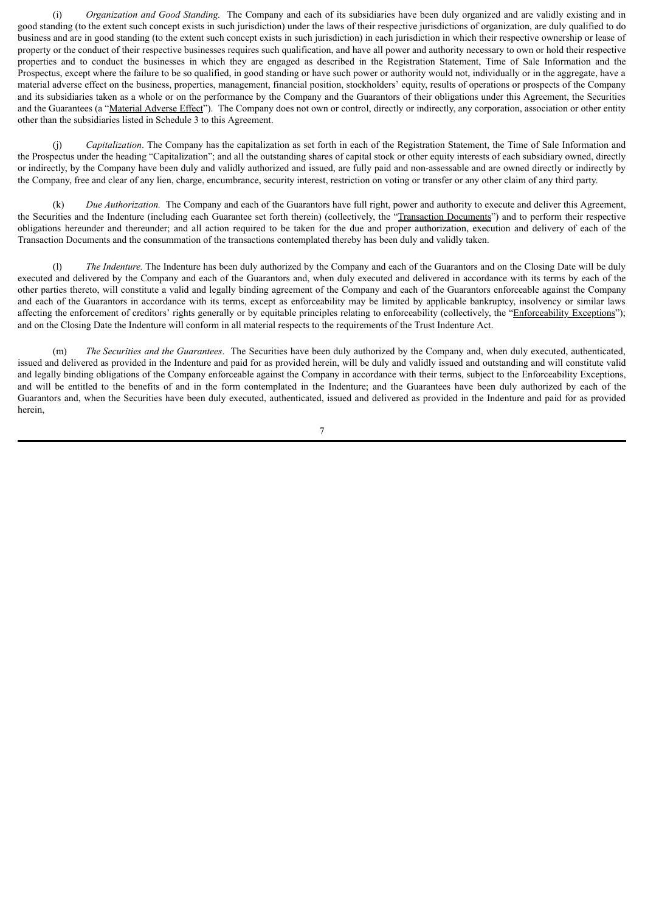(i) *Organization and Good Standing.* The Company and each of its subsidiaries have been duly organized and are validly existing and in good standing (to the extent such concept exists in such jurisdiction) under the laws of their respective jurisdictions of organization, are duly qualified to do business and are in good standing (to the extent such concept exists in such jurisdiction) in each jurisdiction in which their respective ownership or lease of property or the conduct of their respective businesses requires such qualification, and have all power and authority necessary to own or hold their respective properties and to conduct the businesses in which they are engaged as described in the Registration Statement, Time of Sale Information and the Prospectus, except where the failure to be so qualified, in good standing or have such power or authority would not, individually or in the aggregate, have a material adverse effect on the business, properties, management, financial position, stockholders' equity, results of operations or prospects of the Company and its subsidiaries taken as a whole or on the performance by the Company and the Guarantors of their obligations under this Agreement, the Securities and the Guarantees (a "Material Adverse Effect"). The Company does not own or control, directly or indirectly, any corporation, association or other entity other than the subsidiaries listed in Schedule 3 to this Agreement.

(j) *Capitalization*. The Company has the capitalization as set forth in each of the Registration Statement, the Time of Sale Information and the Prospectus under the heading "Capitalization"; and all the outstanding shares of capital stock or other equity interests of each subsidiary owned, directly or indirectly, by the Company have been duly and validly authorized and issued, are fully paid and non-assessable and are owned directly or indirectly by the Company, free and clear of any lien, charge, encumbrance, security interest, restriction on voting or transfer or any other claim of any third party.

(k) *Due Authorization.* The Company and each of the Guarantors have full right, power and authority to execute and deliver this Agreement, the Securities and the Indenture (including each Guarantee set forth therein) (collectively, the "Transaction Documents") and to perform their respective obligations hereunder and thereunder; and all action required to be taken for the due and proper authorization, execution and delivery of each of the Transaction Documents and the consummation of the transactions contemplated thereby has been duly and validly taken.

(l) *The Indenture.* The Indenture has been duly authorized by the Company and each of the Guarantors and on the Closing Date will be duly executed and delivered by the Company and each of the Guarantors and, when duly executed and delivered in accordance with its terms by each of the other parties thereto, will constitute a valid and legally binding agreement of the Company and each of the Guarantors enforceable against the Company and each of the Guarantors in accordance with its terms, except as enforceability may be limited by applicable bankruptcy, insolvency or similar laws affecting the enforcement of creditors' rights generally or by equitable principles relating to enforceability (collectively, the "Enforceability Exceptions"); and on the Closing Date the Indenture will conform in all material respects to the requirements of the Trust Indenture Act.

(m) *The Securities and the Guarantees*. The Securities have been duly authorized by the Company and, when duly executed, authenticated, issued and delivered as provided in the Indenture and paid for as provided herein, will be duly and validly issued and outstanding and will constitute valid and legally binding obligations of the Company enforceable against the Company in accordance with their terms, subject to the Enforceability Exceptions, and will be entitled to the benefits of and in the form contemplated in the Indenture; and the Guarantees have been duly authorized by each of the Guarantors and, when the Securities have been duly executed, authenticated, issued and delivered as provided in the Indenture and paid for as provided herein,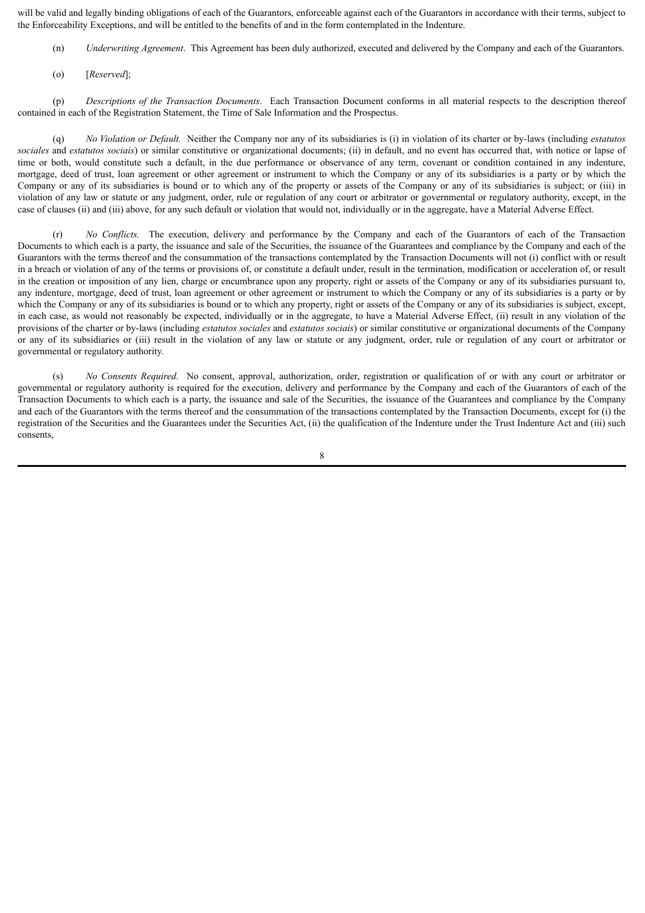will be valid and legally binding obligations of each of the Guarantors, enforceable against each of the Guarantors in accordance with their terms, subject to the Enforceability Exceptions, and will be entitled to the benefits of and in the form contemplated in the Indenture.

- (n) *Underwriting Agreement*. This Agreement has been duly authorized, executed and delivered by the Company and each of the Guarantors.
- (o) [*Reserved*];

(p) *Descriptions of the Transaction Documents*. Each Transaction Document conforms in all material respects to the description thereof contained in each of the Registration Statement, the Time of Sale Information and the Prospectus.

(q) *No Violation or Default.* Neither the Company nor any of its subsidiaries is (i) in violation of its charter or by-laws (including *estatutos sociales* and *estatutos sociais*) or similar constitutive or organizational documents; (ii) in default, and no event has occurred that, with notice or lapse of time or both, would constitute such a default, in the due performance or observance of any term, covenant or condition contained in any indenture, mortgage, deed of trust, loan agreement or other agreement or instrument to which the Company or any of its subsidiaries is a party or by which the Company or any of its subsidiaries is bound or to which any of the property or assets of the Company or any of its subsidiaries is subject; or (iii) in violation of any law or statute or any judgment, order, rule or regulation of any court or arbitrator or governmental or regulatory authority, except, in the case of clauses (ii) and (iii) above, for any such default or violation that would not, individually or in the aggregate, have a Material Adverse Effect.

(r) *No Conflicts.* The execution, delivery and performance by the Company and each of the Guarantors of each of the Transaction Documents to which each is a party, the issuance and sale of the Securities, the issuance of the Guarantees and compliance by the Company and each of the Guarantors with the terms thereof and the consummation of the transactions contemplated by the Transaction Documents will not (i) conflict with or result in a breach or violation of any of the terms or provisions of, or constitute a default under, result in the termination, modification or acceleration of, or result in the creation or imposition of any lien, charge or encumbrance upon any property, right or assets of the Company or any of its subsidiaries pursuant to, any indenture, mortgage, deed of trust, loan agreement or other agreement or instrument to which the Company or any of its subsidiaries is a party or by which the Company or any of its subsidiaries is bound or to which any property, right or assets of the Company or any of its subsidiaries is subject, except, in each case, as would not reasonably be expected, individually or in the aggregate, to have a Material Adverse Effect, (ii) result in any violation of the provisions of the charter or by-laws (including *estatutos sociales* and *estatutos sociais*) or similar constitutive or organizational documents of the Company or any of its subsidiaries or (iii) result in the violation of any law or statute or any judgment, order, rule or regulation of any court or arbitrator or governmental or regulatory authority.

(s) *No Consents Required*. No consent, approval, authorization, order, registration or qualification of or with any court or arbitrator or governmental or regulatory authority is required for the execution, delivery and performance by the Company and each of the Guarantors of each of the Transaction Documents to which each is a party, the issuance and sale of the Securities, the issuance of the Guarantees and compliance by the Company and each of the Guarantors with the terms thereof and the consummation of the transactions contemplated by the Transaction Documents, except for (i) the registration of the Securities and the Guarantees under the Securities Act, (ii) the qualification of the Indenture under the Trust Indenture Act and (iii) such consents,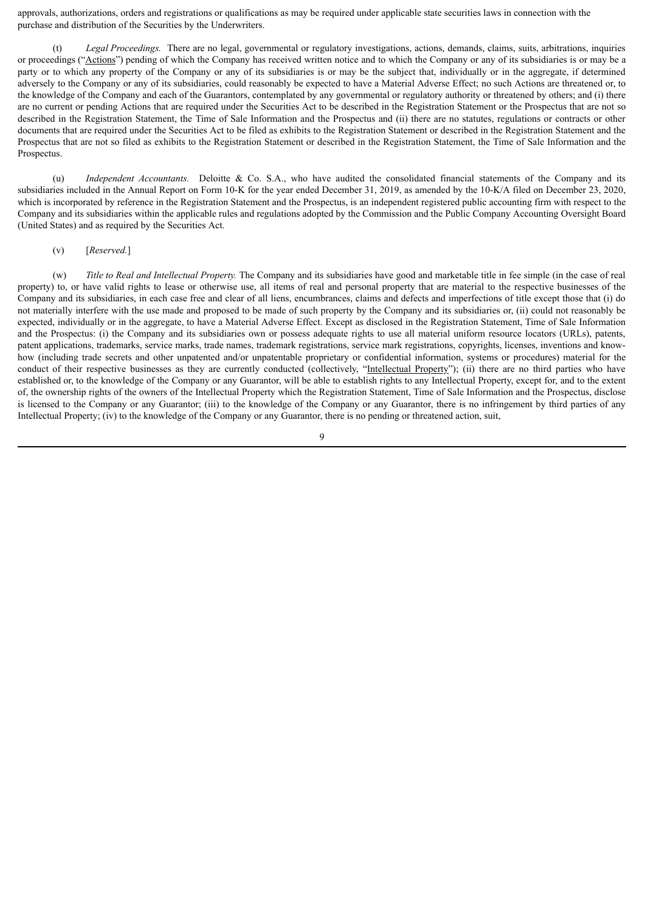approvals, authorizations, orders and registrations or qualifications as may be required under applicable state securities laws in connection with the purchase and distribution of the Securities by the Underwriters.

Legal Proceedings. There are no legal, governmental or regulatory investigations, actions, demands, claims, suits, arbitrations, inquiries or proceedings ("Actions") pending of which the Company has received written notice and to which the Company or any of its subsidiaries is or may be a party or to which any property of the Company or any of its subsidiaries is or may be the subject that, individually or in the aggregate, if determined adversely to the Company or any of its subsidiaries, could reasonably be expected to have a Material Adverse Effect; no such Actions are threatened or, to the knowledge of the Company and each of the Guarantors, contemplated by any governmental or regulatory authority or threatened by others; and (i) there are no current or pending Actions that are required under the Securities Act to be described in the Registration Statement or the Prospectus that are not so described in the Registration Statement, the Time of Sale Information and the Prospectus and (ii) there are no statutes, regulations or contracts or other documents that are required under the Securities Act to be filed as exhibits to the Registration Statement or described in the Registration Statement and the Prospectus that are not so filed as exhibits to the Registration Statement or described in the Registration Statement, the Time of Sale Information and the Prospectus.

(u) *Independent Accountants.* Deloitte & Co. S.A., who have audited the consolidated financial statements of the Company and its subsidiaries included in the Annual Report on Form 10-K for the year ended December 31, 2019, as amended by the 10-K/A filed on December 23, 2020, which is incorporated by reference in the Registration Statement and the Prospectus, is an independent registered public accounting firm with respect to the Company and its subsidiaries within the applicable rules and regulations adopted by the Commission and the Public Company Accounting Oversight Board (United States) and as required by the Securities Act.

#### (v) [*Reserved.*]

(w) *Title to Real and Intellectual Property.* The Company and its subsidiaries have good and marketable title in fee simple (in the case of real property) to, or have valid rights to lease or otherwise use, all items of real and personal property that are material to the respective businesses of the Company and its subsidiaries, in each case free and clear of all liens, encumbrances, claims and defects and imperfections of title except those that (i) do not materially interfere with the use made and proposed to be made of such property by the Company and its subsidiaries or, (ii) could not reasonably be expected, individually or in the aggregate, to have a Material Adverse Effect. Except as disclosed in the Registration Statement, Time of Sale Information and the Prospectus: (i) the Company and its subsidiaries own or possess adequate rights to use all material uniform resource locators (URLs), patents, patent applications, trademarks, service marks, trade names, trademark registrations, service mark registrations, copyrights, licenses, inventions and knowhow (including trade secrets and other unpatented and/or unpatentable proprietary or confidential information, systems or procedures) material for the conduct of their respective businesses as they are currently conducted (collectively, "Intellectual Property"); (ii) there are no third parties who have established or, to the knowledge of the Company or any Guarantor, will be able to establish rights to any Intellectual Property, except for, and to the extent of, the ownership rights of the owners of the Intellectual Property which the Registration Statement, Time of Sale Information and the Prospectus, disclose is licensed to the Company or any Guarantor; (iii) to the knowledge of the Company or any Guarantor, there is no infringement by third parties of any Intellectual Property; (iv) to the knowledge of the Company or any Guarantor, there is no pending or threatened action, suit,

 $\overline{Q}$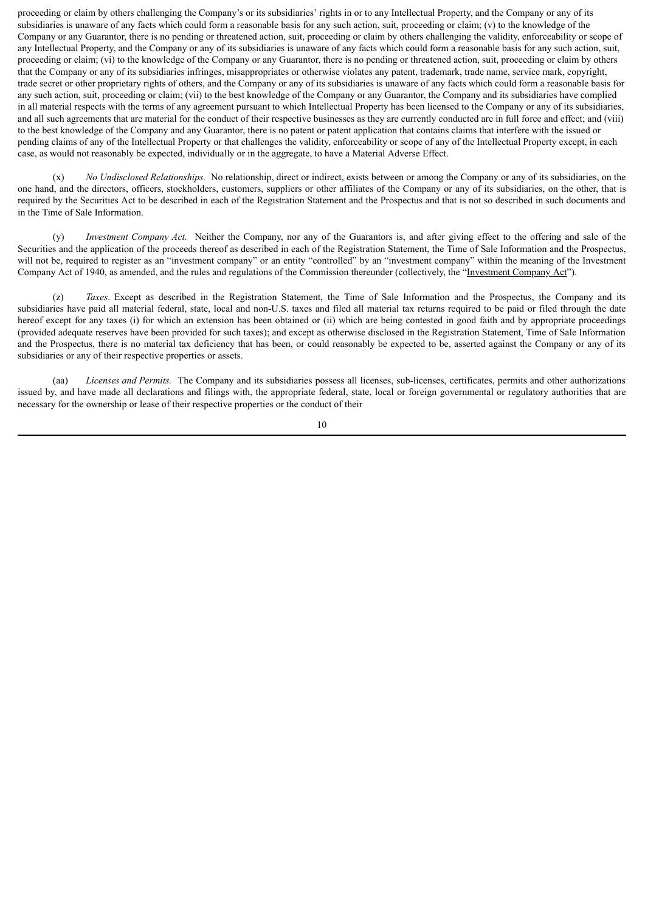proceeding or claim by others challenging the Company's or its subsidiaries' rights in or to any Intellectual Property, and the Company or any of its subsidiaries is unaware of any facts which could form a reasonable basis for any such action, suit, proceeding or claim; (v) to the knowledge of the Company or any Guarantor, there is no pending or threatened action, suit, proceeding or claim by others challenging the validity, enforceability or scope of any Intellectual Property, and the Company or any of its subsidiaries is unaware of any facts which could form a reasonable basis for any such action, suit, proceeding or claim; (vi) to the knowledge of the Company or any Guarantor, there is no pending or threatened action, suit, proceeding or claim by others that the Company or any of its subsidiaries infringes, misappropriates or otherwise violates any patent, trademark, trade name, service mark, copyright, trade secret or other proprietary rights of others, and the Company or any of its subsidiaries is unaware of any facts which could form a reasonable basis for any such action, suit, proceeding or claim; (vii) to the best knowledge of the Company or any Guarantor, the Company and its subsidiaries have complied in all material respects with the terms of any agreement pursuant to which Intellectual Property has been licensed to the Company or any of its subsidiaries, and all such agreements that are material for the conduct of their respective businesses as they are currently conducted are in full force and effect; and (viii) to the best knowledge of the Company and any Guarantor, there is no patent or patent application that contains claims that interfere with the issued or pending claims of any of the Intellectual Property or that challenges the validity, enforceability or scope of any of the Intellectual Property except, in each case, as would not reasonably be expected, individually or in the aggregate, to have a Material Adverse Effect.

(x) *No Undisclosed Relationships.* No relationship, direct or indirect, exists between or among the Company or any of its subsidiaries, on the one hand, and the directors, officers, stockholders, customers, suppliers or other affiliates of the Company or any of its subsidiaries, on the other, that is required by the Securities Act to be described in each of the Registration Statement and the Prospectus and that is not so described in such documents and in the Time of Sale Information.

(y) *Investment Company Act.* Neither the Company, nor any of the Guarantors is, and after giving effect to the offering and sale of the Securities and the application of the proceeds thereof as described in each of the Registration Statement, the Time of Sale Information and the Prospectus, will not be, required to register as an "investment company" or an entity "controlled" by an "investment company" within the meaning of the Investment Company Act of 1940, as amended, and the rules and regulations of the Commission thereunder (collectively, the "Investment Company Act").

(z) *Taxes*. Except as described in the Registration Statement, the Time of Sale Information and the Prospectus, the Company and its subsidiaries have paid all material federal, state, local and non-U.S. taxes and filed all material tax returns required to be paid or filed through the date hereof except for any taxes (i) for which an extension has been obtained or (ii) which are being contested in good faith and by appropriate proceedings (provided adequate reserves have been provided for such taxes); and except as otherwise disclosed in the Registration Statement, Time of Sale Information and the Prospectus, there is no material tax deficiency that has been, or could reasonably be expected to be, asserted against the Company or any of its subsidiaries or any of their respective properties or assets.

(aa) *Licenses and Permits.* The Company and its subsidiaries possess all licenses, sub-licenses, certificates, permits and other authorizations issued by, and have made all declarations and filings with, the appropriate federal, state, local or foreign governmental or regulatory authorities that are necessary for the ownership or lease of their respective properties or the conduct of their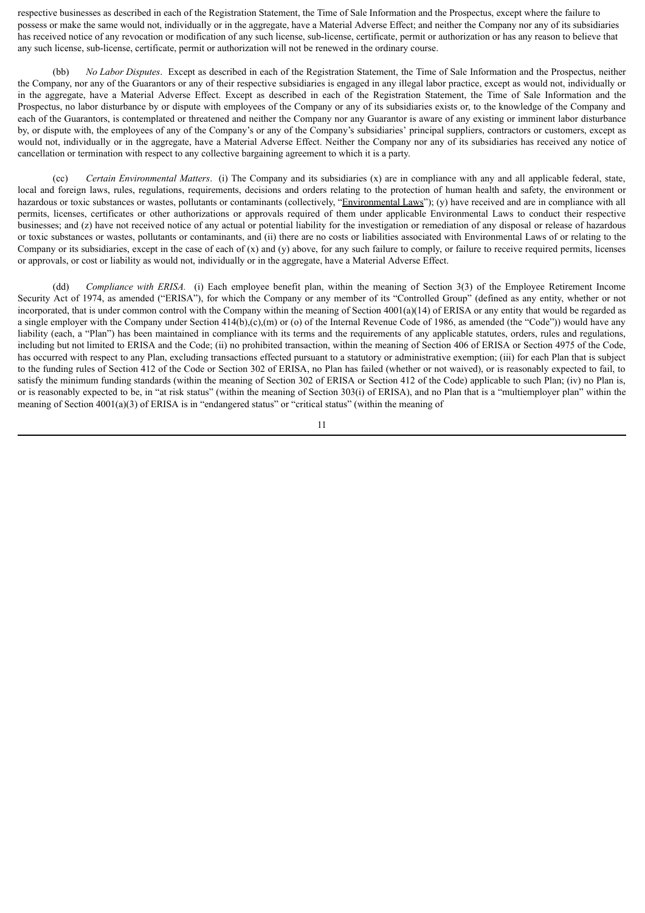respective businesses as described in each of the Registration Statement, the Time of Sale Information and the Prospectus, except where the failure to possess or make the same would not, individually or in the aggregate, have a Material Adverse Effect; and neither the Company nor any of its subsidiaries has received notice of any revocation or modification of any such license, sub-license, certificate, permit or authorization or has any reason to believe that any such license, sub-license, certificate, permit or authorization will not be renewed in the ordinary course.

(bb) *No Labor Disputes*. Except as described in each of the Registration Statement, the Time of Sale Information and the Prospectus, neither the Company, nor any of the Guarantors or any of their respective subsidiaries is engaged in any illegal labor practice, except as would not, individually or in the aggregate, have a Material Adverse Effect. Except as described in each of the Registration Statement, the Time of Sale Information and the Prospectus, no labor disturbance by or dispute with employees of the Company or any of its subsidiaries exists or, to the knowledge of the Company and each of the Guarantors, is contemplated or threatened and neither the Company nor any Guarantor is aware of any existing or imminent labor disturbance by, or dispute with, the employees of any of the Company's or any of the Company's subsidiaries' principal suppliers, contractors or customers, except as would not, individually or in the aggregate, have a Material Adverse Effect. Neither the Company nor any of its subsidiaries has received any notice of cancellation or termination with respect to any collective bargaining agreement to which it is a party.

(cc) *Certain Environmental Matters*. (i) The Company and its subsidiaries (x) are in compliance with any and all applicable federal, state, local and foreign laws, rules, regulations, requirements, decisions and orders relating to the protection of human health and safety, the environment or hazardous or toxic substances or wastes, pollutants or contaminants (collectively, "Environmental Laws"); (y) have received and are in compliance with all permits, licenses, certificates or other authorizations or approvals required of them under applicable Environmental Laws to conduct their respective businesses; and (z) have not received notice of any actual or potential liability for the investigation or remediation of any disposal or release of hazardous or toxic substances or wastes, pollutants or contaminants, and (ii) there are no costs or liabilities associated with Environmental Laws of or relating to the Company or its subsidiaries, except in the case of each of  $(x)$  and  $(y)$  above, for any such failure to comply, or failure to receive required permits, licenses or approvals, or cost or liability as would not, individually or in the aggregate, have a Material Adverse Effect.

(dd) *Compliance with ERISA.* (i) Each employee benefit plan, within the meaning of Section 3(3) of the Employee Retirement Income Security Act of 1974, as amended ("ERISA"), for which the Company or any member of its "Controlled Group" (defined as any entity, whether or not incorporated, that is under common control with the Company within the meaning of Section  $4001(a)(14)$  of ERISA or any entity that would be regarded as a single employer with the Company under Section  $414(b),(c),(m)$  or (o) of the Internal Revenue Code of 1986, as amended (the "Code")) would have any liability (each, a "Plan") has been maintained in compliance with its terms and the requirements of any applicable statutes, orders, rules and regulations, including but not limited to ERISA and the Code; (ii) no prohibited transaction, within the meaning of Section 406 of ERISA or Section 4975 of the Code, has occurred with respect to any Plan, excluding transactions effected pursuant to a statutory or administrative exemption; (iii) for each Plan that is subject to the funding rules of Section 412 of the Code or Section 302 of ERISA, no Plan has failed (whether or not waived), or is reasonably expected to fail, to satisfy the minimum funding standards (within the meaning of Section 302 of ERISA or Section 412 of the Code) applicable to such Plan; (iv) no Plan is, or is reasonably expected to be, in "at risk status" (within the meaning of Section 303(i) of ERISA), and no Plan that is a "multiemployer plan" within the meaning of Section  $4001(a)(3)$  of ERISA is in "endangered status" or "critical status" (within the meaning of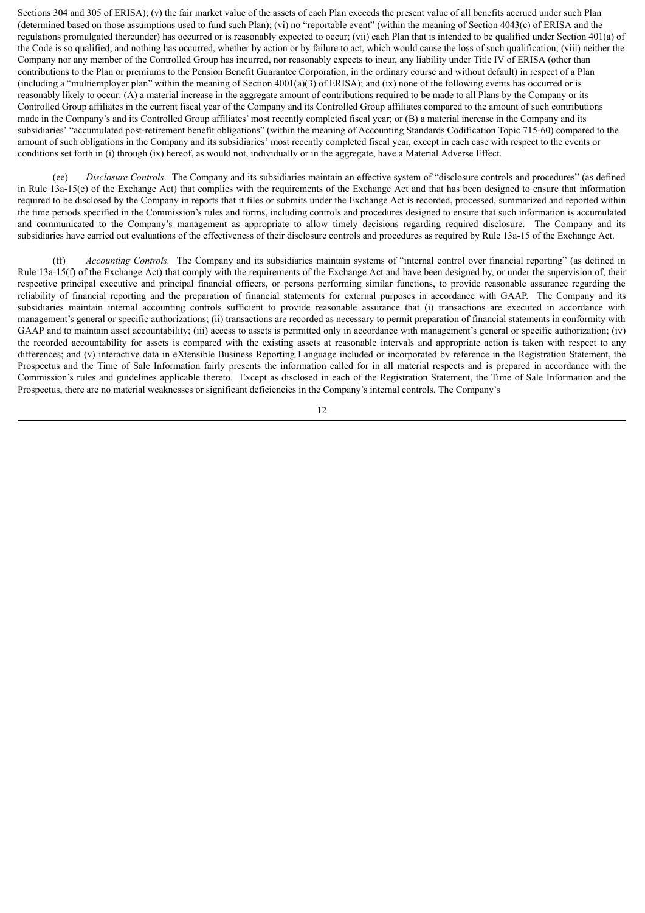Sections 304 and 305 of ERISA); (v) the fair market value of the assets of each Plan exceeds the present value of all benefits accrued under such Plan (determined based on those assumptions used to fund such Plan); (vi) no "reportable event" (within the meaning of Section 4043(c) of ERISA and the regulations promulgated thereunder) has occurred or is reasonably expected to occur; (vii) each Plan that is intended to be qualified under Section 401(a) of the Code is so qualified, and nothing has occurred, whether by action or by failure to act, which would cause the loss of such qualification; (viii) neither the Company nor any member of the Controlled Group has incurred, nor reasonably expects to incur, any liability under Title IV of ERISA (other than contributions to the Plan or premiums to the Pension Benefit Guarantee Corporation, in the ordinary course and without default) in respect of a Plan (including a "multiemployer plan" within the meaning of Section 4001(a)(3) of ERISA); and (ix) none of the following events has occurred or is reasonably likely to occur: (A) a material increase in the aggregate amount of contributions required to be made to all Plans by the Company or its Controlled Group affiliates in the current fiscal year of the Company and its Controlled Group affiliates compared to the amount of such contributions made in the Company's and its Controlled Group affiliates' most recently completed fiscal year; or (B) a material increase in the Company and its subsidiaries' "accumulated post-retirement benefit obligations" (within the meaning of Accounting Standards Codification Topic 715-60) compared to the amount of such obligations in the Company and its subsidiaries' most recently completed fiscal year, except in each case with respect to the events or conditions set forth in (i) through (ix) hereof, as would not, individually or in the aggregate, have a Material Adverse Effect.

(ee) *Disclosure Controls*. The Company and its subsidiaries maintain an effective system of "disclosure controls and procedures" (as defined in Rule 13a-15(e) of the Exchange Act) that complies with the requirements of the Exchange Act and that has been designed to ensure that information required to be disclosed by the Company in reports that it files or submits under the Exchange Act is recorded, processed, summarized and reported within the time periods specified in the Commission's rules and forms, including controls and procedures designed to ensure that such information is accumulated and communicated to the Company's management as appropriate to allow timely decisions regarding required disclosure. The Company and its subsidiaries have carried out evaluations of the effectiveness of their disclosure controls and procedures as required by Rule 13a-15 of the Exchange Act.

(ff) *Accounting Controls.* The Company and its subsidiaries maintain systems of "internal control over financial reporting" (as defined in Rule 13a-15(f) of the Exchange Act) that comply with the requirements of the Exchange Act and have been designed by, or under the supervision of, their respective principal executive and principal financial officers, or persons performing similar functions, to provide reasonable assurance regarding the reliability of financial reporting and the preparation of financial statements for external purposes in accordance with GAAP. The Company and its subsidiaries maintain internal accounting controls sufficient to provide reasonable assurance that (i) transactions are executed in accordance with management's general or specific authorizations; (ii) transactions are recorded as necessary to permit preparation of financial statements in conformity with GAAP and to maintain asset accountability; (iii) access to assets is permitted only in accordance with management's general or specific authorization; (iv) the recorded accountability for assets is compared with the existing assets at reasonable intervals and appropriate action is taken with respect to any differences; and (v) interactive data in eXtensible Business Reporting Language included or incorporated by reference in the Registration Statement, the Prospectus and the Time of Sale Information fairly presents the information called for in all material respects and is prepared in accordance with the Commission's rules and guidelines applicable thereto. Except as disclosed in each of the Registration Statement, the Time of Sale Information and the Prospectus, there are no material weaknesses or significant deficiencies in the Company's internal controls. The Company's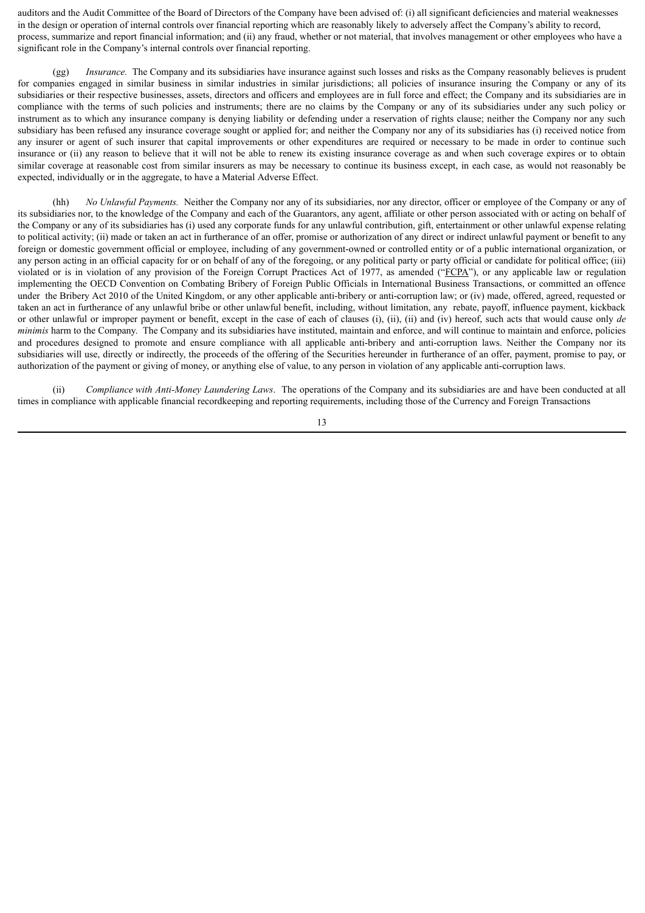auditors and the Audit Committee of the Board of Directors of the Company have been advised of: (i) all significant deficiencies and material weaknesses in the design or operation of internal controls over financial reporting which are reasonably likely to adversely affect the Company's ability to record, process, summarize and report financial information; and (ii) any fraud, whether or not material, that involves management or other employees who have a significant role in the Company's internal controls over financial reporting.

*Insurance.* The Company and its subsidiaries have insurance against such losses and risks as the Company reasonably believes is prudent for companies engaged in similar business in similar industries in similar jurisdictions; all policies of insurance insuring the Company or any of its subsidiaries or their respective businesses, assets, directors and officers and employees are in full force and effect; the Company and its subsidiaries are in compliance with the terms of such policies and instruments; there are no claims by the Company or any of its subsidiaries under any such policy or instrument as to which any insurance company is denying liability or defending under a reservation of rights clause; neither the Company nor any such subsidiary has been refused any insurance coverage sought or applied for; and neither the Company nor any of its subsidiaries has (i) received notice from any insurer or agent of such insurer that capital improvements or other expenditures are required or necessary to be made in order to continue such insurance or (ii) any reason to believe that it will not be able to renew its existing insurance coverage as and when such coverage expires or to obtain similar coverage at reasonable cost from similar insurers as may be necessary to continue its business except, in each case, as would not reasonably be expected, individually or in the aggregate, to have a Material Adverse Effect.

(hh) *No Unlawful Payments.* Neither the Company nor any of its subsidiaries, nor any director, officer or employee of the Company or any of its subsidiaries nor, to the knowledge of the Company and each of the Guarantors, any agent, affiliate or other person associated with or acting on behalf of the Company or any of its subsidiaries has (i) used any corporate funds for any unlawful contribution, gift, entertainment or other unlawful expense relating to political activity; (ii) made or taken an act in furtherance of an offer, promise or authorization of any direct or indirect unlawful payment or benefit to any foreign or domestic government official or employee, including of any government-owned or controlled entity or of a public international organization, or any person acting in an official capacity for or on behalf of any of the foregoing, or any political party or party official or candidate for political office; (iii) violated or is in violation of any provision of the Foreign Corrupt Practices Act of 1977, as amended ("FCPA"), or any applicable law or regulation implementing the OECD Convention on Combating Bribery of Foreign Public Officials in International Business Transactions, or committed an offence under the Bribery Act 2010 of the United Kingdom, or any other applicable anti-bribery or anti-corruption law; or (iv) made, offered, agreed, requested or taken an act in furtherance of any unlawful bribe or other unlawful benefit, including, without limitation, any rebate, payoff, influence payment, kickback or other unlawful or improper payment or benefit, except in the case of each of clauses (i), (ii), (ii) and (iv) hereof, such acts that would cause only *de minimis* harm to the Company. The Company and its subsidiaries have instituted, maintain and enforce, and will continue to maintain and enforce, policies and procedures designed to promote and ensure compliance with all applicable anti-bribery and anti-corruption laws. Neither the Company nor its subsidiaries will use, directly or indirectly, the proceeds of the offering of the Securities hereunder in furtherance of an offer, payment, promise to pay, or authorization of the payment or giving of money, or anything else of value, to any person in violation of any applicable anti-corruption laws.

(ii) *Compliance with Anti-Money Laundering Laws*. The operations of the Company and its subsidiaries are and have been conducted at all times in compliance with applicable financial recordkeeping and reporting requirements, including those of the Currency and Foreign Transactions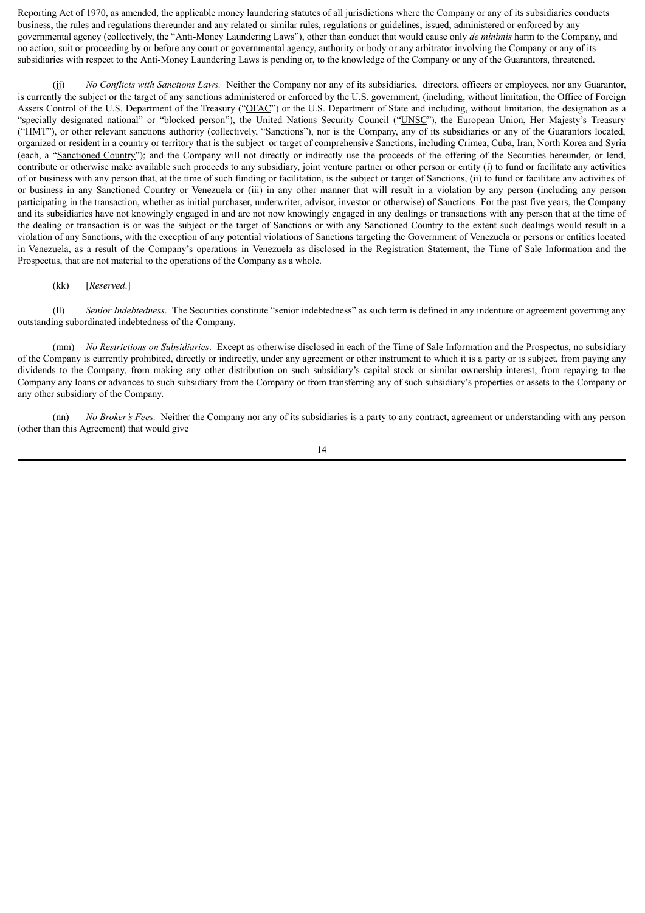Reporting Act of 1970, as amended, the applicable money laundering statutes of all jurisdictions where the Company or any of its subsidiaries conducts business, the rules and regulations thereunder and any related or similar rules, regulations or guidelines, issued, administered or enforced by any governmental agency (collectively, the "Anti-Money Laundering Laws"), other than conduct that would cause only *de minimis* harm to the Company, and no action, suit or proceeding by or before any court or governmental agency, authority or body or any arbitrator involving the Company or any of its subsidiaries with respect to the Anti-Money Laundering Laws is pending or, to the knowledge of the Company or any of the Guarantors, threatened.

(jj) *No Conflicts with Sanctions Laws.* Neither the Company nor any of its subsidiaries, directors, officers or employees, nor any Guarantor, is currently the subject or the target of any sanctions administered or enforced by the U.S. government, (including, without limitation, the Office of Foreign Assets Control of the U.S. Department of the Treasury ("OFAC") or the U.S. Department of State and including, without limitation, the designation as a "specially designated national" or "blocked person"), the United Nations Security Council ("UNSC"), the European Union, Her Majesty's Treasury ("HMT"), or other relevant sanctions authority (collectively, "Sanctions"), nor is the Company, any of its subsidiaries or any of the Guarantors located, organized or resident in a country or territory that is the subject or target of comprehensive Sanctions, including Crimea, Cuba, Iran, North Korea and Syria (each, a "Sanctioned Country"); and the Company will not directly or indirectly use the proceeds of the offering of the Securities hereunder, or lend, contribute or otherwise make available such proceeds to any subsidiary, joint venture partner or other person or entity (i) to fund or facilitate any activities of or business with any person that, at the time of such funding or facilitation, is the subject or target of Sanctions, (ii) to fund or facilitate any activities of or business in any Sanctioned Country or Venezuela or (iii) in any other manner that will result in a violation by any person (including any person participating in the transaction, whether as initial purchaser, underwriter, advisor, investor or otherwise) of Sanctions. For the past five years, the Company and its subsidiaries have not knowingly engaged in and are not now knowingly engaged in any dealings or transactions with any person that at the time of the dealing or transaction is or was the subject or the target of Sanctions or with any Sanctioned Country to the extent such dealings would result in a violation of any Sanctions, with the exception of any potential violations of Sanctions targeting the Government of Venezuela or persons or entities located in Venezuela, as a result of the Company's operations in Venezuela as disclosed in the Registration Statement, the Time of Sale Information and the Prospectus, that are not material to the operations of the Company as a whole.

#### (kk) [*Reserved*.]

(ll) *Senior Indebtedness*. The Securities constitute "senior indebtedness" as such term is defined in any indenture or agreement governing any outstanding subordinated indebtedness of the Company.

(mm) *No Restrictions on Subsidiaries*. Except as otherwise disclosed in each of the Time of Sale Information and the Prospectus, no subsidiary of the Company is currently prohibited, directly or indirectly, under any agreement or other instrument to which it is a party or is subject, from paying any dividends to the Company, from making any other distribution on such subsidiary's capital stock or similar ownership interest, from repaying to the Company any loans or advances to such subsidiary from the Company or from transferring any of such subsidiary's properties or assets to the Company or any other subsidiary of the Company.

(nn) *No Broker's Fees.* Neither the Company nor any of its subsidiaries is a party to any contract, agreement or understanding with any person (other than this Agreement) that would give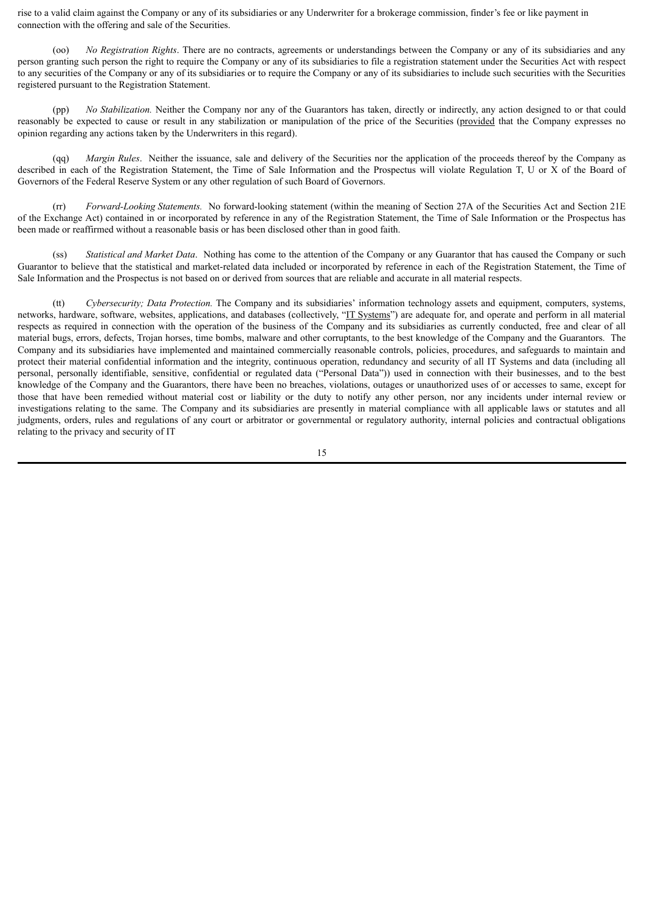rise to a valid claim against the Company or any of its subsidiaries or any Underwriter for a brokerage commission, finder's fee or like payment in connection with the offering and sale of the Securities.

(oo) *No Registration Rights*. There are no contracts, agreements or understandings between the Company or any of its subsidiaries and any person granting such person the right to require the Company or any of its subsidiaries to file a registration statement under the Securities Act with respect to any securities of the Company or any of its subsidiaries or to require the Company or any of its subsidiaries to include such securities with the Securities registered pursuant to the Registration Statement.

(pp) *No Stabilization.* Neither the Company nor any of the Guarantors has taken, directly or indirectly, any action designed to or that could reasonably be expected to cause or result in any stabilization or manipulation of the price of the Securities (provided that the Company expresses no opinion regarding any actions taken by the Underwriters in this regard).

(qq) *Margin Rules*. Neither the issuance, sale and delivery of the Securities nor the application of the proceeds thereof by the Company as described in each of the Registration Statement, the Time of Sale Information and the Prospectus will violate Regulation T, U or X of the Board of Governors of the Federal Reserve System or any other regulation of such Board of Governors.

(rr) *Forward-Looking Statements.* No forward-looking statement (within the meaning of Section 27A of the Securities Act and Section 21E of the Exchange Act) contained in or incorporated by reference in any of the Registration Statement, the Time of Sale Information or the Prospectus has been made or reaffirmed without a reasonable basis or has been disclosed other than in good faith.

(ss) *Statistical and Market Data*. Nothing has come to the attention of the Company or any Guarantor that has caused the Company or such Guarantor to believe that the statistical and market-related data included or incorporated by reference in each of the Registration Statement, the Time of Sale Information and the Prospectus is not based on or derived from sources that are reliable and accurate in all material respects.

(tt) *Cybersecurity; Data Protection.* The Company and its subsidiaries' information technology assets and equipment, computers, systems, networks, hardware, software, websites, applications, and databases (collectively, "IT Systems") are adequate for, and operate and perform in all material respects as required in connection with the operation of the business of the Company and its subsidiaries as currently conducted, free and clear of all material bugs, errors, defects, Trojan horses, time bombs, malware and other corruptants, to the best knowledge of the Company and the Guarantors. The Company and its subsidiaries have implemented and maintained commercially reasonable controls, policies, procedures, and safeguards to maintain and protect their material confidential information and the integrity, continuous operation, redundancy and security of all IT Systems and data (including all personal, personally identifiable, sensitive, confidential or regulated data ("Personal Data")) used in connection with their businesses, and to the best knowledge of the Company and the Guarantors, there have been no breaches, violations, outages or unauthorized uses of or accesses to same, except for those that have been remedied without material cost or liability or the duty to notify any other person, nor any incidents under internal review or investigations relating to the same. The Company and its subsidiaries are presently in material compliance with all applicable laws or statutes and all judgments, orders, rules and regulations of any court or arbitrator or governmental or regulatory authority, internal policies and contractual obligations relating to the privacy and security of IT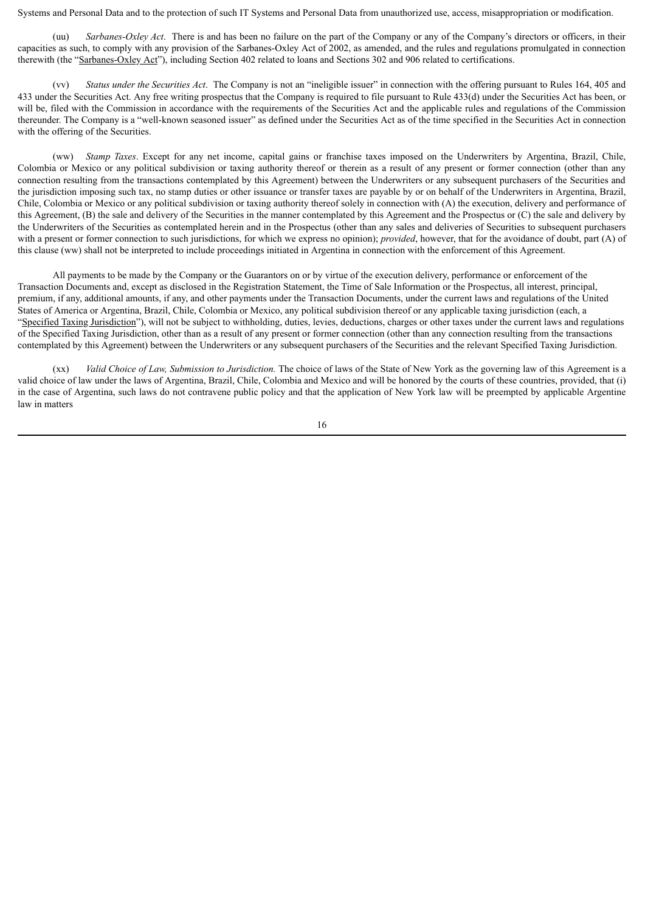Systems and Personal Data and to the protection of such IT Systems and Personal Data from unauthorized use, access, misappropriation or modification.

(uu) *Sarbanes-Oxley Act*. There is and has been no failure on the part of the Company or any of the Company's directors or officers, in their capacities as such, to comply with any provision of the Sarbanes-Oxley Act of 2002, as amended, and the rules and regulations promulgated in connection therewith (the "Sarbanes-Oxley Act"), including Section 402 related to loans and Sections 302 and 906 related to certifications.

(vv) *Status under the Securities Act*. The Company is not an "ineligible issuer" in connection with the offering pursuant to Rules 164, 405 and 433 under the Securities Act. Any free writing prospectus that the Company is required to file pursuant to Rule 433(d) under the Securities Act has been, or will be, filed with the Commission in accordance with the requirements of the Securities Act and the applicable rules and regulations of the Commission thereunder. The Company is a "well-known seasoned issuer" as defined under the Securities Act as of the time specified in the Securities Act in connection with the offering of the Securities.

(ww) *Stamp Taxes*. Except for any net income, capital gains or franchise taxes imposed on the Underwriters by Argentina, Brazil, Chile, Colombia or Mexico or any political subdivision or taxing authority thereof or therein as a result of any present or former connection (other than any connection resulting from the transactions contemplated by this Agreement) between the Underwriters or any subsequent purchasers of the Securities and the jurisdiction imposing such tax, no stamp duties or other issuance or transfer taxes are payable by or on behalf of the Underwriters in Argentina, Brazil, Chile, Colombia or Mexico or any political subdivision or taxing authority thereof solely in connection with (A) the execution, delivery and performance of this Agreement, (B) the sale and delivery of the Securities in the manner contemplated by this Agreement and the Prospectus or (C) the sale and delivery by the Underwriters of the Securities as contemplated herein and in the Prospectus (other than any sales and deliveries of Securities to subsequent purchasers with a present or former connection to such jurisdictions, for which we express no opinion); *provided*, however, that for the avoidance of doubt, part (A) of this clause (ww) shall not be interpreted to include proceedings initiated in Argentina in connection with the enforcement of this Agreement.

All payments to be made by the Company or the Guarantors on or by virtue of the execution delivery, performance or enforcement of the Transaction Documents and, except as disclosed in the Registration Statement, the Time of Sale Information or the Prospectus, all interest, principal, premium, if any, additional amounts, if any, and other payments under the Transaction Documents, under the current laws and regulations of the United States of America or Argentina, Brazil, Chile, Colombia or Mexico, any political subdivision thereof or any applicable taxing jurisdiction (each, a "Specified Taxing Jurisdiction"), will not be subject to withholding, duties, levies, deductions, charges or other taxes under the current laws and regulations of the Specified Taxing Jurisdiction, other than as a result of any present or former connection (other than any connection resulting from the transactions contemplated by this Agreement) between the Underwriters or any subsequent purchasers of the Securities and the relevant Specified Taxing Jurisdiction.

(xx) *Valid Choice of Law, Submission to Jurisdiction.* The choice of laws of the State of New York as the governing law of this Agreement is a valid choice of law under the laws of Argentina, Brazil, Chile, Colombia and Mexico and will be honored by the courts of these countries, provided, that (i) in the case of Argentina, such laws do not contravene public policy and that the application of New York law will be preempted by applicable Argentine law in matters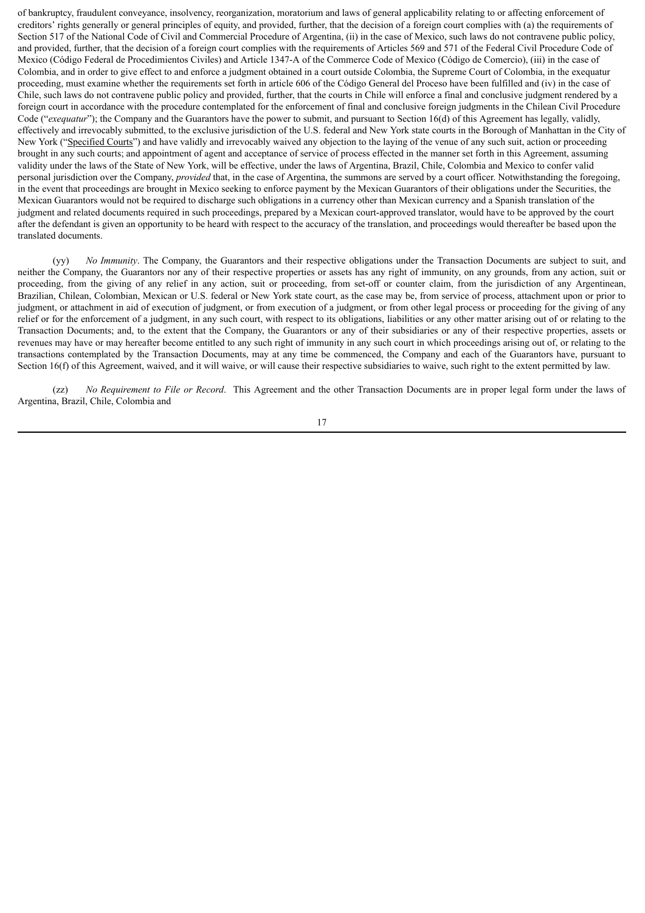of bankruptcy, fraudulent conveyance, insolvency, reorganization, moratorium and laws of general applicability relating to or affecting enforcement of creditors' rights generally or general principles of equity, and provided, further, that the decision of a foreign court complies with (a) the requirements of Section 517 of the National Code of Civil and Commercial Procedure of Argentina, (ii) in the case of Mexico, such laws do not contravene public policy, and provided, further, that the decision of a foreign court complies with the requirements of Articles 569 and 571 of the Federal Civil Procedure Code of Mexico (Código Federal de Procedimientos Civiles) and Article 1347-A of the Commerce Code of Mexico (Código de Comercio), (iii) in the case of Colombia, and in order to give effect to and enforce a judgment obtained in a court outside Colombia, the Supreme Court of Colombia, in the exequatur proceeding, must examine whether the requirements set forth in article 606 of the Código General del Proceso have been fulfilled and (iv) in the case of Chile, such laws do not contravene public policy and provided, further, that the courts in Chile will enforce a final and conclusive judgment rendered by a foreign court in accordance with the procedure contemplated for the enforcement of final and conclusive foreign judgments in the Chilean Civil Procedure Code ("*exequatur*"); the Company and the Guarantors have the power to submit, and pursuant to Section 16(d) of this Agreement has legally, validly, effectively and irrevocably submitted, to the exclusive jurisdiction of the U.S. federal and New York state courts in the Borough of Manhattan in the City of New York ("Specified Courts") and have validly and irrevocably waived any objection to the laying of the venue of any such suit, action or proceeding brought in any such courts; and appointment of agent and acceptance of service of process effected in the manner set forth in this Agreement, assuming validity under the laws of the State of New York, will be effective, under the laws of Argentina, Brazil, Chile, Colombia and Mexico to confer valid personal jurisdiction over the Company, *provided* that, in the case of Argentina, the summons are served by a court officer. Notwithstanding the foregoing, in the event that proceedings are brought in Mexico seeking to enforce payment by the Mexican Guarantors of their obligations under the Securities, the Mexican Guarantors would not be required to discharge such obligations in a currency other than Mexican currency and a Spanish translation of the judgment and related documents required in such proceedings, prepared by a Mexican court-approved translator, would have to be approved by the court after the defendant is given an opportunity to be heard with respect to the accuracy of the translation, and proceedings would thereafter be based upon the translated documents.

(yy) *No Immunity*. The Company, the Guarantors and their respective obligations under the Transaction Documents are subject to suit, and neither the Company, the Guarantors nor any of their respective properties or assets has any right of immunity, on any grounds, from any action, suit or proceeding, from the giving of any relief in any action, suit or proceeding, from set-off or counter claim, from the jurisdiction of any Argentinean, Brazilian, Chilean, Colombian, Mexican or U.S. federal or New York state court, as the case may be, from service of process, attachment upon or prior to judgment, or attachment in aid of execution of judgment, or from execution of a judgment, or from other legal process or proceeding for the giving of any relief or for the enforcement of a judgment, in any such court, with respect to its obligations, liabilities or any other matter arising out of or relating to the Transaction Documents; and, to the extent that the Company, the Guarantors or any of their subsidiaries or any of their respective properties, assets or revenues may have or may hereafter become entitled to any such right of immunity in any such court in which proceedings arising out of, or relating to the transactions contemplated by the Transaction Documents, may at any time be commenced, the Company and each of the Guarantors have, pursuant to Section 16(f) of this Agreement, waived, and it will waive, or will cause their respective subsidiaries to waive, such right to the extent permitted by law.

(zz) *No Requirement to File or Record*. This Agreement and the other Transaction Documents are in proper legal form under the laws of Argentina, Brazil, Chile, Colombia and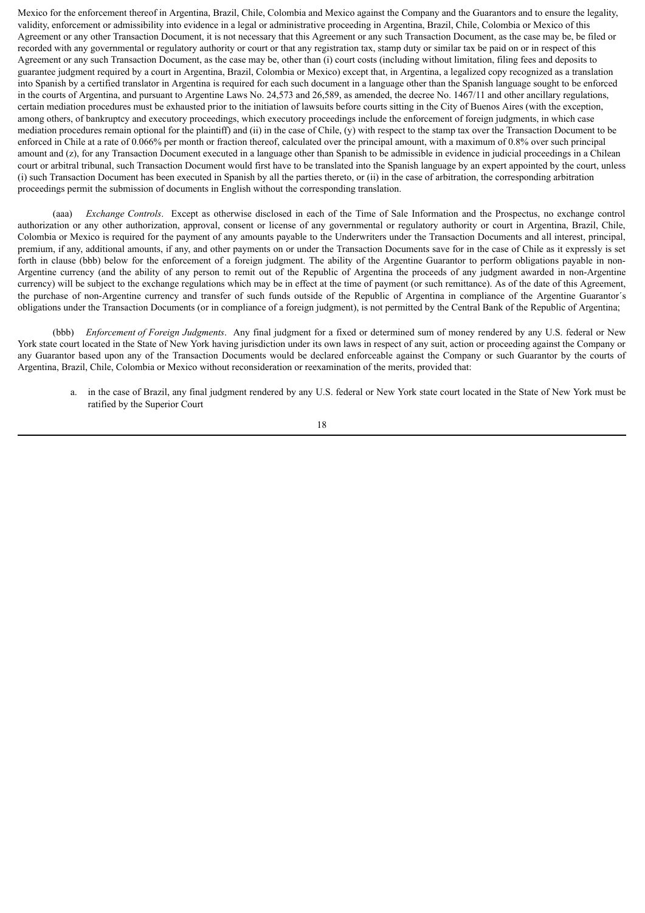Mexico for the enforcement thereof in Argentina, Brazil, Chile, Colombia and Mexico against the Company and the Guarantors and to ensure the legality, validity, enforcement or admissibility into evidence in a legal or administrative proceeding in Argentina, Brazil, Chile, Colombia or Mexico of this Agreement or any other Transaction Document, it is not necessary that this Agreement or any such Transaction Document, as the case may be, be filed or recorded with any governmental or regulatory authority or court or that any registration tax, stamp duty or similar tax be paid on or in respect of this Agreement or any such Transaction Document, as the case may be, other than (i) court costs (including without limitation, filing fees and deposits to guarantee judgment required by a court in Argentina, Brazil, Colombia or Mexico) except that, in Argentina, a legalized copy recognized as a translation into Spanish by a certified translator in Argentina is required for each such document in a language other than the Spanish language sought to be enforced in the courts of Argentina, and pursuant to Argentine Laws No. 24,573 and 26,589, as amended, the decree No. 1467/11 and other ancillary regulations, certain mediation procedures must be exhausted prior to the initiation of lawsuits before courts sitting in the City of Buenos Aires (with the exception, among others, of bankruptcy and executory proceedings, which executory proceedings include the enforcement of foreign judgments, in which case mediation procedures remain optional for the plaintiff) and (ii) in the case of Chile, (y) with respect to the stamp tax over the Transaction Document to be enforced in Chile at a rate of 0.066% per month or fraction thereof, calculated over the principal amount, with a maximum of 0.8% over such principal amount and (z), for any Transaction Document executed in a language other than Spanish to be admissible in evidence in judicial proceedings in a Chilean court or arbitral tribunal, such Transaction Document would first have to be translated into the Spanish language by an expert appointed by the court, unless (i) such Transaction Document has been executed in Spanish by all the parties thereto, or (ii) in the case of arbitration, the corresponding arbitration proceedings permit the submission of documents in English without the corresponding translation.

(aaa) *Exchange Controls*. Except as otherwise disclosed in each of the Time of Sale Information and the Prospectus, no exchange control authorization or any other authorization, approval, consent or license of any governmental or regulatory authority or court in Argentina, Brazil, Chile, Colombia or Mexico is required for the payment of any amounts payable to the Underwriters under the Transaction Documents and all interest, principal, premium, if any, additional amounts, if any, and other payments on or under the Transaction Documents save for in the case of Chile as it expressly is set forth in clause (bbb) below for the enforcement of a foreign judgment. The ability of the Argentine Guarantor to perform obligations payable in non-Argentine currency (and the ability of any person to remit out of the Republic of Argentina the proceeds of any judgment awarded in non-Argentine currency) will be subject to the exchange regulations which may be in effect at the time of payment (or such remittance). As of the date of this Agreement, the purchase of non-Argentine currency and transfer of such funds outside of the Republic of Argentina in compliance of the Argentine Guarantor´s obligations under the Transaction Documents (or in compliance of a foreign judgment), is not permitted by the Central Bank of the Republic of Argentina;

(bbb) *Enforcement of Foreign Judgments*. Any final judgment for a fixed or determined sum of money rendered by any U.S. federal or New York state court located in the State of New York having jurisdiction under its own laws in respect of any suit, action or proceeding against the Company or any Guarantor based upon any of the Transaction Documents would be declared enforceable against the Company or such Guarantor by the courts of Argentina, Brazil, Chile, Colombia or Mexico without reconsideration or reexamination of the merits, provided that:

a. in the case of Brazil, any final judgment rendered by any U.S. federal or New York state court located in the State of New York must be ratified by the Superior Court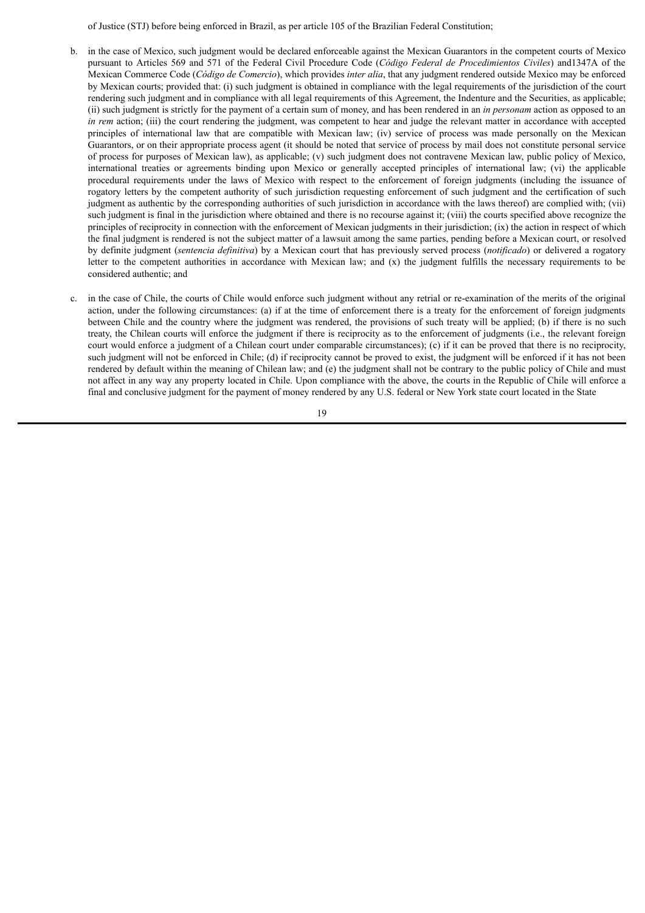of Justice (STJ) before being enforced in Brazil, as per article 105 of the Brazilian Federal Constitution;

- b. in the case of Mexico, such judgment would be declared enforceable against the Mexican Guarantors in the competent courts of Mexico pursuant to Articles 569 and 571 of the Federal Civil Procedure Code (*Código Federal de Procedimientos Civiles*) and1347A of the Mexican Commerce Code (*Código de Comercio*), which provides *inter alia*, that any judgment rendered outside Mexico may be enforced by Mexican courts; provided that: (i) such judgment is obtained in compliance with the legal requirements of the jurisdiction of the court rendering such judgment and in compliance with all legal requirements of this Agreement, the Indenture and the Securities, as applicable; (ii) such judgment is strictly for the payment of a certain sum of money, and has been rendered in an *in personam* action as opposed to an *in rem* action; (iii) the court rendering the judgment, was competent to hear and judge the relevant matter in accordance with accepted principles of international law that are compatible with Mexican law; (iv) service of process was made personally on the Mexican Guarantors, or on their appropriate process agent (it should be noted that service of process by mail does not constitute personal service of process for purposes of Mexican law), as applicable; (v) such judgment does not contravene Mexican law, public policy of Mexico, international treaties or agreements binding upon Mexico or generally accepted principles of international law; (vi) the applicable procedural requirements under the laws of Mexico with respect to the enforcement of foreign judgments (including the issuance of rogatory letters by the competent authority of such jurisdiction requesting enforcement of such judgment and the certification of such judgment as authentic by the corresponding authorities of such jurisdiction in accordance with the laws thereof) are complied with; (vii) such judgment is final in the jurisdiction where obtained and there is no recourse against it; (viii) the courts specified above recognize the principles of reciprocity in connection with the enforcement of Mexican judgments in their jurisdiction; (ix) the action in respect of which the final judgment is rendered is not the subject matter of a lawsuit among the same parties, pending before a Mexican court, or resolved by definite judgment (*sentencia definitiva*) by a Mexican court that has previously served process (*notificado*) or delivered a rogatory letter to the competent authorities in accordance with Mexican law; and (x) the judgment fulfills the necessary requirements to be considered authentic; and
- c. in the case of Chile, the courts of Chile would enforce such judgment without any retrial or re-examination of the merits of the original action, under the following circumstances: (a) if at the time of enforcement there is a treaty for the enforcement of foreign judgments between Chile and the country where the judgment was rendered, the provisions of such treaty will be applied; (b) if there is no such treaty, the Chilean courts will enforce the judgment if there is reciprocity as to the enforcement of judgments (i.e., the relevant foreign court would enforce a judgment of a Chilean court under comparable circumstances); (c) if it can be proved that there is no reciprocity, such judgment will not be enforced in Chile; (d) if reciprocity cannot be proved to exist, the judgment will be enforced if it has not been rendered by default within the meaning of Chilean law; and (e) the judgment shall not be contrary to the public policy of Chile and must not affect in any way any property located in Chile. Upon compliance with the above, the courts in the Republic of Chile will enforce a final and conclusive judgment for the payment of money rendered by any U.S. federal or New York state court located in the State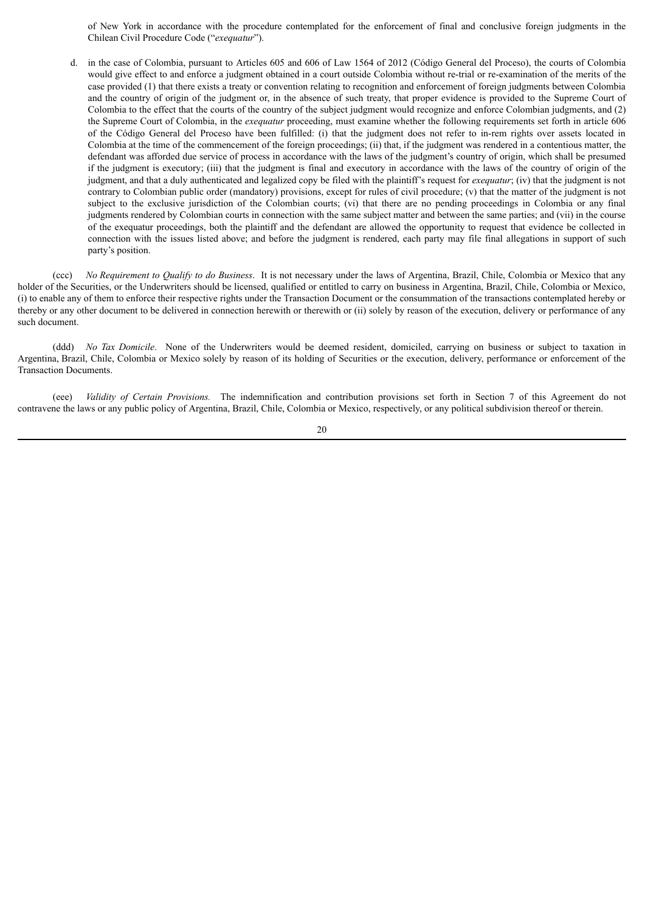of New York in accordance with the procedure contemplated for the enforcement of final and conclusive foreign judgments in the Chilean Civil Procedure Code ("*exequatur*").

d. in the case of Colombia, pursuant to Articles 605 and 606 of Law 1564 of 2012 (Código General del Proceso), the courts of Colombia would give effect to and enforce a judgment obtained in a court outside Colombia without re-trial or re-examination of the merits of the case provided (1) that there exists a treaty or convention relating to recognition and enforcement of foreign judgments between Colombia and the country of origin of the judgment or, in the absence of such treaty, that proper evidence is provided to the Supreme Court of Colombia to the effect that the courts of the country of the subject judgment would recognize and enforce Colombian judgments, and (2) the Supreme Court of Colombia, in the *exequatur* proceeding, must examine whether the following requirements set forth in article 606 of the Código General del Proceso have been fulfilled: (i) that the judgment does not refer to in-rem rights over assets located in Colombia at the time of the commencement of the foreign proceedings; (ii) that, if the judgment was rendered in a contentious matter, the defendant was afforded due service of process in accordance with the laws of the judgment's country of origin, which shall be presumed if the judgment is executory; (iii) that the judgment is final and executory in accordance with the laws of the country of origin of the judgment, and that a duly authenticated and legalized copy be filed with the plaintiff's request for *exequatur*; (iv) that the judgment is not contrary to Colombian public order (mandatory) provisions, except for rules of civil procedure; (v) that the matter of the judgment is not subject to the exclusive jurisdiction of the Colombian courts; (vi) that there are no pending proceedings in Colombia or any final judgments rendered by Colombian courts in connection with the same subject matter and between the same parties; and (vii) in the course of the exequatur proceedings, both the plaintiff and the defendant are allowed the opportunity to request that evidence be collected in connection with the issues listed above; and before the judgment is rendered, each party may file final allegations in support of such party's position.

(ccc) *No Requirement to Qualify to do Business*. It is not necessary under the laws of Argentina, Brazil, Chile, Colombia or Mexico that any holder of the Securities, or the Underwriters should be licensed, qualified or entitled to carry on business in Argentina, Brazil, Chile, Colombia or Mexico, (i) to enable any of them to enforce their respective rights under the Transaction Document or the consummation of the transactions contemplated hereby or thereby or any other document to be delivered in connection herewith or therewith or (ii) solely by reason of the execution, delivery or performance of any such document.

(ddd) *No Tax Domicile*. None of the Underwriters would be deemed resident, domiciled, carrying on business or subject to taxation in Argentina, Brazil, Chile, Colombia or Mexico solely by reason of its holding of Securities or the execution, delivery, performance or enforcement of the Transaction Documents.

(eee) *Validity of Certain Provisions.* The indemnification and contribution provisions set forth in Section 7 of this Agreement do not contravene the laws or any public policy of Argentina, Brazil, Chile, Colombia or Mexico, respectively, or any political subdivision thereof or therein.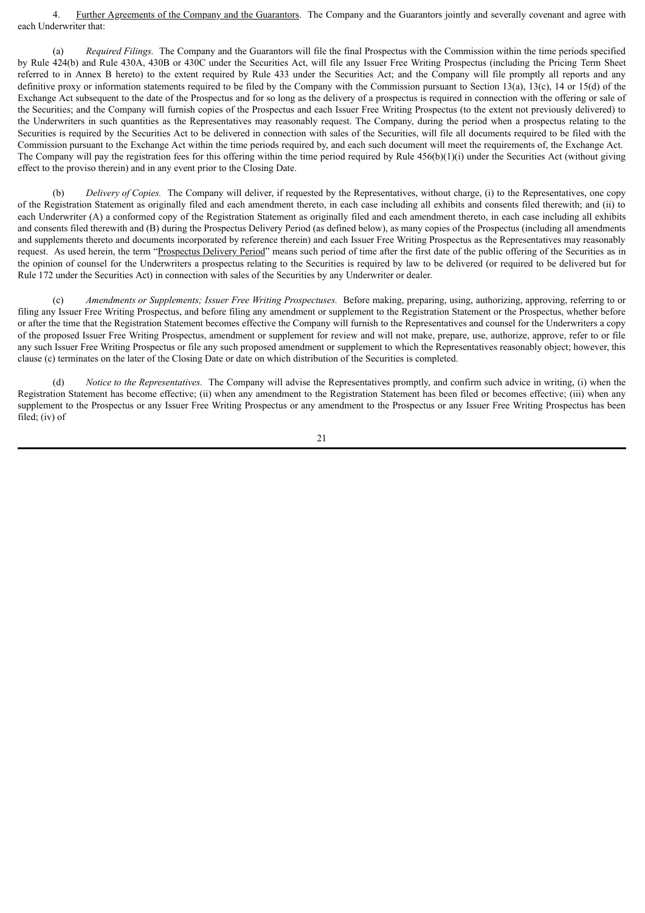4. Further Agreements of the Company and the Guarantors. The Company and the Guarantors jointly and severally covenant and agree with each Underwriter that:

(a) *Required Filings.* The Company and the Guarantors will file the final Prospectus with the Commission within the time periods specified by Rule 424(b) and Rule 430A, 430B or 430C under the Securities Act, will file any Issuer Free Writing Prospectus (including the Pricing Term Sheet referred to in Annex B hereto) to the extent required by Rule 433 under the Securities Act; and the Company will file promptly all reports and any definitive proxy or information statements required to be filed by the Company with the Commission pursuant to Section 13(a), 13(c), 14 or 15(d) of the Exchange Act subsequent to the date of the Prospectus and for so long as the delivery of a prospectus is required in connection with the offering or sale of the Securities; and the Company will furnish copies of the Prospectus and each Issuer Free Writing Prospectus (to the extent not previously delivered) to the Underwriters in such quantities as the Representatives may reasonably request. The Company, during the period when a prospectus relating to the Securities is required by the Securities Act to be delivered in connection with sales of the Securities, will file all documents required to be filed with the Commission pursuant to the Exchange Act within the time periods required by, and each such document will meet the requirements of, the Exchange Act. The Company will pay the registration fees for this offering within the time period required by Rule  $456(b)(1)(i)$  under the Securities Act (without giving effect to the proviso therein) and in any event prior to the Closing Date.

(b) *Delivery of Copies.* The Company will deliver, if requested by the Representatives, without charge, (i) to the Representatives, one copy of the Registration Statement as originally filed and each amendment thereto, in each case including all exhibits and consents filed therewith; and (ii) to each Underwriter (A) a conformed copy of the Registration Statement as originally filed and each amendment thereto, in each case including all exhibits and consents filed therewith and (B) during the Prospectus Delivery Period (as defined below), as many copies of the Prospectus (including all amendments and supplements thereto and documents incorporated by reference therein) and each Issuer Free Writing Prospectus as the Representatives may reasonably request. As used herein, the term "Prospectus Delivery Period" means such period of time after the first date of the public offering of the Securities as in the opinion of counsel for the Underwriters a prospectus relating to the Securities is required by law to be delivered (or required to be delivered but for Rule 172 under the Securities Act) in connection with sales of the Securities by any Underwriter or dealer.

(c) *Amendments or Supplements; Issuer Free Writing Prospectuses.* Before making, preparing, using, authorizing, approving, referring to or filing any Issuer Free Writing Prospectus, and before filing any amendment or supplement to the Registration Statement or the Prospectus, whether before or after the time that the Registration Statement becomes effective the Company will furnish to the Representatives and counsel for the Underwriters a copy of the proposed Issuer Free Writing Prospectus, amendment or supplement for review and will not make, prepare, use, authorize, approve, refer to or file any such Issuer Free Writing Prospectus or file any such proposed amendment or supplement to which the Representatives reasonably object; however, this clause (c) terminates on the later of the Closing Date or date on which distribution of the Securities is completed.

(d) *Notice to the Representatives.* The Company will advise the Representatives promptly, and confirm such advice in writing, (i) when the Registration Statement has become effective; (ii) when any amendment to the Registration Statement has been filed or becomes effective; (iii) when any supplement to the Prospectus or any Issuer Free Writing Prospectus or any amendment to the Prospectus or any Issuer Free Writing Prospectus has been filed; (iv) of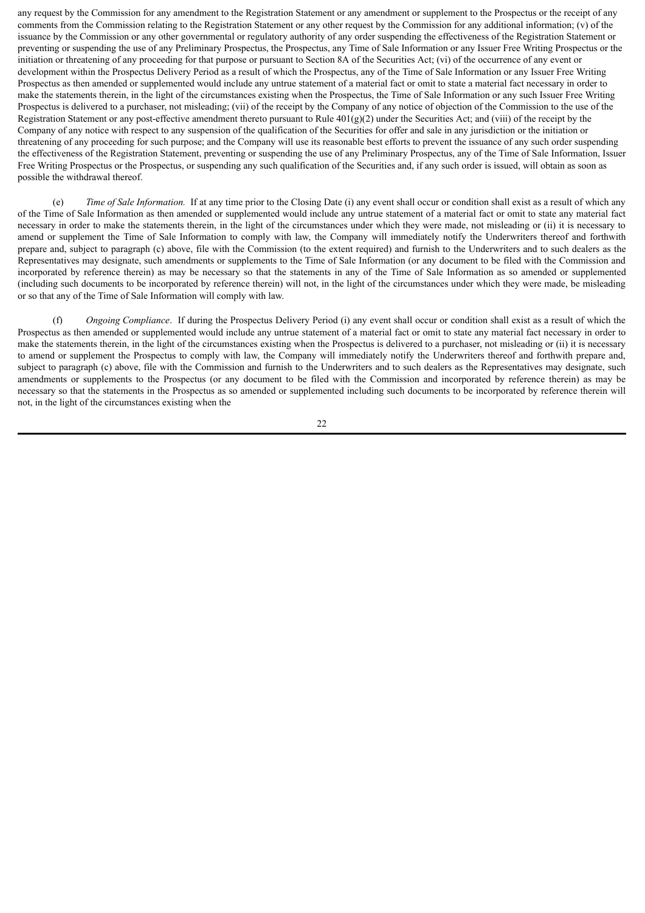any request by the Commission for any amendment to the Registration Statement or any amendment or supplement to the Prospectus or the receipt of any comments from the Commission relating to the Registration Statement or any other request by the Commission for any additional information; (v) of the issuance by the Commission or any other governmental or regulatory authority of any order suspending the effectiveness of the Registration Statement or preventing or suspending the use of any Preliminary Prospectus, the Prospectus, any Time of Sale Information or any Issuer Free Writing Prospectus or the initiation or threatening of any proceeding for that purpose or pursuant to Section 8A of the Securities Act; (vi) of the occurrence of any event or development within the Prospectus Delivery Period as a result of which the Prospectus, any of the Time of Sale Information or any Issuer Free Writing Prospectus as then amended or supplemented would include any untrue statement of a material fact or omit to state a material fact necessary in order to make the statements therein, in the light of the circumstances existing when the Prospectus, the Time of Sale Information or any such Issuer Free Writing Prospectus is delivered to a purchaser, not misleading; (vii) of the receipt by the Company of any notice of objection of the Commission to the use of the Registration Statement or any post-effective amendment thereto pursuant to Rule  $401(g)(2)$  under the Securities Act; and (viii) of the receipt by the Company of any notice with respect to any suspension of the qualification of the Securities for offer and sale in any jurisdiction or the initiation or threatening of any proceeding for such purpose; and the Company will use its reasonable best efforts to prevent the issuance of any such order suspending the effectiveness of the Registration Statement, preventing or suspending the use of any Preliminary Prospectus, any of the Time of Sale Information, Issuer Free Writing Prospectus or the Prospectus, or suspending any such qualification of the Securities and, if any such order is issued, will obtain as soon as possible the withdrawal thereof.

(e) *Time of Sale Information.* If at any time prior to the Closing Date (i) any event shall occur or condition shall exist as a result of which any of the Time of Sale Information as then amended or supplemented would include any untrue statement of a material fact or omit to state any material fact necessary in order to make the statements therein, in the light of the circumstances under which they were made, not misleading or (ii) it is necessary to amend or supplement the Time of Sale Information to comply with law, the Company will immediately notify the Underwriters thereof and forthwith prepare and, subject to paragraph (c) above, file with the Commission (to the extent required) and furnish to the Underwriters and to such dealers as the Representatives may designate, such amendments or supplements to the Time of Sale Information (or any document to be filed with the Commission and incorporated by reference therein) as may be necessary so that the statements in any of the Time of Sale Information as so amended or supplemented (including such documents to be incorporated by reference therein) will not, in the light of the circumstances under which they were made, be misleading or so that any of the Time of Sale Information will comply with law.

(f) *Ongoing Compliance*. If during the Prospectus Delivery Period (i) any event shall occur or condition shall exist as a result of which the Prospectus as then amended or supplemented would include any untrue statement of a material fact or omit to state any material fact necessary in order to make the statements therein, in the light of the circumstances existing when the Prospectus is delivered to a purchaser, not misleading or (ii) it is necessary to amend or supplement the Prospectus to comply with law, the Company will immediately notify the Underwriters thereof and forthwith prepare and, subject to paragraph (c) above, file with the Commission and furnish to the Underwriters and to such dealers as the Representatives may designate, such amendments or supplements to the Prospectus (or any document to be filed with the Commission and incorporated by reference therein) as may be necessary so that the statements in the Prospectus as so amended or supplemented including such documents to be incorporated by reference therein will not, in the light of the circumstances existing when the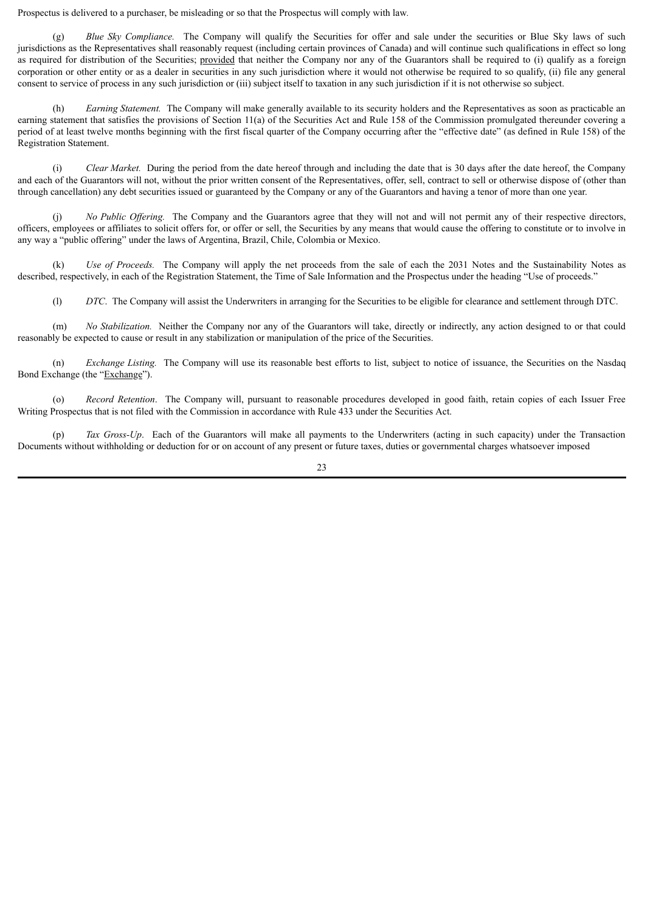Prospectus is delivered to a purchaser, be misleading or so that the Prospectus will comply with law*.*

(g) *Blue Sky Compliance.* The Company will qualify the Securities for offer and sale under the securities or Blue Sky laws of such jurisdictions as the Representatives shall reasonably request (including certain provinces of Canada) and will continue such qualifications in effect so long as required for distribution of the Securities; provided that neither the Company nor any of the Guarantors shall be required to (i) qualify as a foreign corporation or other entity or as a dealer in securities in any such jurisdiction where it would not otherwise be required to so qualify, (ii) file any general consent to service of process in any such jurisdiction or (iii) subject itself to taxation in any such jurisdiction if it is not otherwise so subject.

(h) *Earning Statement.* The Company will make generally available to its security holders and the Representatives as soon as practicable an earning statement that satisfies the provisions of Section 11(a) of the Securities Act and Rule 158 of the Commission promulgated thereunder covering a period of at least twelve months beginning with the first fiscal quarter of the Company occurring after the "effective date" (as defined in Rule 158) of the Registration Statement.

(i) *Clear Market.* During the period from the date hereof through and including the date that is 30 days after the date hereof, the Company and each of the Guarantors will not, without the prior written consent of the Representatives, offer, sell, contract to sell or otherwise dispose of (other than through cancellation) any debt securities issued or guaranteed by the Company or any of the Guarantors and having a tenor of more than one year.

(i) *No Public Offering.* The Company and the Guarantors agree that they will not and will not permit any of their respective directors. officers, employees or affiliates to solicit offers for, or offer or sell, the Securities by any means that would cause the offering to constitute or to involve in any way a "public offering" under the laws of Argentina, Brazil, Chile, Colombia or Mexico.

(k) *Use of Proceeds.* The Company will apply the net proceeds from the sale of each the 2031 Notes and the Sustainability Notes as described, respectively, in each of the Registration Statement, the Time of Sale Information and the Prospectus under the heading "Use of proceeds."

(l) *DTC*. The Company will assist the Underwriters in arranging for the Securities to be eligible for clearance and settlement through DTC.

(m) *No Stabilization.* Neither the Company nor any of the Guarantors will take, directly or indirectly, any action designed to or that could reasonably be expected to cause or result in any stabilization or manipulation of the price of the Securities.

(n) *Exchange Listing.* The Company will use its reasonable best efforts to list, subject to notice of issuance, the Securities on the Nasdaq Bond Exchange (the "Exchange").

(o) *Record Retention*. The Company will, pursuant to reasonable procedures developed in good faith, retain copies of each Issuer Free Writing Prospectus that is not filed with the Commission in accordance with Rule 433 under the Securities Act.

(p) *Tax Gross-Up*. Each of the Guarantors will make all payments to the Underwriters (acting in such capacity) under the Transaction Documents without withholding or deduction for or on account of any present or future taxes, duties or governmental charges whatsoever imposed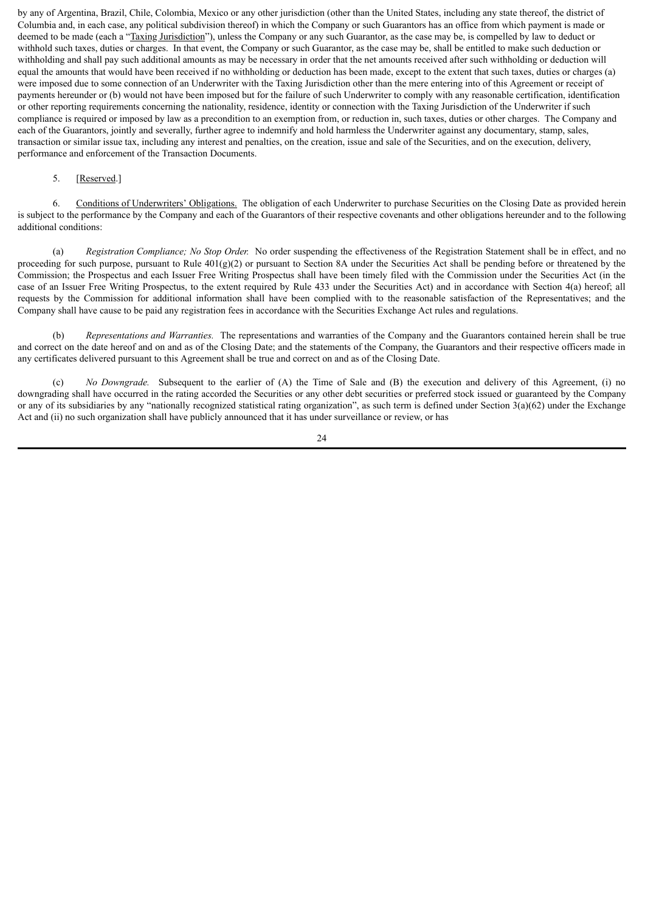by any of Argentina, Brazil, Chile, Colombia, Mexico or any other jurisdiction (other than the United States, including any state thereof, the district of Columbia and, in each case, any political subdivision thereof) in which the Company or such Guarantors has an office from which payment is made or deemed to be made (each a "Taxing Jurisdiction"), unless the Company or any such Guarantor, as the case may be, is compelled by law to deduct or withhold such taxes, duties or charges. In that event, the Company or such Guarantor, as the case may be, shall be entitled to make such deduction or withholding and shall pay such additional amounts as may be necessary in order that the net amounts received after such withholding or deduction will equal the amounts that would have been received if no withholding or deduction has been made, except to the extent that such taxes, duties or charges (a) were imposed due to some connection of an Underwriter with the Taxing Jurisdiction other than the mere entering into of this Agreement or receipt of payments hereunder or (b) would not have been imposed but for the failure of such Underwriter to comply with any reasonable certification, identification or other reporting requirements concerning the nationality, residence, identity or connection with the Taxing Jurisdiction of the Underwriter if such compliance is required or imposed by law as a precondition to an exemption from, or reduction in, such taxes, duties or other charges. The Company and each of the Guarantors, jointly and severally, further agree to indemnify and hold harmless the Underwriter against any documentary, stamp, sales, transaction or similar issue tax, including any interest and penalties, on the creation, issue and sale of the Securities, and on the execution, delivery, performance and enforcement of the Transaction Documents.

#### 5. [Reserved.]

6. Conditions of Underwriters' Obligations. The obligation of each Underwriter to purchase Securities on the Closing Date as provided herein is subject to the performance by the Company and each of the Guarantors of their respective covenants and other obligations hereunder and to the following additional conditions:

(a) *Registration Compliance; No Stop Order.* No order suspending the effectiveness of the Registration Statement shall be in effect, and no proceeding for such purpose, pursuant to Rule  $401(g)(2)$  or pursuant to Section 8A under the Securities Act shall be pending before or threatened by the Commission; the Prospectus and each Issuer Free Writing Prospectus shall have been timely filed with the Commission under the Securities Act (in the case of an Issuer Free Writing Prospectus, to the extent required by Rule 433 under the Securities Act) and in accordance with Section 4(a) hereof; all requests by the Commission for additional information shall have been complied with to the reasonable satisfaction of the Representatives; and the Company shall have cause to be paid any registration fees in accordance with the Securities Exchange Act rules and regulations.

(b) *Representations and Warranties.* The representations and warranties of the Company and the Guarantors contained herein shall be true and correct on the date hereof and on and as of the Closing Date; and the statements of the Company, the Guarantors and their respective officers made in any certificates delivered pursuant to this Agreement shall be true and correct on and as of the Closing Date.

(c) *No Downgrade.* Subsequent to the earlier of (A) the Time of Sale and (B) the execution and delivery of this Agreement, (i) no downgrading shall have occurred in the rating accorded the Securities or any other debt securities or preferred stock issued or guaranteed by the Company or any of its subsidiaries by any "nationally recognized statistical rating organization", as such term is defined under Section  $3(a)(62)$  under the Exchange Act and (ii) no such organization shall have publicly announced that it has under surveillance or review, or has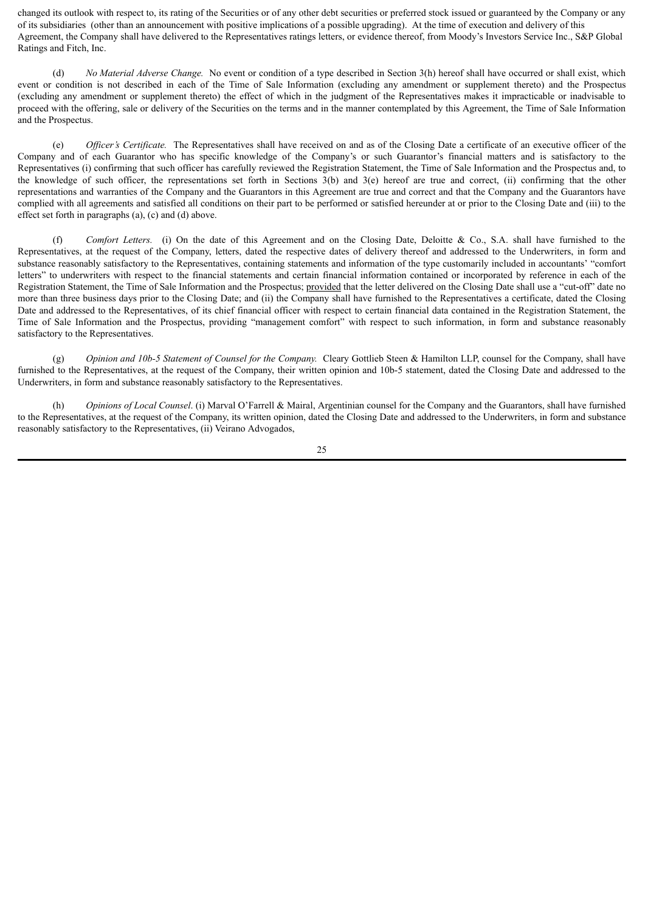changed its outlook with respect to, its rating of the Securities or of any other debt securities or preferred stock issued or guaranteed by the Company or any of its subsidiaries (other than an announcement with positive implications of a possible upgrading). At the time of execution and delivery of this Agreement, the Company shall have delivered to the Representatives ratings letters, or evidence thereof, from Moody's Investors Service Inc., S&P Global Ratings and Fitch, Inc.

(d) *No Material Adverse Change.* No event or condition of a type described in Section 3(h) hereof shall have occurred or shall exist, which event or condition is not described in each of the Time of Sale Information (excluding any amendment or supplement thereto) and the Prospectus (excluding any amendment or supplement thereto) the effect of which in the judgment of the Representatives makes it impracticable or inadvisable to proceed with the offering, sale or delivery of the Securities on the terms and in the manner contemplated by this Agreement, the Time of Sale Information and the Prospectus.

(e) *Of icer's Certificate.* The Representatives shall have received on and as of the Closing Date a certificate of an executive officer of the Company and of each Guarantor who has specific knowledge of the Company's or such Guarantor's financial matters and is satisfactory to the Representatives (i) confirming that such officer has carefully reviewed the Registration Statement, the Time of Sale Information and the Prospectus and, to the knowledge of such officer, the representations set forth in Sections 3(b) and 3(e) hereof are true and correct, (ii) confirming that the other representations and warranties of the Company and the Guarantors in this Agreement are true and correct and that the Company and the Guarantors have complied with all agreements and satisfied all conditions on their part to be performed or satisfied hereunder at or prior to the Closing Date and (iii) to the effect set forth in paragraphs (a), (c) and (d) above.

(f) *Comfort Letters.* (i) On the date of this Agreement and on the Closing Date, Deloitte & Co., S.A. shall have furnished to the Representatives, at the request of the Company, letters, dated the respective dates of delivery thereof and addressed to the Underwriters, in form and substance reasonably satisfactory to the Representatives, containing statements and information of the type customarily included in accountants' "comfort letters" to underwriters with respect to the financial statements and certain financial information contained or incorporated by reference in each of the Registration Statement, the Time of Sale Information and the Prospectus; provided that the letter delivered on the Closing Date shall use a "cut-off" date no more than three business days prior to the Closing Date; and (ii) the Company shall have furnished to the Representatives a certificate, dated the Closing Date and addressed to the Representatives, of its chief financial officer with respect to certain financial data contained in the Registration Statement, the Time of Sale Information and the Prospectus, providing "management comfort" with respect to such information, in form and substance reasonably satisfactory to the Representatives.

(g) *Opinion and 10b-5 Statement of Counsel for the Company.* Cleary Gottlieb Steen & Hamilton LLP, counsel for the Company, shall have furnished to the Representatives, at the request of the Company, their written opinion and 10b-5 statement, dated the Closing Date and addressed to the Underwriters, in form and substance reasonably satisfactory to the Representatives.

(h) *Opinions of Local Counsel*. (i) Marval O'Farrell & Mairal, Argentinian counsel for the Company and the Guarantors, shall have furnished to the Representatives, at the request of the Company, its written opinion, dated the Closing Date and addressed to the Underwriters, in form and substance reasonably satisfactory to the Representatives, (ii) Veirano Advogados,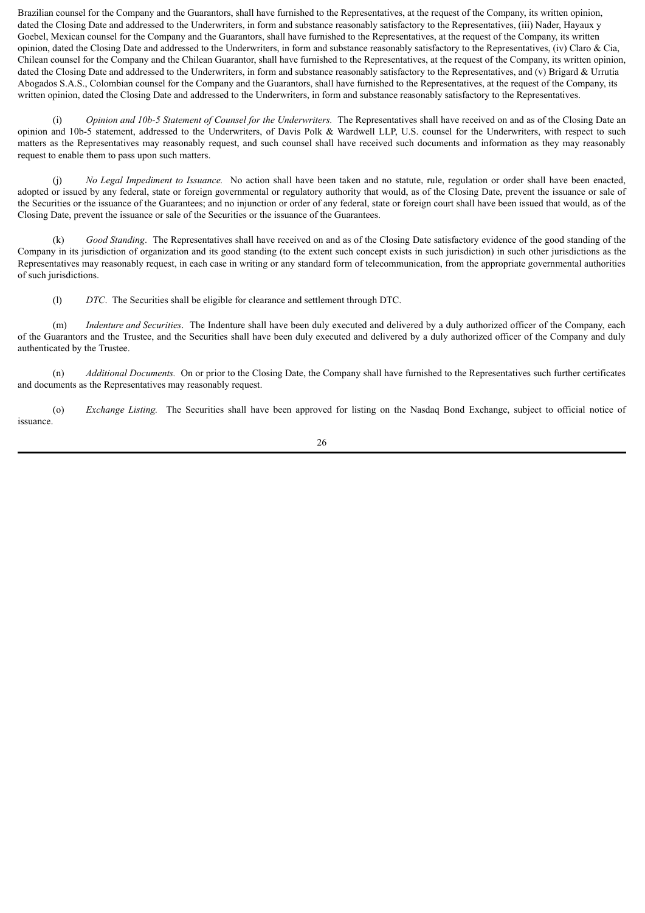Brazilian counsel for the Company and the Guarantors, shall have furnished to the Representatives, at the request of the Company, its written opinion, dated the Closing Date and addressed to the Underwriters, in form and substance reasonably satisfactory to the Representatives, (iii) Nader, Hayaux y Goebel, Mexican counsel for the Company and the Guarantors, shall have furnished to the Representatives, at the request of the Company, its written opinion, dated the Closing Date and addressed to the Underwriters, in form and substance reasonably satisfactory to the Representatives, (iv) Claro & Cia, Chilean counsel for the Company and the Chilean Guarantor, shall have furnished to the Representatives, at the request of the Company, its written opinion, dated the Closing Date and addressed to the Underwriters, in form and substance reasonably satisfactory to the Representatives, and (v) Brigard & Urrutia Abogados S.A.S., Colombian counsel for the Company and the Guarantors, shall have furnished to the Representatives, at the request of the Company, its written opinion, dated the Closing Date and addressed to the Underwriters, in form and substance reasonably satisfactory to the Representatives.

(i) *Opinion and 10b-5 Statement of Counsel for the Underwriters.* The Representatives shall have received on and as of the Closing Date an opinion and 10b-5 statement, addressed to the Underwriters, of Davis Polk & Wardwell LLP, U.S. counsel for the Underwriters, with respect to such matters as the Representatives may reasonably request, and such counsel shall have received such documents and information as they may reasonably request to enable them to pass upon such matters.

(j) *No Legal Impediment to Issuance.* No action shall have been taken and no statute, rule, regulation or order shall have been enacted, adopted or issued by any federal, state or foreign governmental or regulatory authority that would, as of the Closing Date, prevent the issuance or sale of the Securities or the issuance of the Guarantees; and no injunction or order of any federal, state or foreign court shall have been issued that would, as of the Closing Date, prevent the issuance or sale of the Securities or the issuance of the Guarantees.

(k) *Good Standing*. The Representatives shall have received on and as of the Closing Date satisfactory evidence of the good standing of the Company in its jurisdiction of organization and its good standing (to the extent such concept exists in such jurisdiction) in such other jurisdictions as the Representatives may reasonably request, in each case in writing or any standard form of telecommunication, from the appropriate governmental authorities of such jurisdictions.

(l) *DTC*. The Securities shall be eligible for clearance and settlement through DTC.

(m) *Indenture and Securities*. The Indenture shall have been duly executed and delivered by a duly authorized officer of the Company, each of the Guarantors and the Trustee, and the Securities shall have been duly executed and delivered by a duly authorized officer of the Company and duly authenticated by the Trustee.

(n) *Additional Documents.* On or prior to the Closing Date, the Company shall have furnished to the Representatives such further certificates and documents as the Representatives may reasonably request.

(o) *Exchange Listing.* The Securities shall have been approved for listing on the Nasdaq Bond Exchange, subject to official notice of issuance.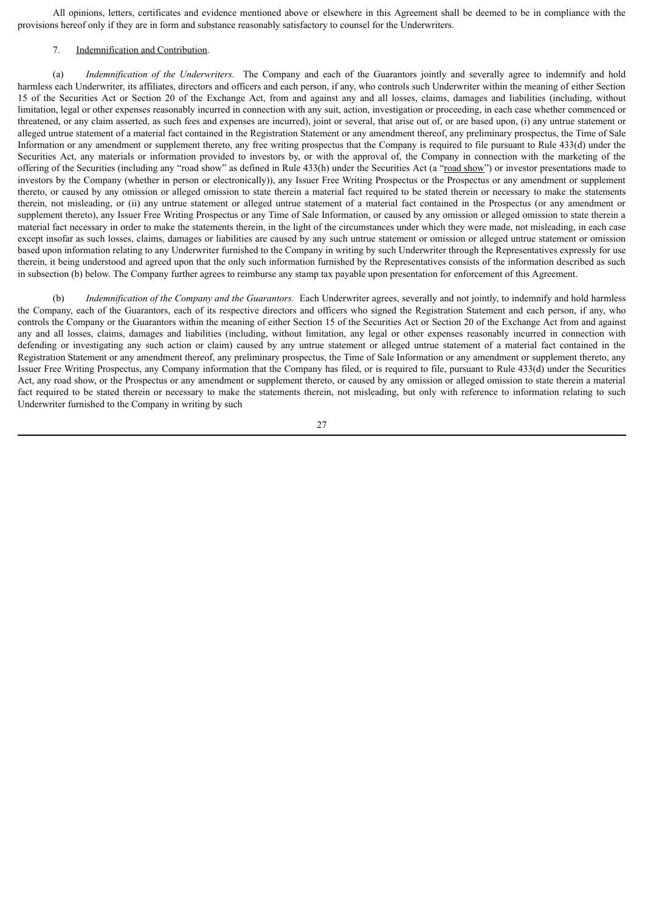All opinions, letters, certificates and evidence mentioned above or elsewhere in this Agreement shall be deemed to be in compliance with the provisions hereof only if they are in form and substance reasonably satisfactory to counsel for the Underwriters.

#### 7. Indemnification and Contribution.

(a) *Indemnification of the Underwriters.* The Company and each of the Guarantors jointly and severally agree to indemnify and hold harmless each Underwriter, its affiliates, directors and officers and each person, if any, who controls such Underwriter within the meaning of either Section 15 of the Securities Act or Section 20 of the Exchange Act, from and against any and all losses, claims, damages and liabilities (including, without limitation, legal or other expenses reasonably incurred in connection with any suit, action, investigation or proceeding, in each case whether commenced or threatened, or any claim asserted, as such fees and expenses are incurred), joint or several, that arise out of, or are based upon, (i) any untrue statement or alleged untrue statement of a material fact contained in the Registration Statement or any amendment thereof, any preliminary prospectus, the Time of Sale Information or any amendment or supplement thereto, any free writing prospectus that the Company is required to file pursuant to Rule 433(d) under the Securities Act, any materials or information provided to investors by, or with the approval of, the Company in connection with the marketing of the offering of the Securities (including any "road show" as defined in Rule 433(h) under the Securities Act (a "road show") or investor presentations made to investors by the Company (whether in person or electronically)), any Issuer Free Writing Prospectus or the Prospectus or any amendment or supplement thereto, or caused by any omission or alleged omission to state therein a material fact required to be stated therein or necessary to make the statements therein, not misleading, or (ii) any untrue statement or alleged untrue statement of a material fact contained in the Prospectus (or any amendment or supplement thereto), any Issuer Free Writing Prospectus or any Time of Sale Information, or caused by any omission or alleged omission to state therein a material fact necessary in order to make the statements therein, in the light of the circumstances under which they were made, not misleading, in each case except insofar as such losses, claims, damages or liabilities are caused by any such untrue statement or omission or alleged untrue statement or omission based upon information relating to any Underwriter furnished to the Company in writing by such Underwriter through the Representatives expressly for use therein, it being understood and agreed upon that the only such information furnished by the Representatives consists of the information described as such in subsection (b) below. The Company further agrees to reimburse any stamp tax payable upon presentation for enforcement of this Agreement.

(b) *Indemnification of the Company and the Guarantors.* Each Underwriter agrees, severally and not jointly, to indemnify and hold harmless the Company, each of the Guarantors, each of its respective directors and officers who signed the Registration Statement and each person, if any, who controls the Company or the Guarantors within the meaning of either Section 15 of the Securities Act or Section 20 of the Exchange Act from and against any and all losses, claims, damages and liabilities (including, without limitation, any legal or other expenses reasonably incurred in connection with defending or investigating any such action or claim) caused by any untrue statement or alleged untrue statement of a material fact contained in the Registration Statement or any amendment thereof, any preliminary prospectus, the Time of Sale Information or any amendment or supplement thereto, any Issuer Free Writing Prospectus, any Company information that the Company has filed, or is required to file, pursuant to Rule 433(d) under the Securities Act, any road show, or the Prospectus or any amendment or supplement thereto, or caused by any omission or alleged omission to state therein a material fact required to be stated therein or necessary to make the statements therein, not misleading, but only with reference to information relating to such Underwriter furnished to the Company in writing by such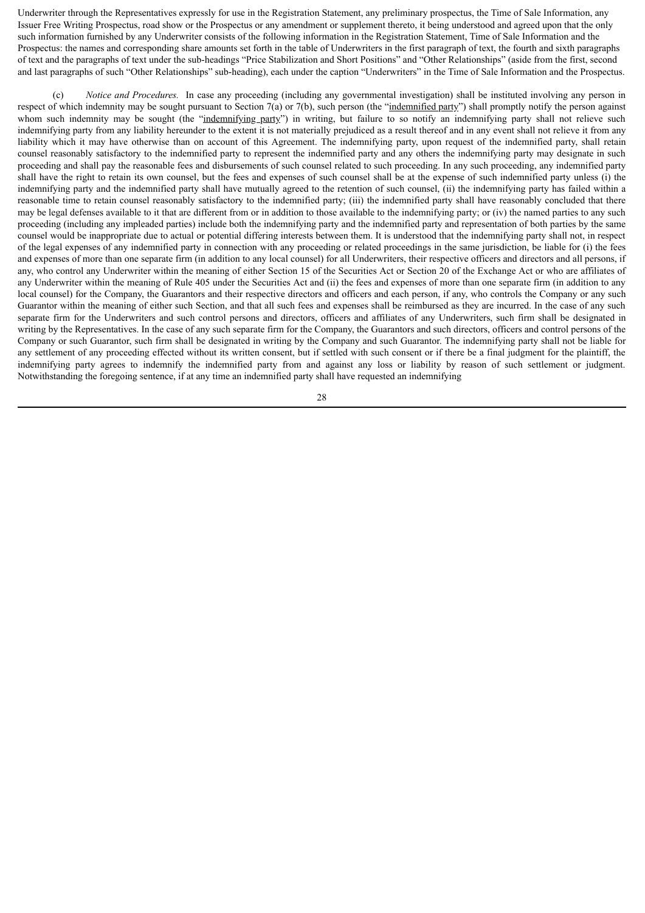Underwriter through the Representatives expressly for use in the Registration Statement, any preliminary prospectus, the Time of Sale Information, any Issuer Free Writing Prospectus, road show or the Prospectus or any amendment or supplement thereto, it being understood and agreed upon that the only such information furnished by any Underwriter consists of the following information in the Registration Statement, Time of Sale Information and the Prospectus: the names and corresponding share amounts set forth in the table of Underwriters in the first paragraph of text, the fourth and sixth paragraphs of text and the paragraphs of text under the sub-headings "Price Stabilization and Short Positions" and "Other Relationships" (aside from the first, second and last paragraphs of such "Other Relationships" sub-heading), each under the caption "Underwriters" in the Time of Sale Information and the Prospectus.

(c) *Notice and Procedures.* In case any proceeding (including any governmental investigation) shall be instituted involving any person in respect of which indemnity may be sought pursuant to Section 7(a) or 7(b), such person (the "indemnified party") shall promptly notify the person against whom such indemnity may be sought (the "indemnifying party") in writing, but failure to so notify an indemnifying party shall not relieve such indemnifying party from any liability hereunder to the extent it is not materially prejudiced as a result thereof and in any event shall not relieve it from any liability which it may have otherwise than on account of this Agreement. The indemnifying party, upon request of the indemnified party, shall retain counsel reasonably satisfactory to the indemnified party to represent the indemnified party and any others the indemnifying party may designate in such proceeding and shall pay the reasonable fees and disbursements of such counsel related to such proceeding. In any such proceeding, any indemnified party shall have the right to retain its own counsel, but the fees and expenses of such counsel shall be at the expense of such indemnified party unless (i) the indemnifying party and the indemnified party shall have mutually agreed to the retention of such counsel, (ii) the indemnifying party has failed within a reasonable time to retain counsel reasonably satisfactory to the indemnified party; (iii) the indemnified party shall have reasonably concluded that there may be legal defenses available to it that are different from or in addition to those available to the indemnifying party; or (iv) the named parties to any such proceeding (including any impleaded parties) include both the indemnifying party and the indemnified party and representation of both parties by the same counsel would be inappropriate due to actual or potential differing interests between them. It is understood that the indemnifying party shall not, in respect of the legal expenses of any indemnified party in connection with any proceeding or related proceedings in the same jurisdiction, be liable for (i) the fees and expenses of more than one separate firm (in addition to any local counsel) for all Underwriters, their respective officers and directors and all persons, if any, who control any Underwriter within the meaning of either Section 15 of the Securities Act or Section 20 of the Exchange Act or who are affiliates of any Underwriter within the meaning of Rule 405 under the Securities Act and (ii) the fees and expenses of more than one separate firm (in addition to any local counsel) for the Company, the Guarantors and their respective directors and officers and each person, if any, who controls the Company or any such Guarantor within the meaning of either such Section, and that all such fees and expenses shall be reimbursed as they are incurred. In the case of any such separate firm for the Underwriters and such control persons and directors, officers and affiliates of any Underwriters, such firm shall be designated in writing by the Representatives. In the case of any such separate firm for the Company, the Guarantors and such directors, officers and control persons of the Company or such Guarantor, such firm shall be designated in writing by the Company and such Guarantor. The indemnifying party shall not be liable for any settlement of any proceeding effected without its written consent, but if settled with such consent or if there be a final judgment for the plaintiff, the indemnifying party agrees to indemnify the indemnified party from and against any loss or liability by reason of such settlement or judgment. Notwithstanding the foregoing sentence, if at any time an indemnified party shall have requested an indemnifying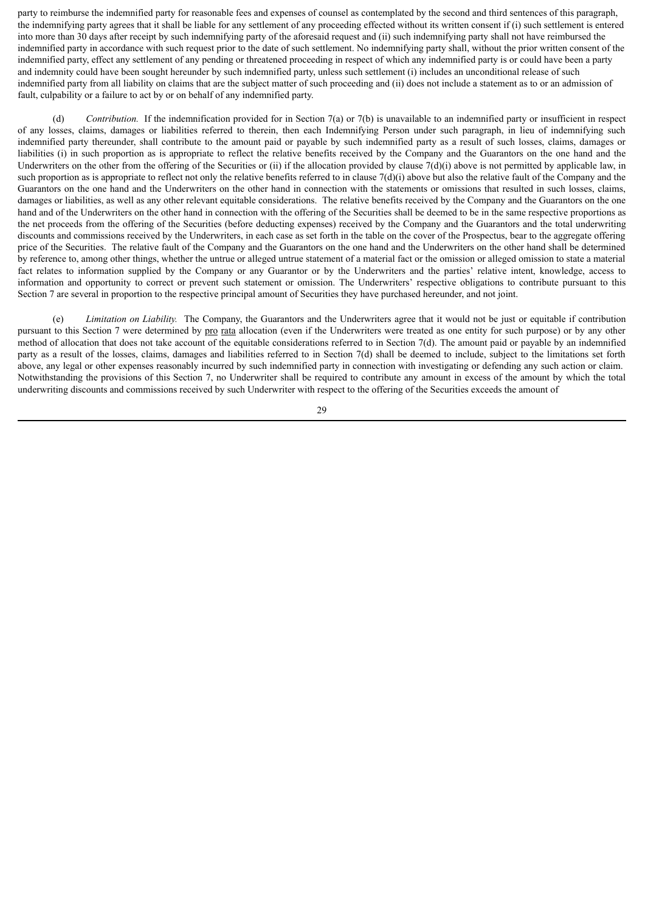party to reimburse the indemnified party for reasonable fees and expenses of counsel as contemplated by the second and third sentences of this paragraph, the indemnifying party agrees that it shall be liable for any settlement of any proceeding effected without its written consent if (i) such settlement is entered into more than 30 days after receipt by such indemnifying party of the aforesaid request and (ii) such indemnifying party shall not have reimbursed the indemnified party in accordance with such request prior to the date of such settlement. No indemnifying party shall, without the prior written consent of the indemnified party, effect any settlement of any pending or threatened proceeding in respect of which any indemnified party is or could have been a party and indemnity could have been sought hereunder by such indemnified party, unless such settlement (i) includes an unconditional release of such indemnified party from all liability on claims that are the subject matter of such proceeding and (ii) does not include a statement as to or an admission of fault, culpability or a failure to act by or on behalf of any indemnified party.

(d) *Contribution.* If the indemnification provided for in Section 7(a) or 7(b) is unavailable to an indemnified party or insufficient in respect of any losses, claims, damages or liabilities referred to therein, then each Indemnifying Person under such paragraph, in lieu of indemnifying such indemnified party thereunder, shall contribute to the amount paid or payable by such indemnified party as a result of such losses, claims, damages or liabilities (i) in such proportion as is appropriate to reflect the relative benefits received by the Company and the Guarantors on the one hand and the Underwriters on the other from the offering of the Securities or (ii) if the allocation provided by clause  $7(d)(i)$  above is not permitted by applicable law, in such proportion as is appropriate to reflect not only the relative benefits referred to in clause  $7(d)(i)$  above but also the relative fault of the Company and the Guarantors on the one hand and the Underwriters on the other hand in connection with the statements or omissions that resulted in such losses, claims, damages or liabilities, as well as any other relevant equitable considerations. The relative benefits received by the Company and the Guarantors on the one hand and of the Underwriters on the other hand in connection with the offering of the Securities shall be deemed to be in the same respective proportions as the net proceeds from the offering of the Securities (before deducting expenses) received by the Company and the Guarantors and the total underwriting discounts and commissions received by the Underwriters, in each case as set forth in the table on the cover of the Prospectus, bear to the aggregate offering price of the Securities. The relative fault of the Company and the Guarantors on the one hand and the Underwriters on the other hand shall be determined by reference to, among other things, whether the untrue or alleged untrue statement of a material fact or the omission or alleged omission to state a material fact relates to information supplied by the Company or any Guarantor or by the Underwriters and the parties' relative intent, knowledge, access to information and opportunity to correct or prevent such statement or omission. The Underwriters' respective obligations to contribute pursuant to this Section 7 are several in proportion to the respective principal amount of Securities they have purchased hereunder, and not joint.

(e) *Limitation on Liability.* The Company, the Guarantors and the Underwriters agree that it would not be just or equitable if contribution pursuant to this Section 7 were determined by pro rata allocation (even if the Underwriters were treated as one entity for such purpose) or by any other method of allocation that does not take account of the equitable considerations referred to in Section 7(d). The amount paid or payable by an indemnified party as a result of the losses, claims, damages and liabilities referred to in Section 7(d) shall be deemed to include, subject to the limitations set forth above, any legal or other expenses reasonably incurred by such indemnified party in connection with investigating or defending any such action or claim. Notwithstanding the provisions of this Section 7, no Underwriter shall be required to contribute any amount in excess of the amount by which the total underwriting discounts and commissions received by such Underwriter with respect to the offering of the Securities exceeds the amount of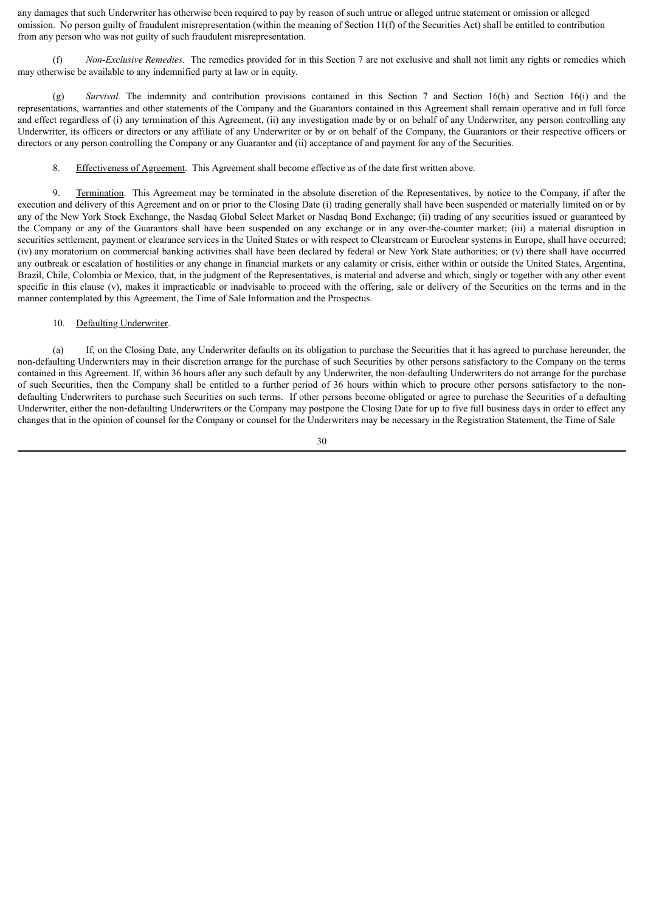any damages that such Underwriter has otherwise been required to pay by reason of such untrue or alleged untrue statement or omission or alleged omission. No person guilty of fraudulent misrepresentation (within the meaning of Section 11(f) of the Securities Act) shall be entitled to contribution from any person who was not guilty of such fraudulent misrepresentation.

(f) *Non-Exclusive Remedies.* The remedies provided for in this Section 7 are not exclusive and shall not limit any rights or remedies which may otherwise be available to any indemnified party at law or in equity.

(g) *Survival.* The indemnity and contribution provisions contained in this Section 7 and Section 16(h) and Section 16(i) and the representations, warranties and other statements of the Company and the Guarantors contained in this Agreement shall remain operative and in full force and effect regardless of (i) any termination of this Agreement, (ii) any investigation made by or on behalf of any Underwriter, any person controlling any Underwriter, its officers or directors or any affiliate of any Underwriter or by or on behalf of the Company, the Guarantors or their respective officers or directors or any person controlling the Company or any Guarantor and (ii) acceptance of and payment for any of the Securities.

8. Effectiveness of Agreement. This Agreement shall become effective as of the date first written above.

9. Termination. This Agreement may be terminated in the absolute discretion of the Representatives, by notice to the Company, if after the execution and delivery of this Agreement and on or prior to the Closing Date (i) trading generally shall have been suspended or materially limited on or by any of the New York Stock Exchange, the Nasdaq Global Select Market or Nasdaq Bond Exchange; (ii) trading of any securities issued or guaranteed by the Company or any of the Guarantors shall have been suspended on any exchange or in any over-the-counter market; (iii) a material disruption in securities settlement, payment or clearance services in the United States or with respect to Clearstream or Euroclear systems in Europe, shall have occurred; (iv) any moratorium on commercial banking activities shall have been declared by federal or New York State authorities; or (v) there shall have occurred any outbreak or escalation of hostilities or any change in financial markets or any calamity or crisis, either within or outside the United States, Argentina, Brazil, Chile, Colombia or Mexico, that, in the judgment of the Representatives, is material and adverse and which, singly or together with any other event specific in this clause  $(v)$ , makes it impracticable or inadvisable to proceed with the offering, sale or delivery of the Securities on the terms and in the manner contemplated by this Agreement, the Time of Sale Information and the Prospectus.

#### 10. Defaulting Underwriter.

(a) If, on the Closing Date, any Underwriter defaults on its obligation to purchase the Securities that it has agreed to purchase hereunder, the non-defaulting Underwriters may in their discretion arrange for the purchase of such Securities by other persons satisfactory to the Company on the terms contained in this Agreement. If, within 36 hours after any such default by any Underwriter, the non-defaulting Underwriters do not arrange for the purchase of such Securities, then the Company shall be entitled to a further period of 36 hours within which to procure other persons satisfactory to the nondefaulting Underwriters to purchase such Securities on such terms. If other persons become obligated or agree to purchase the Securities of a defaulting Underwriter, either the non-defaulting Underwriters or the Company may postpone the Closing Date for up to five full business days in order to effect any changes that in the opinion of counsel for the Company or counsel for the Underwriters may be necessary in the Registration Statement, the Time of Sale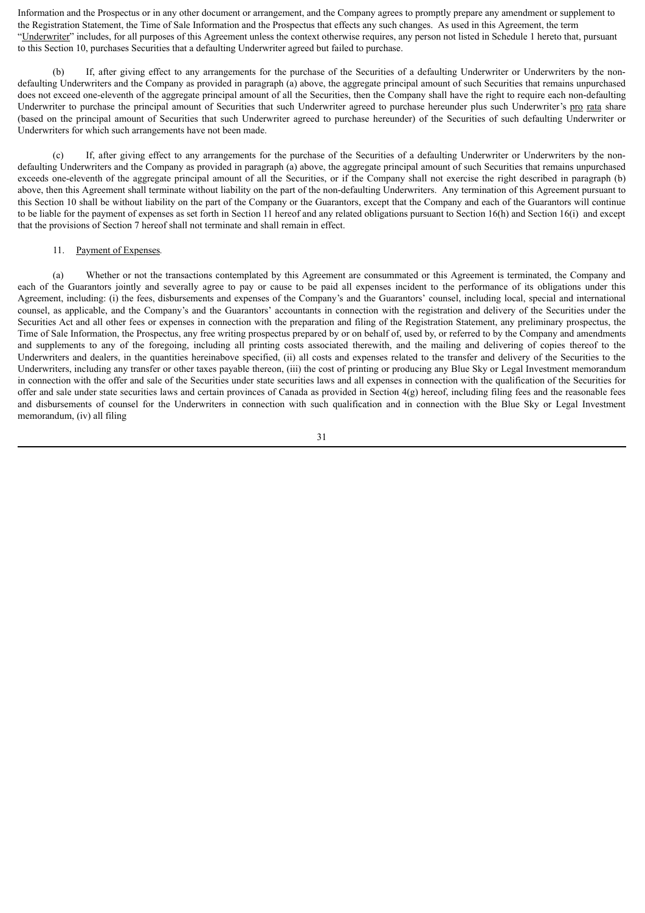Information and the Prospectus or in any other document or arrangement, and the Company agrees to promptly prepare any amendment or supplement to the Registration Statement, the Time of Sale Information and the Prospectus that effects any such changes. As used in this Agreement, the term "Underwriter" includes, for all purposes of this Agreement unless the context otherwise requires, any person not listed in Schedule 1 hereto that, pursuant to this Section 10, purchases Securities that a defaulting Underwriter agreed but failed to purchase.

(b) If, after giving effect to any arrangements for the purchase of the Securities of a defaulting Underwriter or Underwriters by the nondefaulting Underwriters and the Company as provided in paragraph (a) above, the aggregate principal amount of such Securities that remains unpurchased does not exceed one-eleventh of the aggregate principal amount of all the Securities, then the Company shall have the right to require each non-defaulting Underwriter to purchase the principal amount of Securities that such Underwriter agreed to purchase hereunder plus such Underwriter's pro rata share (based on the principal amount of Securities that such Underwriter agreed to purchase hereunder) of the Securities of such defaulting Underwriter or Underwriters for which such arrangements have not been made.

(c) If, after giving effect to any arrangements for the purchase of the Securities of a defaulting Underwriter or Underwriters by the nondefaulting Underwriters and the Company as provided in paragraph (a) above, the aggregate principal amount of such Securities that remains unpurchased exceeds one-eleventh of the aggregate principal amount of all the Securities, or if the Company shall not exercise the right described in paragraph (b) above, then this Agreement shall terminate without liability on the part of the non-defaulting Underwriters. Any termination of this Agreement pursuant to this Section 10 shall be without liability on the part of the Company or the Guarantors, except that the Company and each of the Guarantors will continue to be liable for the payment of expenses as set forth in Section 11 hereof and any related obligations pursuant to Section 16(h) and Section 16(i) and except that the provisions of Section 7 hereof shall not terminate and shall remain in effect.

#### 11. Payment of Expenses*.*

(a) Whether or not the transactions contemplated by this Agreement are consummated or this Agreement is terminated, the Company and each of the Guarantors jointly and severally agree to pay or cause to be paid all expenses incident to the performance of its obligations under this Agreement, including: (i) the fees, disbursements and expenses of the Company's and the Guarantors' counsel, including local, special and international counsel, as applicable, and the Company's and the Guarantors' accountants in connection with the registration and delivery of the Securities under the Securities Act and all other fees or expenses in connection with the preparation and filing of the Registration Statement, any preliminary prospectus, the Time of Sale Information, the Prospectus, any free writing prospectus prepared by or on behalf of, used by, or referred to by the Company and amendments and supplements to any of the foregoing, including all printing costs associated therewith, and the mailing and delivering of copies thereof to the Underwriters and dealers, in the quantities hereinabove specified, (ii) all costs and expenses related to the transfer and delivery of the Securities to the Underwriters, including any transfer or other taxes payable thereon, (iii) the cost of printing or producing any Blue Sky or Legal Investment memorandum in connection with the offer and sale of the Securities under state securities laws and all expenses in connection with the qualification of the Securities for offer and sale under state securities laws and certain provinces of Canada as provided in Section 4(g) hereof, including filing fees and the reasonable fees and disbursements of counsel for the Underwriters in connection with such qualification and in connection with the Blue Sky or Legal Investment memorandum, (iv) all filing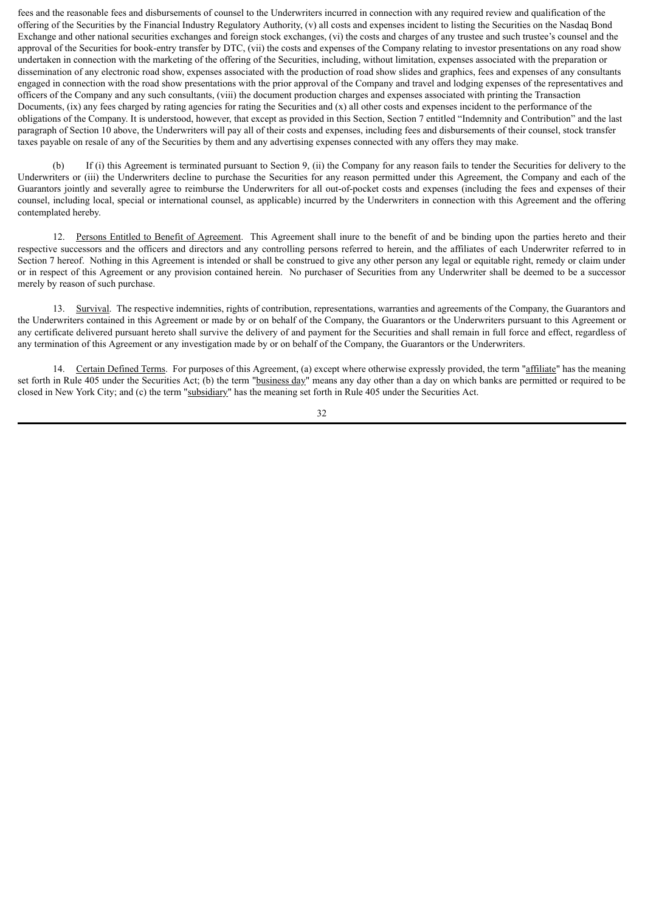fees and the reasonable fees and disbursements of counsel to the Underwriters incurred in connection with any required review and qualification of the offering of the Securities by the Financial Industry Regulatory Authority, (v) all costs and expenses incident to listing the Securities on the Nasdaq Bond Exchange and other national securities exchanges and foreign stock exchanges, (vi) the costs and charges of any trustee and such trustee's counsel and the approval of the Securities for book-entry transfer by DTC, (vii) the costs and expenses of the Company relating to investor presentations on any road show undertaken in connection with the marketing of the offering of the Securities, including, without limitation, expenses associated with the preparation or dissemination of any electronic road show, expenses associated with the production of road show slides and graphics, fees and expenses of any consultants engaged in connection with the road show presentations with the prior approval of the Company and travel and lodging expenses of the representatives and officers of the Company and any such consultants, (viii) the document production charges and expenses associated with printing the Transaction Documents,  $(ix)$  any fees charged by rating agencies for rating the Securities and  $(x)$  all other costs and expenses incident to the performance of the obligations of the Company. It is understood, however, that except as provided in this Section, Section 7 entitled "Indemnity and Contribution" and the last paragraph of Section 10 above, the Underwriters will pay all of their costs and expenses, including fees and disbursements of their counsel, stock transfer taxes payable on resale of any of the Securities by them and any advertising expenses connected with any offers they may make.

(b) If (i) this Agreement is terminated pursuant to Section 9, (ii) the Company for any reason fails to tender the Securities for delivery to the Underwriters or (iii) the Underwriters decline to purchase the Securities for any reason permitted under this Agreement, the Company and each of the Guarantors jointly and severally agree to reimburse the Underwriters for all out-of-pocket costs and expenses (including the fees and expenses of their counsel, including local, special or international counsel, as applicable) incurred by the Underwriters in connection with this Agreement and the offering contemplated hereby.

12. Persons Entitled to Benefit of Agreement. This Agreement shall inure to the benefit of and be binding upon the parties hereto and their respective successors and the officers and directors and any controlling persons referred to herein, and the affiliates of each Underwriter referred to in Section 7 hereof. Nothing in this Agreement is intended or shall be construed to give any other person any legal or equitable right, remedy or claim under or in respect of this Agreement or any provision contained herein. No purchaser of Securities from any Underwriter shall be deemed to be a successor merely by reason of such purchase.

13. Survival. The respective indemnities, rights of contribution, representations, warranties and agreements of the Company, the Guarantors and the Underwriters contained in this Agreement or made by or on behalf of the Company, the Guarantors or the Underwriters pursuant to this Agreement or any certificate delivered pursuant hereto shall survive the delivery of and payment for the Securities and shall remain in full force and effect, regardless of any termination of this Agreement or any investigation made by or on behalf of the Company, the Guarantors or the Underwriters.

14. Certain Defined Terms. For purposes of this Agreement, (a) except where otherwise expressly provided, the term "affiliate" has the meaning set forth in Rule 405 under the Securities Act; (b) the term "business day" means any day other than a day on which banks are permitted or required to be closed in New York City; and (c) the term "subsidiary" has the meaning set forth in Rule 405 under the Securities Act.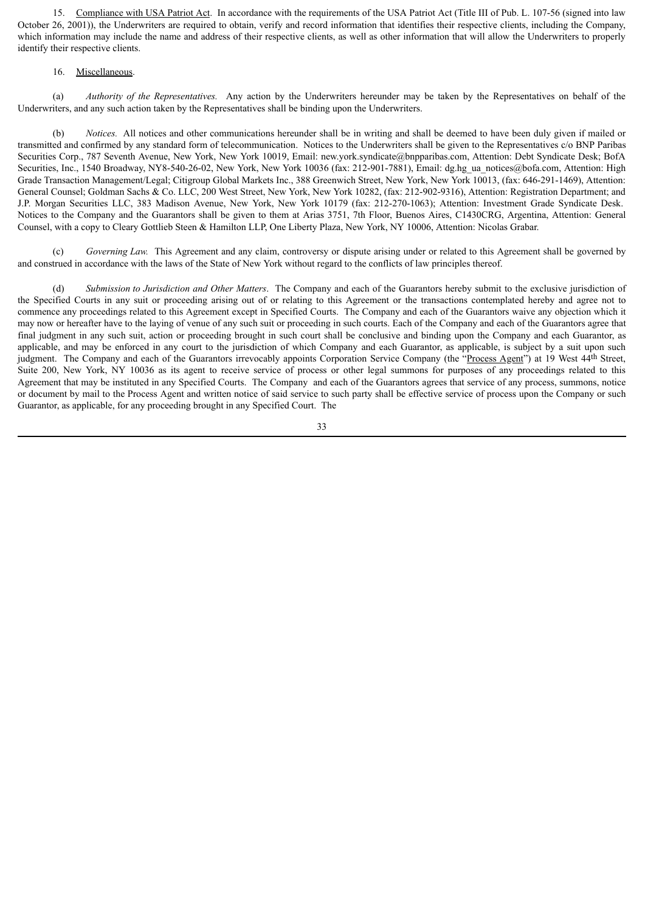15. Compliance with USA Patriot Act. In accordance with the requirements of the USA Patriot Act (Title III of Pub. L. 107-56 (signed into law October 26, 2001)), the Underwriters are required to obtain, verify and record information that identifies their respective clients, including the Company, which information may include the name and address of their respective clients, as well as other information that will allow the Underwriters to properly identify their respective clients.

#### 16. Miscellaneous.

(a) *Authority of the Representatives.* Any action by the Underwriters hereunder may be taken by the Representatives on behalf of the Underwriters, and any such action taken by the Representatives shall be binding upon the Underwriters.

(b) *Notices.* All notices and other communications hereunder shall be in writing and shall be deemed to have been duly given if mailed or transmitted and confirmed by any standard form of telecommunication. Notices to the Underwriters shall be given to the Representatives c/o BNP Paribas Securities Corp., 787 Seventh Avenue, New York, New York 10019, Email: new.york.syndicate@bnpparibas.com, Attention: Debt Syndicate Desk; BofA Securities, Inc., 1540 Broadway, NY8-540-26-02, New York, New York 10036 (fax: 212-901-7881), Email: dg.hg\_ua\_notices@bofa.com, Attention: High Grade Transaction Management/Legal; Citigroup Global Markets Inc., 388 Greenwich Street, New York, New York 10013, (fax: 646-291-1469), Attention: General Counsel; Goldman Sachs & Co. LLC, 200 West Street, New York, New York 10282, (fax: 212-902-9316), Attention: Registration Department; and J.P. Morgan Securities LLC, 383 Madison Avenue, New York, New York 10179 (fax: 212-270-1063); Attention: Investment Grade Syndicate Desk. Notices to the Company and the Guarantors shall be given to them at Arias 3751, 7th Floor, Buenos Aires, C1430CRG, Argentina, Attention: General Counsel, with a copy to Cleary Gottlieb Steen & Hamilton LLP, One Liberty Plaza, New York, NY 10006, Attention: Nicolas Grabar.

(c) *Governing Law.* This Agreement and any claim, controversy or dispute arising under or related to this Agreement shall be governed by and construed in accordance with the laws of the State of New York without regard to the conflicts of law principles thereof.

(d) *Submission to Jurisdiction and Other Matters*. The Company and each of the Guarantors hereby submit to the exclusive jurisdiction of the Specified Courts in any suit or proceeding arising out of or relating to this Agreement or the transactions contemplated hereby and agree not to commence any proceedings related to this Agreement except in Specified Courts. The Company and each of the Guarantors waive any objection which it may now or hereafter have to the laying of venue of any such suit or proceeding in such courts. Each of the Company and each of the Guarantors agree that final judgment in any such suit, action or proceeding brought in such court shall be conclusive and binding upon the Company and each Guarantor, as applicable, and may be enforced in any court to the jurisdiction of which Company and each Guarantor, as applicable, is subject by a suit upon such judgment. The Company and each of the Guarantors irrevocably appoints Corporation Service Company (the "Process Agent") at 19 West 44th Street, Suite 200, New York, NY 10036 as its agent to receive service of process or other legal summons for purposes of any proceedings related to this Agreement that may be instituted in any Specified Courts. The Company and each of the Guarantors agrees that service of any process, summons, notice or document by mail to the Process Agent and written notice of said service to such party shall be effective service of process upon the Company or such Guarantor, as applicable, for any proceeding brought in any Specified Court. The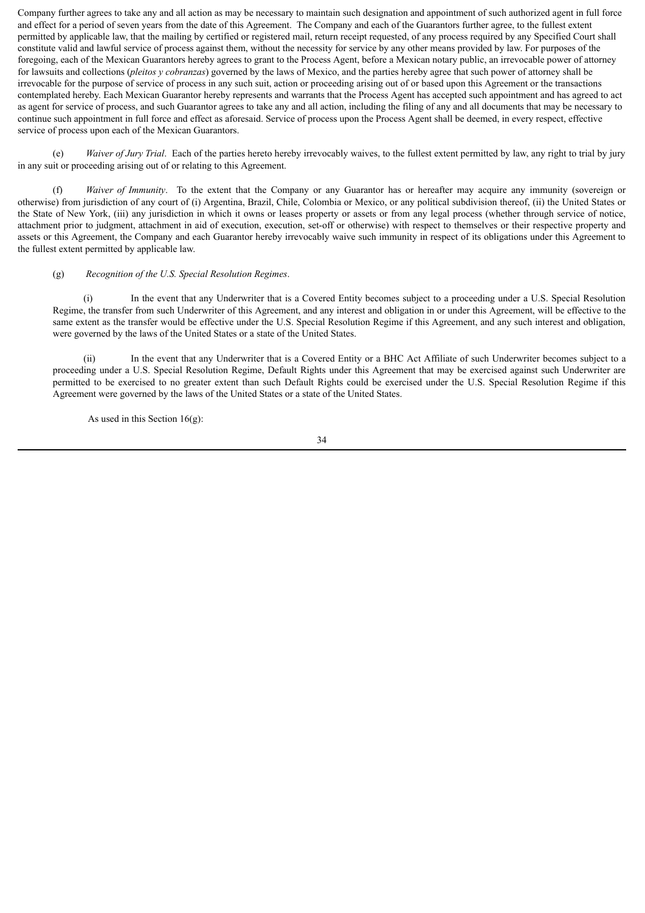Company further agrees to take any and all action as may be necessary to maintain such designation and appointment of such authorized agent in full force and effect for a period of seven years from the date of this Agreement. The Company and each of the Guarantors further agree, to the fullest extent permitted by applicable law, that the mailing by certified or registered mail, return receipt requested, of any process required by any Specified Court shall constitute valid and lawful service of process against them, without the necessity for service by any other means provided by law. For purposes of the foregoing, each of the Mexican Guarantors hereby agrees to grant to the Process Agent, before a Mexican notary public, an irrevocable power of attorney for lawsuits and collections (*pleitos y cobranzas*) governed by the laws of Mexico, and the parties hereby agree that such power of attorney shall be irrevocable for the purpose of service of process in any such suit, action or proceeding arising out of or based upon this Agreement or the transactions contemplated hereby. Each Mexican Guarantor hereby represents and warrants that the Process Agent has accepted such appointment and has agreed to act as agent for service of process, and such Guarantor agrees to take any and all action, including the filing of any and all documents that may be necessary to continue such appointment in full force and effect as aforesaid. Service of process upon the Process Agent shall be deemed, in every respect, effective service of process upon each of the Mexican Guarantors.

(e) *Waiver of Jury Trial*. Each of the parties hereto hereby irrevocably waives, to the fullest extent permitted by law, any right to trial by jury in any suit or proceeding arising out of or relating to this Agreement.

(f) *Waiver of Immunity*. To the extent that the Company or any Guarantor has or hereafter may acquire any immunity (sovereign or otherwise) from jurisdiction of any court of (i) Argentina, Brazil, Chile, Colombia or Mexico, or any political subdivision thereof, (ii) the United States or the State of New York, (iii) any jurisdiction in which it owns or leases property or assets or from any legal process (whether through service of notice, attachment prior to judgment, attachment in aid of execution, execution, set-off or otherwise) with respect to themselves or their respective property and assets or this Agreement, the Company and each Guarantor hereby irrevocably waive such immunity in respect of its obligations under this Agreement to the fullest extent permitted by applicable law.

#### (g) *Recognition of the U.S. Special Resolution Regimes*.

(i) In the event that any Underwriter that is a Covered Entity becomes subject to a proceeding under a U.S. Special Resolution Regime, the transfer from such Underwriter of this Agreement, and any interest and obligation in or under this Agreement, will be effective to the same extent as the transfer would be effective under the U.S. Special Resolution Regime if this Agreement, and any such interest and obligation, were governed by the laws of the United States or a state of the United States.

(ii) In the event that any Underwriter that is a Covered Entity or a BHC Act Affiliate of such Underwriter becomes subject to a proceeding under a U.S. Special Resolution Regime, Default Rights under this Agreement that may be exercised against such Underwriter are permitted to be exercised to no greater extent than such Default Rights could be exercised under the U.S. Special Resolution Regime if this Agreement were governed by the laws of the United States or a state of the United States.

As used in this Section  $16(g)$ :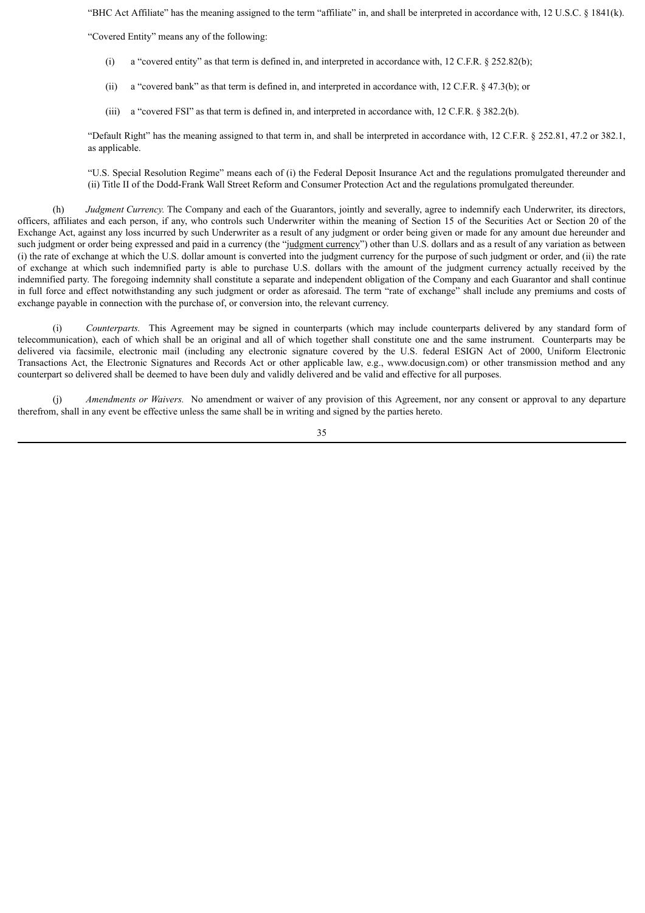"BHC Act Affiliate" has the meaning assigned to the term "affiliate" in, and shall be interpreted in accordance with, 12 U.S.C. § 1841(k).

"Covered Entity" means any of the following:

- (i) a "covered entity" as that term is defined in, and interpreted in accordance with, 12 C.F.R. § 252.82(b);
- (ii) a "covered bank" as that term is defined in, and interpreted in accordance with, 12 C.F.R. § 47.3(b); or
- (iii) a "covered FSI" as that term is defined in, and interpreted in accordance with, 12 C.F.R. § 382.2(b).

"Default Right" has the meaning assigned to that term in, and shall be interpreted in accordance with, 12 C.F.R. § 252.81, 47.2 or 382.1, as applicable.

"U.S. Special Resolution Regime" means each of (i) the Federal Deposit Insurance Act and the regulations promulgated thereunder and (ii) Title II of the Dodd-Frank Wall Street Reform and Consumer Protection Act and the regulations promulgated thereunder.

(h) *Judgment Currency.* The Company and each of the Guarantors, jointly and severally, agree to indemnify each Underwriter, its directors, officers, affiliates and each person, if any, who controls such Underwriter within the meaning of Section 15 of the Securities Act or Section 20 of the Exchange Act, against any loss incurred by such Underwriter as a result of any judgment or order being given or made for any amount due hereunder and such judgment or order being expressed and paid in a currency (the "judgment currency") other than U.S. dollars and as a result of any variation as between (i) the rate of exchange at which the U.S. dollar amount is converted into the judgment currency for the purpose of such judgment or order, and (ii) the rate of exchange at which such indemnified party is able to purchase U.S. dollars with the amount of the judgment currency actually received by the indemnified party. The foregoing indemnity shall constitute a separate and independent obligation of the Company and each Guarantor and shall continue in full force and effect notwithstanding any such judgment or order as aforesaid. The term "rate of exchange" shall include any premiums and costs of exchange payable in connection with the purchase of, or conversion into, the relevant currency.

(i) *Counterparts.* This Agreement may be signed in counterparts (which may include counterparts delivered by any standard form of telecommunication), each of which shall be an original and all of which together shall constitute one and the same instrument. Counterparts may be delivered via facsimile, electronic mail (including any electronic signature covered by the U.S. federal ESIGN Act of 2000, Uniform Electronic Transactions Act, the Electronic Signatures and Records Act or other applicable law, e.g., www.docusign.com) or other transmission method and any counterpart so delivered shall be deemed to have been duly and validly delivered and be valid and effective for all purposes.

(j) *Amendments or Waivers.* No amendment or waiver of any provision of this Agreement, nor any consent or approval to any departure therefrom, shall in any event be effective unless the same shall be in writing and signed by the parties hereto.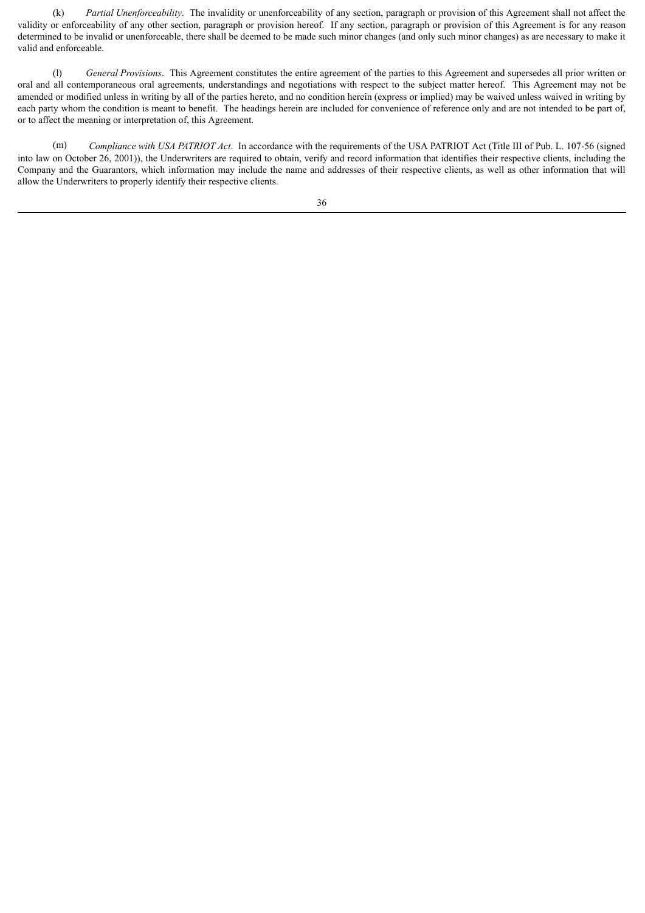(k) *Partial Unenforceability*. The invalidity or unenforceability of any section, paragraph or provision of this Agreement shall not affect the validity or enforceability of any other section, paragraph or provision hereof. If any section, paragraph or provision of this Agreement is for any reason determined to be invalid or unenforceable, there shall be deemed to be made such minor changes (and only such minor changes) as are necessary to make it valid and enforceable.

(l) *General Provisions*. This Agreement constitutes the entire agreement of the parties to this Agreement and supersedes all prior written or oral and all contemporaneous oral agreements, understandings and negotiations with respect to the subject matter hereof. This Agreement may not be amended or modified unless in writing by all of the parties hereto, and no condition herein (express or implied) may be waived unless waived in writing by each party whom the condition is meant to benefit. The headings herein are included for convenience of reference only and are not intended to be part of, or to affect the meaning or interpretation of, this Agreement.

(m) *Compliance with USA PATRIOT Act*. In accordance with the requirements of the USA PATRIOT Act (Title III of Pub. L. 107-56 (signed into law on October 26, 2001)), the Underwriters are required to obtain, verify and record information that identifies their respective clients, including the Company and the Guarantors, which information may include the name and addresses of their respective clients, as well as other information that will allow the Underwriters to properly identify their respective clients.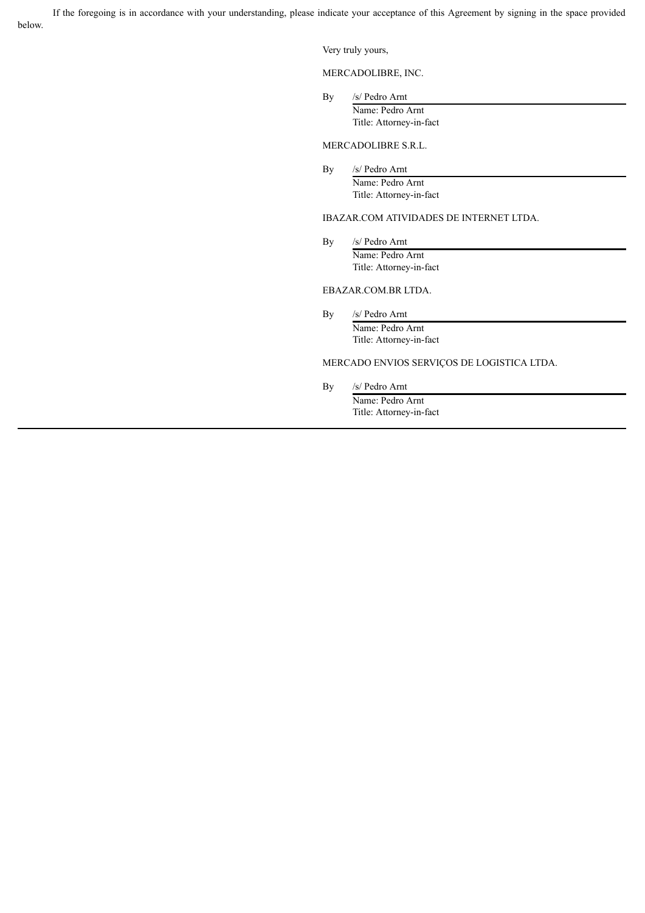If the foregoing is in accordance with your understanding, please indicate your acceptance of this Agreement by signing in the space provided below.

Very truly yours,

MERCADOLIBRE, INC.

By /s/ Pedro Arnt Name: Pedro Arnt

Title: Attorney-in-fact

MERCADOLIBRE S.R.L.

By /s/ Pedro Arnt Name: Pedro Arnt Title: Attorney-in-fact

# IBAZAR.COM ATIVIDADES DE INTERNET LTDA.

By /s/ Pedro Arnt Name: Pedro Arnt Title: Attorney-in-fact

# EBAZAR.COM.BR LTDA.

By /s/ Pedro Arnt

Name: Pedro Arnt Title: Attorney-in-fact

# MERCADO ENVIOS SERVIÇOS DE LOGISTICA LTDA.

By /s/ Pedro Arnt

Name: Pedro Arnt Title: Attorney-in-fact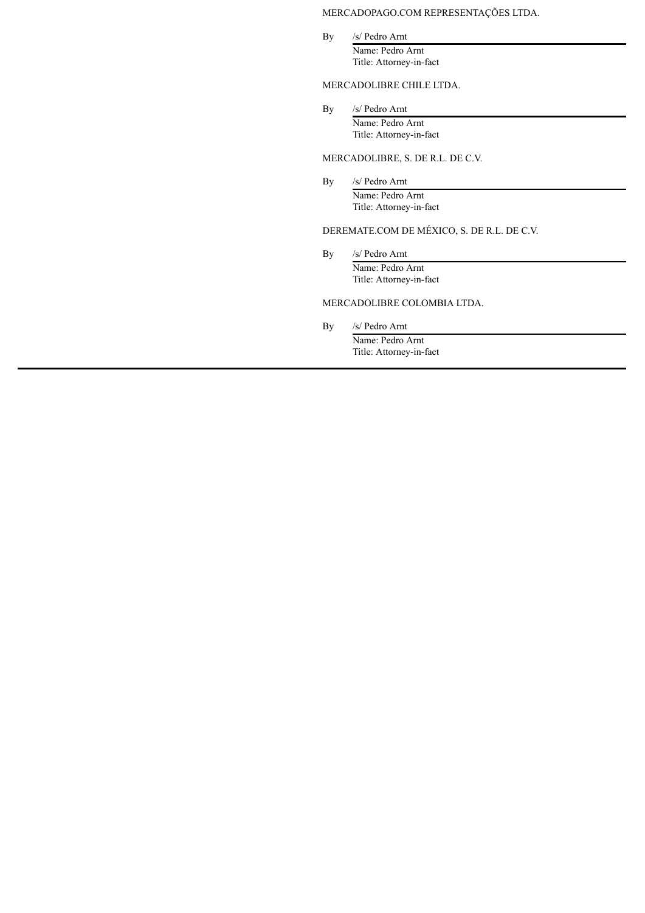# MERCADOPAGO.COM REPRESENTAÇÕES LTDA.

By /s/ Pedro Arnt Name: Pedro Arnt Title: Attorney-in-fact

MERCADOLIBRE CHILE LTDA.

By /s/ Pedro Arnt Name: Pedro Arnt Title: Attorney-in-fact

# MERCADOLIBRE, S. DE R.L. DE C.V.

By /s/ Pedro Arnt Name: Pedro Arnt Title: Attorney-in-fact

# DEREMATE.COM DE MÉXICO, S. DE R.L. DE C.V.

By /s/ Pedro Arnt Name: Pedro Arnt Title: Attorney-in-fact

# MERCADOLIBRE COLOMBIA LTDA.

By /s/ Pedro Arnt

Name: Pedro Arnt Title: Attorney-in-fact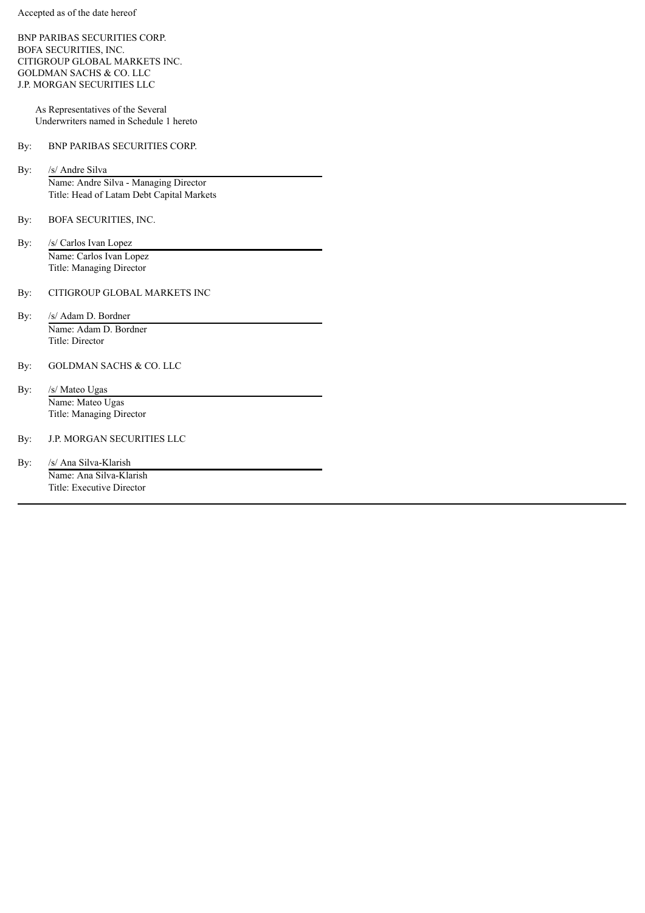BNP PARIBAS SECURITIES CORP. BOFA SECURITIES, INC. CITIGROUP GLOBAL MARKETS INC. GOLDMAN SACHS & CO. LLC J.P. MORGAN SECURITIES LLC

> As Representatives of the Several Underwriters named in Schedule 1 hereto

# By: BNP PARIBAS SECURITIES CORP.

By: /s/ Andre Silva Name: Andre Silva - Managing Director Title: Head of Latam Debt Capital Markets

- By: BOFA SECURITIES, INC.
- By: /s/ Carlos Ivan Lopez Name: Carlos Ivan Lopez Title: Managing Director

# By: CITIGROUP GLOBAL MARKETS INC

- By: /s/ Adam D. Bordner Name: Adam D. Bordner Title: Director
- By: GOLDMAN SACHS & CO. LLC
- By: /s/ Mateo Ugas Name: Mateo Ugas Title: Managing Director
- By: J.P. MORGAN SECURITIES LLC

By: /s/ Ana Silva-Klarish Name: Ana Silva-Klarish Title: Executive Director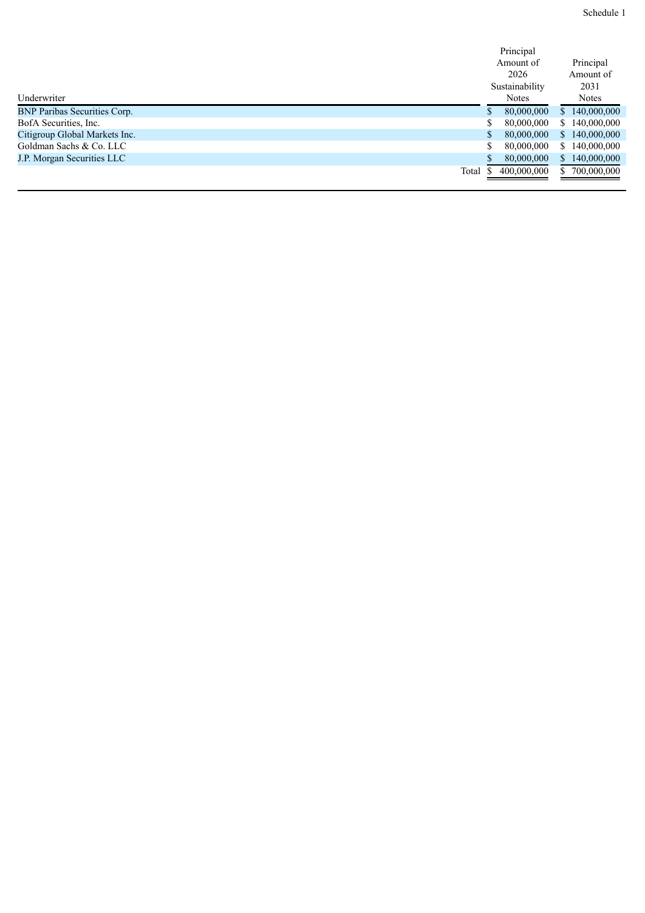| Schedule 1 |  |
|------------|--|
|            |  |

|                                     |       | Principal      |                             |
|-------------------------------------|-------|----------------|-----------------------------|
|                                     |       | Amount of      | Principal                   |
|                                     |       | 2026           | Amount of                   |
|                                     |       | Sustainability | 2031                        |
| Underwriter                         |       | <b>Notes</b>   | <b>Notes</b>                |
| <b>BNP Paribas Securities Corp.</b> |       | 80,000,000     | 140,000,000<br><sup>S</sup> |
| BofA Securities, Inc.               |       | 80,000,000     | 140,000,000<br>S.           |
| Citigroup Global Markets Inc.       |       | 80,000,000     | 140,000,000<br>S.           |
| Goldman Sachs & Co. LLC             |       | 80,000,000     | \$140,000,000               |
| <b>J.P. Morgan Securities LLC</b>   |       | 80,000,000     | 140,000,000<br>$\mathbb{S}$ |
|                                     | Total | 400,000,000    | 700,000,000<br>S.           |
|                                     |       |                |                             |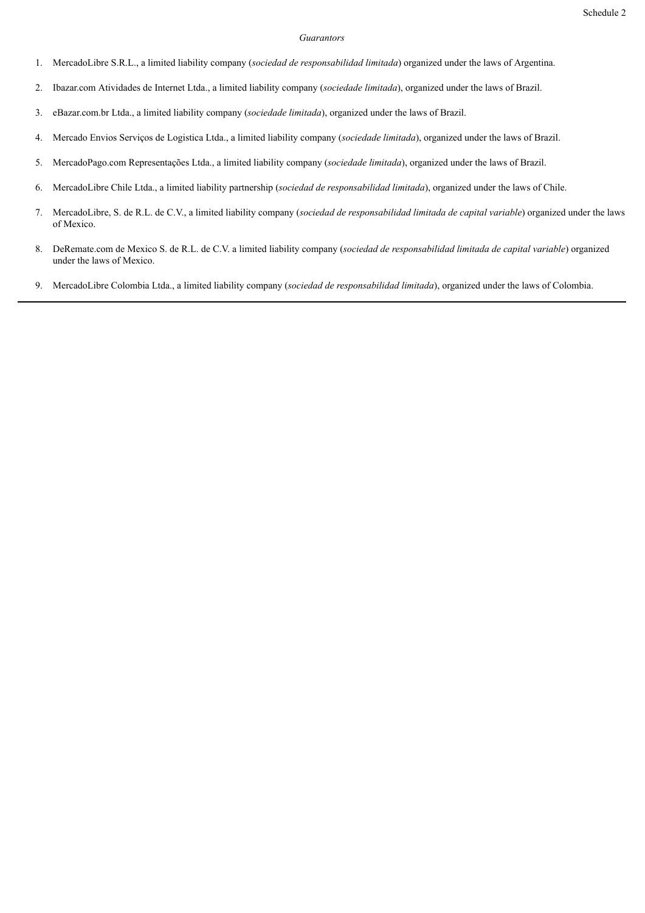#### *Guarantors*

- 1. MercadoLibre S.R.L., a limited liability company (*sociedad de responsabilidad limitada*) organized under the laws of Argentina.
- 2. Ibazar.com Atividades de Internet Ltda., a limited liability company (*sociedade limitada*), organized under the laws of Brazil.
- 3. eBazar.com.br Ltda., a limited liability company (*sociedade limitada*), organized under the laws of Brazil.
- 4. Mercado Envios Serviços de Logistica Ltda., a limited liability company (*sociedade limitada*), organized under the laws of Brazil.
- 5. MercadoPago.com Representações Ltda., a limited liability company (*sociedade limitada*), organized under the laws of Brazil.
- 6. MercadoLibre Chile Ltda., a limited liability partnership (*sociedad de responsabilidad limitada*), organized under the laws of Chile.
- 7. MercadoLibre, S. de R.L. de C.V., a limited liability company (*sociedad de responsabilidad limitada de capital variable*) organized under the laws of Mexico.
- 8. DeRemate.com de Mexico S. de R.L. de C.V. a limited liability company (*sociedad de responsabilidad limitada de capital variable*) organized under the laws of Mexico.
- 9. MercadoLibre Colombia Ltda., a limited liability company (*sociedad de responsabilidad limitada*), organized under the laws of Colombia.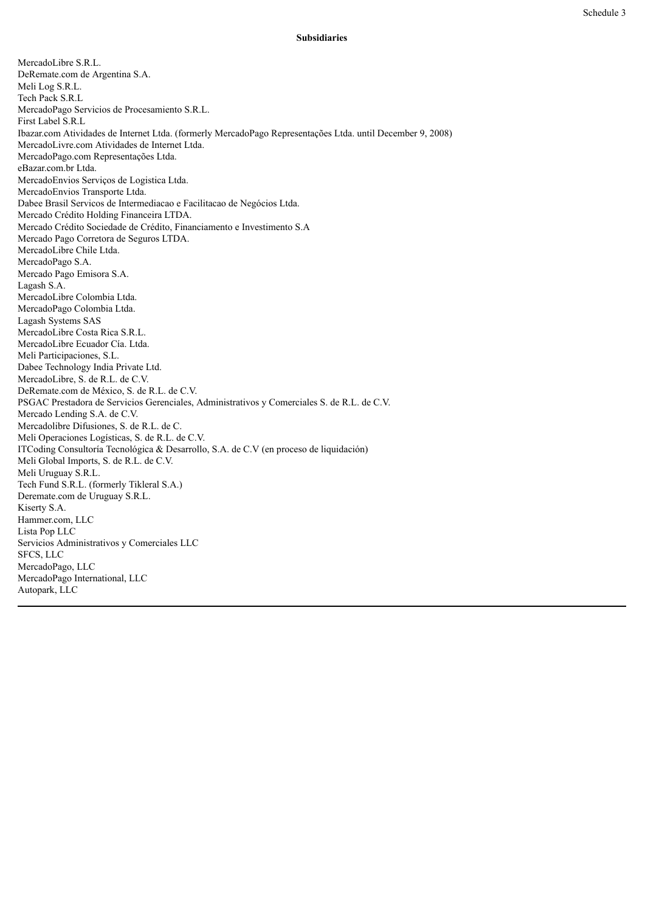#### **Subsidiaries**

MercadoLibre S.R.L. DeRemate.com de Argentina S.A. Meli Log S.R.L. Tech Pack S.R.L MercadoPago Servicios de Procesamiento S.R.L. First Label S.R.L Ibazar.com Atividades de Internet Ltda. (formerly MercadoPago Representações Ltda. until December 9, 2008) MercadoLivre.com Atividades de Internet Ltda. MercadoPago.com Representações Ltda. eBazar.com.br Ltda. MercadoEnvios Serviços de Logistica Ltda. MercadoEnvios Transporte Ltda. Dabee Brasil Servicos de Intermediacao e Facilitacao de Negócios Ltda. Mercado Crédito Holding Financeira LTDA. Mercado Crédito Sociedade de Crédito, Financiamento e Investimento S.A Mercado Pago Corretora de Seguros LTDA. MercadoLibre Chile Ltda. MercadoPago S.A. Mercado Pago Emisora S.A. Lagash S.A. MercadoLibre Colombia Ltda. MercadoPago Colombia Ltda. Lagash Systems SAS MercadoLibre Costa Rica S.R.L. MercadoLibre Ecuador Cía. Ltda. Meli Participaciones, S.L. Dabee Technology India Private Ltd. MercadoLibre, S. de R.L. de C.V. DeRemate.com de México, S. de R.L. de C.V. PSGAC Prestadora de Servicios Gerenciales, Administrativos y Comerciales S. de R.L. de C.V. Mercado Lending S.A. de C.V. Mercadolibre Difusiones, S. de R.L. de C. Meli Operaciones Logísticas, S. de R.L. de C.V. ITCoding Consultoría Tecnológica & Desarrollo, S.A. de C.V (en proceso de liquidación) Meli Global Imports, S. de R.L. de C.V. Meli Uruguay S.R.L. Tech Fund S.R.L. (formerly Tikleral S.A.) Deremate.com de Uruguay S.R.L. Kiserty S.A. Hammer.com, LLC Lista Pop LLC Servicios Administrativos y Comerciales LLC SFCS, LLC MercadoPago, LLC MercadoPago International, LLC Autopark, LLC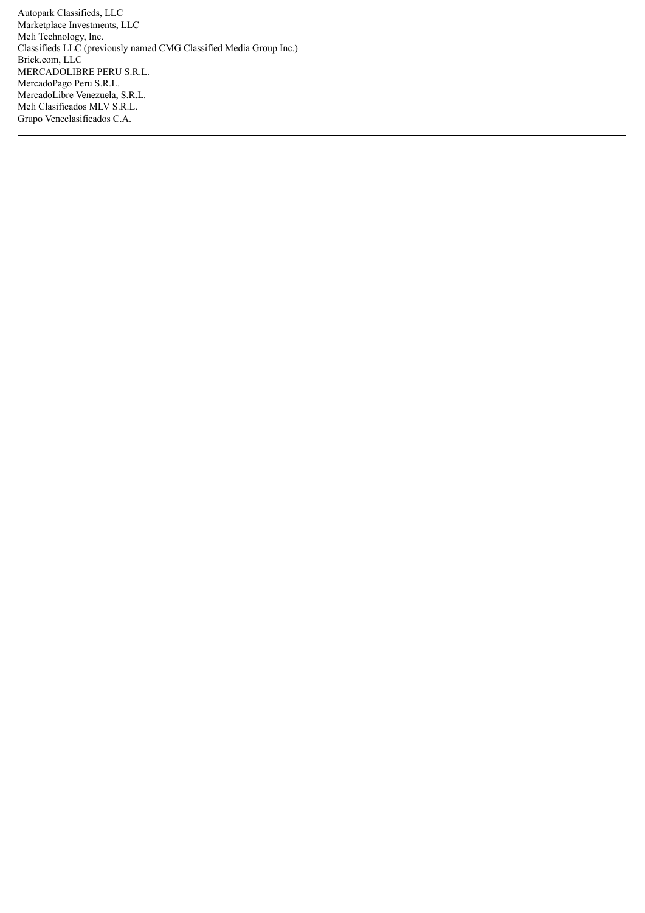Autopark Classifieds, LLC Marketplace Investments, LLC Meli Technology, Inc. Classifieds LLC (previously named CMG Classified Media Group Inc.) Brick.com, LLC MERCADOLIBRE PERU S.R.L. MercadoPago Peru S.R.L. MercadoLibre Venezuela, S.R.L. Meli Clasificados MLV S.R.L. Grupo Veneclasificados C.A.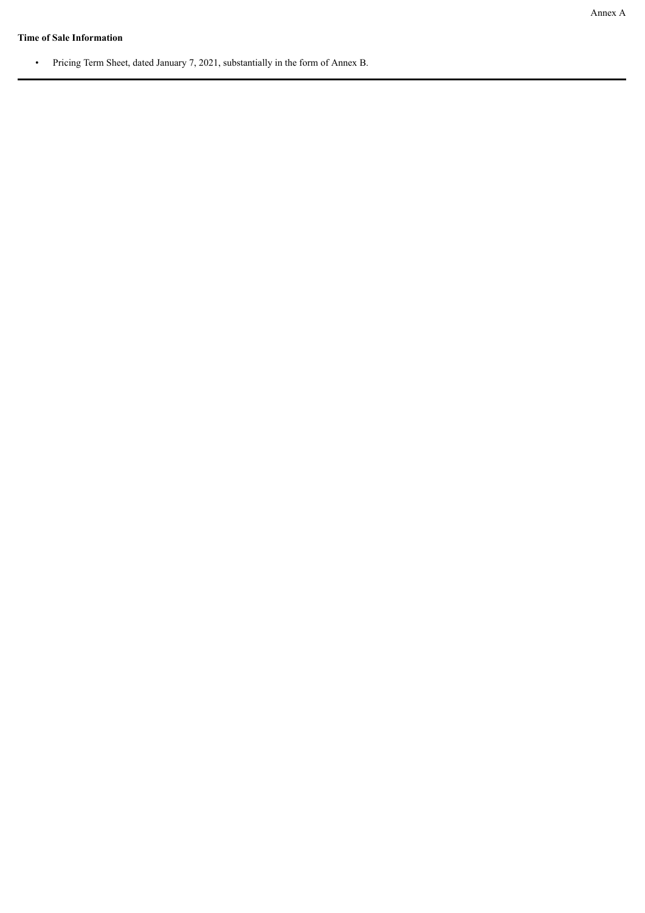# **Time of Sale Information**

• Pricing Term Sheet, dated January 7, 2021, substantially in the form of Annex B.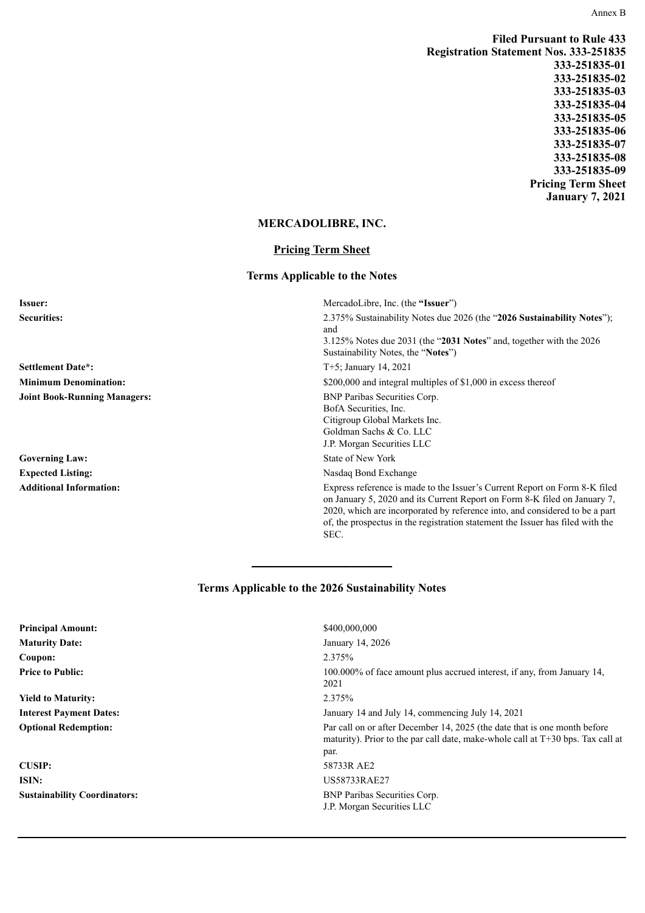Annex B

**Filed Pursuant to Rule 433 Registration Statement Nos. 333-251835 333-251835-01 333-251835-02 333-251835-03 333-251835-04 333-251835-05 333-251835-06 333-251835-07 333-251835-08 333-251835-09 Pricing Term Sheet January 7, 2021**

of, the prospectus in the registration statement the Issuer has filed with the

# **MERCADOLIBRE, INC.**

# **Pricing Term Sheet**

# **Terms Applicable to the Notes**

| <b>Issuer:</b>                      | MercadoLibre, Inc. (the "Issuer")                                                                                                                                                                                                      |
|-------------------------------------|----------------------------------------------------------------------------------------------------------------------------------------------------------------------------------------------------------------------------------------|
| <b>Securities:</b>                  | 2.375% Sustainability Notes due 2026 (the "2026 Sustainability Notes").<br>and<br>$3.125\%$ Notes due 2031 (the "2031 Notes" and, together with the 2026                                                                               |
|                                     | Sustainability Notes, the "Notes")                                                                                                                                                                                                     |
| <b>Settlement Date*:</b>            | $T+5$ ; January 14, 2021                                                                                                                                                                                                               |
| <b>Minimum Denomination:</b>        | \$200,000 and integral multiples of \$1,000 in excess thereof                                                                                                                                                                          |
| <b>Joint Book-Running Managers:</b> | <b>BNP Paribas Securities Corp.</b><br>BofA Securities, Inc.<br>Citigroup Global Markets Inc.<br>Goldman Sachs & Co. LLC<br>J.P. Morgan Securities LLC                                                                                 |
| <b>Governing Law:</b>               | State of New York                                                                                                                                                                                                                      |
| <b>Expected Listing:</b>            | Nasdaq Bond Exchange                                                                                                                                                                                                                   |
| <b>Additional Information:</b>      | Express reference is made to the Issuer's Current Report on Form 8-K filed<br>on January 5, 2020 and its Current Report on Form 8-K filed on January 7,<br>2020, which are incorporated by reference into, and considered to be a part |

# **Terms Applicable to the 2026 Sustainability Notes**

**\_\_\_\_\_\_\_\_\_\_\_\_\_\_\_\_\_\_\_\_\_\_\_\_**

SEC.

| <b>Principal Amount:</b>            | \$400,000,000                                                                                                                                                        |
|-------------------------------------|----------------------------------------------------------------------------------------------------------------------------------------------------------------------|
| <b>Maturity Date:</b>               | January 14, 2026                                                                                                                                                     |
| Coupon:                             | 2.375%                                                                                                                                                               |
| <b>Price to Public:</b>             | 100.000% of face amount plus accrued interest, if any, from January 14,<br>2021                                                                                      |
| <b>Yield to Maturity:</b>           | 2.375%                                                                                                                                                               |
| <b>Interest Payment Dates:</b>      | January 14 and July 14, commencing July 14, 2021                                                                                                                     |
| <b>Optional Redemption:</b>         | Par call on or after December 14, 2025 (the date that is one month before<br>maturity). Prior to the par call date, make-whole call at T+30 bps. Tax call at<br>par. |
| <b>CUSIP:</b>                       | 58733R AE2                                                                                                                                                           |
| ISIN:                               | US58733RAE27                                                                                                                                                         |
| <b>Sustainability Coordinators:</b> | <b>BNP Paribas Securities Corp.</b><br>J.P. Morgan Securities LLC                                                                                                    |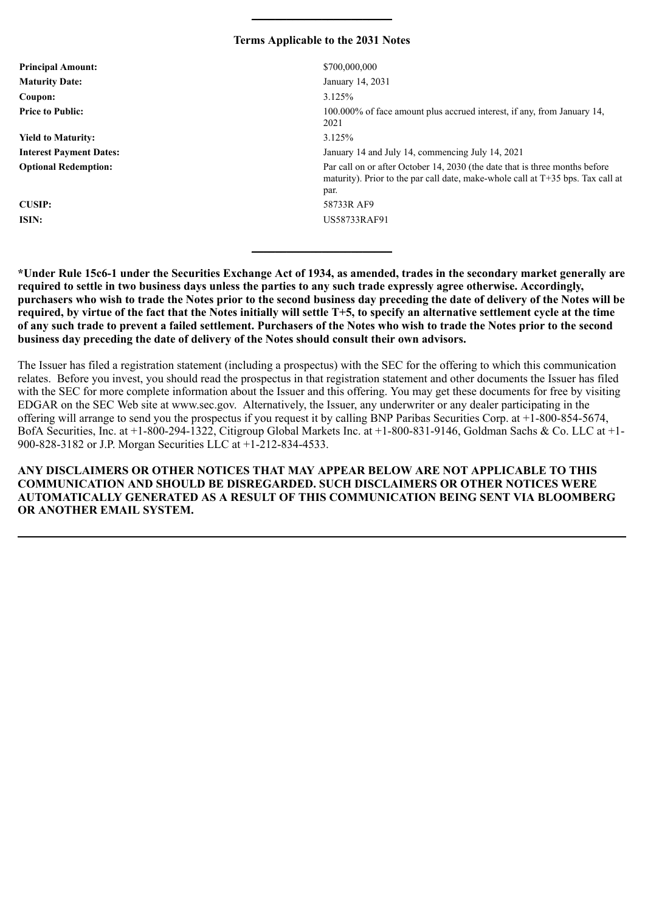# **Terms Applicable to the 2031 Notes**

**\_\_\_\_\_\_\_\_\_\_\_\_\_\_\_\_\_\_\_\_\_\_\_\_**

| <b>Principal Amount:</b>       | \$700,000,000                                                                                                                                                            |
|--------------------------------|--------------------------------------------------------------------------------------------------------------------------------------------------------------------------|
| <b>Maturity Date:</b>          | January 14, 2031                                                                                                                                                         |
| Coupon:                        | 3.125%                                                                                                                                                                   |
| <b>Price to Public:</b>        | 100.000% of face amount plus accrued interest, if any, from January 14,<br>2021                                                                                          |
| <b>Yield to Maturity:</b>      | 3.125%                                                                                                                                                                   |
| <b>Interest Payment Dates:</b> | January 14 and July 14, commencing July 14, 2021                                                                                                                         |
| <b>Optional Redemption:</b>    | Par call on or after October 14, 2030 (the date that is three months before<br>maturity). Prior to the par call date, make-whole call at $T+35$ bps. Tax call at<br>par. |
| <b>CUSIP:</b>                  | 58733R AF9                                                                                                                                                               |
| ISIN:                          | US58733RAF91                                                                                                                                                             |
|                                |                                                                                                                                                                          |

**\*Under Rule 15c6-1 under the Securities Exchange Act of 1934, as amended, trades in the secondary market generally are required to settle in two business days unless the parties to any such trade expressly agree otherwise. Accordingly, purchasers who wish to trade the Notes prior to the second business day preceding the date of delivery of the Notes will be required, by virtue of the fact that the Notes initially will settle T+5, to specify an alternative settlement cycle at the time of any such trade to prevent a failed settlement. Purchasers of the Notes who wish to trade the Notes prior to the second business day preceding the date of delivery of the Notes should consult their own advisors.**

**\_\_\_\_\_\_\_\_\_\_\_\_\_\_\_\_\_\_\_\_\_\_\_\_**

The Issuer has filed a registration statement (including a prospectus) with the SEC for the offering to which this communication relates. Before you invest, you should read the prospectus in that registration statement and other documents the Issuer has filed with the SEC for more complete information about the Issuer and this offering. You may get these documents for free by visiting EDGAR on the SEC Web site at www.sec.gov. Alternatively, the Issuer, any underwriter or any dealer participating in the offering will arrange to send you the prospectus if you request it by calling BNP Paribas Securities Corp. at +1-800-854-5674, BofA Securities, Inc. at +1-800-294-1322, Citigroup Global Markets Inc. at +1-800-831-9146, Goldman Sachs & Co. LLC at +1- 900-828-3182 or J.P. Morgan Securities LLC at +1-212-834-4533.

**ANY DISCLAIMERS OR OTHER NOTICES THAT MAY APPEAR BELOW ARE NOT APPLICABLE TO THIS COMMUNICATION AND SHOULD BE DISREGARDED. SUCH DISCLAIMERS OR OTHER NOTICES WERE AUTOMATICALLY GENERATED AS A RESULT OF THIS COMMUNICATION BEING SENT VIA BLOOMBERG OR ANOTHER EMAIL SYSTEM.**